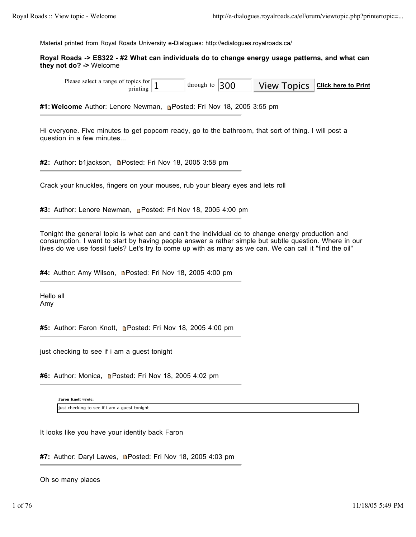Material printed from Royal Roads University e-Dialogues: http://edialogues.royalroads.ca/

# **Royal Roads -> ES322 - #2 What can individuals do to change energy usage patterns, and what can they not do? ->** Welcome

Please select a range of topics for  $\frac{\text{opics for}}{\text{pritting}}$  1 through to 300 View Topics Click here to Print through to

**#1: Welcome** Author: Lenore Newman, Posted: Fri Nov 18, 2005 3:55 pm

Hi everyone. Five minutes to get popcorn ready, go to the bathroom, that sort of thing. I will post a question in a few minutes...

**#2:** Author: b1jackson, **Denated: Fri Nov 18, 2005 3:58 pm** 

Crack your knuckles, fingers on your mouses, rub your bleary eyes and lets roll

**#3:** Author: Lenore Newman, **Posted: Fri Nov 18, 2005 4:00 pm** 

Tonight the general topic is what can and can't the individual do to change energy production and consumption. I want to start by having people answer a rather simple but subtle question. Where in our lives do we use fossil fuels? Let's try to come up with as many as we can. We can call it "find the oil"

#4: Author: Amy Wilson, **Denated: Fri Nov 18, 2005 4:00 pm** 

Hello all Amy

**#5:** Author: Faron Knott, Posted: Fri Nov 18, 2005 4:00 pm

just checking to see if i am a guest tonight

#6: Author: Monica, **Denated: Fri Nov 18, 2005 4:02 pm** 

**Faron Knott wrote:** just checking to see if i am a guest tonight

It looks like you have your identity back Faron

#7: Author: Daryl Lawes, **n**Posted: Fri Nov 18, 2005 4:03 pm

Oh so many places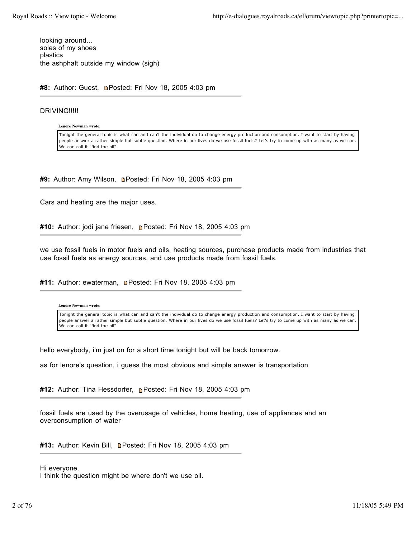looking around... soles of my shoes plastics the ashphalt outside my window (sigh)

#8: Author: Guest, **Denated: Fri Nov 18, 2005 4:03 pm** 

# DRIVING!!!!!

**Lenore Newman wrote:**

Tonight the general topic is what can and can't the individual do to change energy production and consumption. I want to start by having people answer a rather simple but subtle question. Where in our lives do we use fossil fuels? Let's try to come up with as many as we can. We can call it "find the oil"

#9: Author: Amy Wilson, **Denated: Fri Nov 18, 2005 4:03 pm** 

Cars and heating are the major uses.

**#10:** Author: jodi jane friesen, Posted: Fri Nov 18, 2005 4:03 pm

we use fossil fuels in motor fuels and oils, heating sources, purchase products made from industries that use fossil fuels as energy sources, and use products made from fossil fuels.

#11: Author: ewaterman, **n**Posted: Fri Nov 18, 2005 4:03 pm

**Lenore Newman wrote:**

Tonight the general topic is what can and can't the individual do to change energy production and consumption. I want to start by having people answer a rather simple but subtle question. Where in our lives do we use fossil fuels? Let's try to come up with as many as we can. We can call it "find the oil"

hello everybody, i'm just on for a short time tonight but will be back tomorrow.

as for lenore's question, i guess the most obvious and simple answer is transportation

#12: Author: Tina Hessdorfer, **n**Posted: Fri Nov 18, 2005 4:03 pm

fossil fuels are used by the overusage of vehicles, home heating, use of appliances and an overconsumption of water

**#13:** Author: Kevin Bill, Posted: Fri Nov 18, 2005 4:03 pm

Hi everyone. I think the question might be where don't we use oil.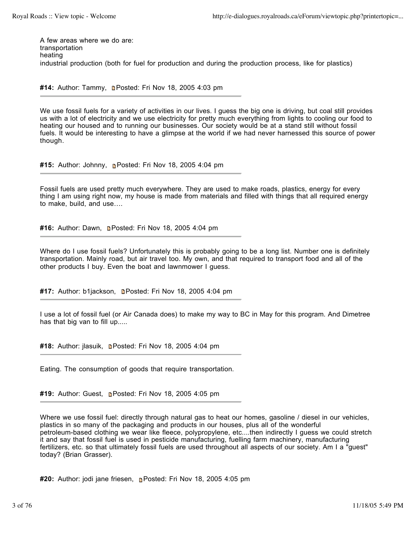A few areas where we do are: transportation heating industrial production (both for fuel for production and during the production process, like for plastics)

**#14:** Author: Tammy, **Denated: Fri Nov 18, 2005 4:03 pm** 

We use fossil fuels for a variety of activities in our lives. I guess the big one is driving, but coal still provides us with a lot of electricity and we use electricity for pretty much everything from lights to cooling our food to heating our housed and to running our businesses. Our society would be at a stand still without fossil fuels. It would be interesting to have a glimpse at the world if we had never harnessed this source of power though.

**#15:** Author: Johnny, Posted: Fri Nov 18, 2005 4:04 pm

Fossil fuels are used pretty much everywhere. They are used to make roads, plastics, energy for every thing I am using right now, my house is made from materials and filled with things that all required energy to make, build, and use….

#16: Author: Dawn, **Denated: Fri Nov 18, 2005 4:04 pm** 

Where do I use fossil fuels? Unfortunately this is probably going to be a long list. Number one is definitely transportation. Mainly road, but air travel too. My own, and that required to transport food and all of the other products I buy. Even the boat and lawnmower I guess.

#17: Author: b1jackson, **n**Posted: Fri Nov 18, 2005 4:04 pm

I use a lot of fossil fuel (or Air Canada does) to make my way to BC in May for this program. And Dimetree has that big van to fill up.....

#18: Author: jlasuik, **n**Posted: Fri Nov 18, 2005 4:04 pm

Eating. The consumption of goods that require transportation.

**#19:** Author: Guest, **n**e Posted: Fri Nov 18, 2005 4:05 pm

Where we use fossil fuel: directly through natural gas to heat our homes, gasoline / diesel in our vehicles, plastics in so many of the packaging and products in our houses, plus all of the wonderful petroleum-based clothing we wear like fleece, polypropylene, etc....then indirectly I guess we could stretch it and say that fossil fuel is used in pesticide manufacturing, fuelling farm machinery, manufacturing fertilizers, etc. so that ultimately fossil fuels are used throughout all aspects of our society. Am I a "guest" today? (Brian Grasser).

**#20:** Author: jodi jane friesen, **Posted: Fri Nov 18, 2005 4:05 pm**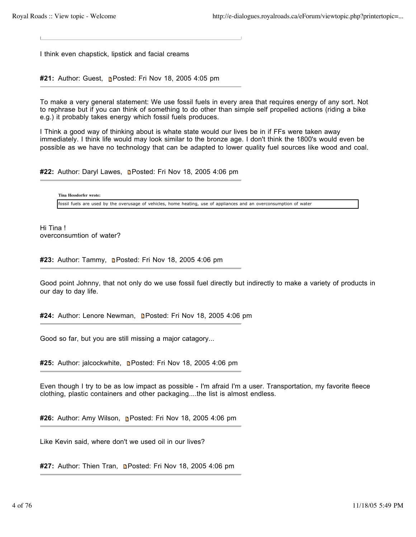L.

I think even chapstick, lipstick and facial creams

**#21:** Author: Guest, **n**Posted: Fri Nov 18, 2005 4:05 pm

To make a very general statement: We use fossil fuels in every area that requires energy of any sort. Not to rephrase but if you can think of something to do other than simple self propelled actions (riding a bike e.g.) it probably takes energy which fossil fuels produces.

I Think a good way of thinking about is whate state would our lives be in if FFs were taken away immediately. I think life would may look similar to the bronze age. I don't think the 1800's would even be possible as we have no technology that can be adapted to lower quality fuel sources like wood and coal.

#22: Author: Daryl Lawes, **n**Posted: Fri Nov 18, 2005 4:06 pm

**Tina Hessdorfer wrote:** fossil fuels are used by the overusage of vehicles, home heating, use of appliances and an overconsumption of water

Hi Tina ! overconsumtion of water?

#23: Author: Tammy, **n**Posted: Fri Nov 18, 2005 4:06 pm

Good point Johnny, that not only do we use fossil fuel directly but indirectly to make a variety of products in our day to day life.

#24: Author: Lenore Newman, **Denated: Fri Nov 18, 2005 4:06 pm** 

Good so far, but you are still missing a major catagory...

**#25:** Author: jalcockwhite, Posted: Fri Nov 18, 2005 4:06 pm

Even though I try to be as low impact as possible - I'm afraid I'm a user. Transportation, my favorite fleece clothing, plastic containers and other packaging....the list is almost endless.

**#26:** Author: Amy Wilson, Posted: Fri Nov 18, 2005 4:06 pm

Like Kevin said, where don't we used oil in our lives?

#27: Author: Thien Tran, **n**Posted: Fri Nov 18, 2005 4:06 pm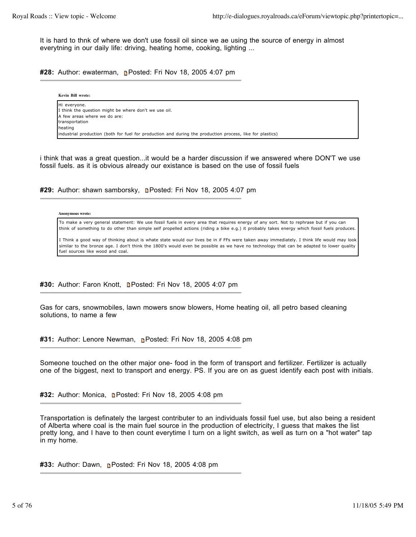It is hard to thnk of where we don't use fossil oil since we ae using the source of energy in almost everytning in our daily life: driving, heating home, cooking, lighting ...

**#28:** Author: ewaterman, Posted: Fri Nov 18, 2005 4:07 pm

| Kevin Bill wrote:                                                                                          |
|------------------------------------------------------------------------------------------------------------|
| Hi everyone.<br>I think the question might be where don't we use oil.                                      |
| A few areas where we do are:<br>transportation                                                             |
| heating                                                                                                    |
| (industrial production (both for fuel for production and during the production process, like for plastics) |

i think that was a great question...it would be a harder discussion if we answered where DON'T we use fossil fuels. as it is obvious already our existance is based on the use of fossil fuels

#29: Author: shawn samborsky, **n**Posted: Fri Nov 18, 2005 4:07 pm

**Anonymous wrote:**

To make a very general statement: We use fossil fuels in every area that requires energy of any sort. Not to rephrase but if you can think of something to do other than simple self propelled actions (riding a bike e.g.) it probably takes energy which fossil fuels produces.

I Think a good way of thinking about is whate state would our lives be in if FFs were taken away immediately. I think life would may look similar to the bronze age. I don't think the 1800's would even be possible as we have no technology that can be adapted to lower quality fuel sources like wood and coal.

#30: Author: Faron Knott, **n**Posted: Fri Nov 18, 2005 4:07 pm

Gas for cars, snowmobiles, lawn mowers snow blowers, Home heating oil, all petro based cleaning solutions, to name a few

#31: Author: Lenore Newman, **Posted: Fri Nov 18, 2005 4:08 pm** 

Someone touched on the other major one- food in the form of transport and fertilizer. Fertilizer is actually one of the biggest, next to transport and energy. PS. If you are on as guest identify each post with initials.

#32: Author: Monica, **Denated: Fri Nov 18, 2005 4:08 pm** 

Transportation is definately the largest contributer to an individuals fossil fuel use, but also being a resident of Alberta where coal is the main fuel source in the production of electricity, I guess that makes the list pretty long, and I have to then count everytime I turn on a light switch, as well as turn on a "hot water" tap in my home.

**#33:** Author: Dawn, **n**e Posted: Fri Nov 18, 2005 4:08 pm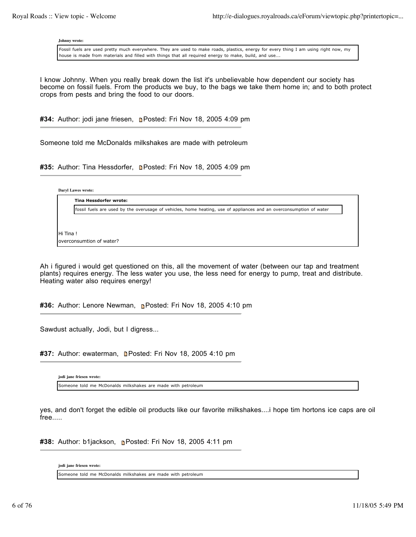**Johnny wrote:**

Fossil fuels are used pretty much everywhere. They are used to make roads, plastics, energy for every thing I am using right now, my house is made from materials and filled with things that all required energy to make, build, and use….

I know Johnny. When you really break down the list it's unbelievable how dependent our society has become on fossil fuels. From the products we buy, to the bags we take them home in; and to both protect crops from pests and bring the food to our doors.

#34: Author: jodi jane friesen, **n**Posted: Fri Nov 18, 2005 4:09 pm

Someone told me McDonalds milkshakes are made with petroleum

#35: Author: Tina Hessdorfer, **Denated: Fri Nov 18, 2005 4:09 pm** 

**Daryl Lawes wrote:**

fossil fuels are used by the overusage of vehicles, home heating, use of appliances and an overconsumption of water

Hi Tina ! overconsumtion of water?

**Tina Hessdorfer wrote:**

Ah i figured i would get questioned on this, all the movement of water (between our tap and treatment plants) requires energy. The less water you use, the less need for energy to pump, treat and distribute. Heating water also requires energy!

**#36:** Author: Lenore Newman, Posted: Fri Nov 18, 2005 4:10 pm

Sawdust actually, Jodi, but I digress...

#37: Author: ewaterman, **n**Posted: Fri Nov 18, 2005 4:10 pm

**jodi jane friesen wrote:** Someone told me McDonalds milkshakes are made with petroleum

yes, and don't forget the edible oil products like our favorite milkshakes....i hope tim hortons ice caps are oil free.....

**#38:** Author: b1jackson, Posted: Fri Nov 18, 2005 4:11 pm

**jodi jane friesen wrote:**

Someone told me McDonalds milkshakes are made with petroleum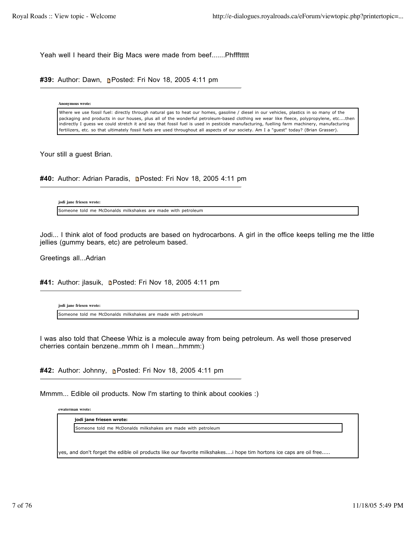Yeah well I heard their Big Macs were made from beef.......Phfffttttt

#39: Author: Dawn, **Posted: Fri Nov 18, 2005 4:11 pm** 

**Anonymous wrote:**

Where we use fossil fuel: directly through natural gas to heat our homes, gasoline / diesel in our vehicles, plastics in so many of the packaging and products in our houses, plus all of the wonderful petroleum-based clothing we wear like fleece, polypropylene, etc....then indirectly I guess we could stretch it and say that fossil fuel is used in pesticide manufacturing, fuelling farm machinery, manufacturing fertilizers, etc. so that ultimately fossil fuels are used throughout all aspects of our society. Am I a "guest" today? (Brian Grasser).

Your still a guest Brian.

#40: Author: Adrian Paradis, **n**Posted: Fri Nov 18, 2005 4:11 pm

**jodi jane friesen wrote:** Someone told me McDonalds milkshakes are made with petroleum

Jodi... I think alot of food products are based on hydrocarbons. A girl in the office keeps telling me the little jellies (gummy bears, etc) are petroleum based.

Greetings all...Adrian

#41: Author: jlasuik, **n**Posted: Fri Nov 18, 2005 4:11 pm

**jodi jane friesen wrote:** Someone told me McDonalds milkshakes are made with petroleum

I was also told that Cheese Whiz is a molecule away from being petroleum. As well those preserved cherries contain benzene..mmm oh I mean...hmmm:)

**#42:** Author: Johnny, Posted: Fri Nov 18, 2005 4:11 pm

Mmmm... Edible oil products. Now I'm starting to think about cookies :)

**ewaterman wrote:**

**jodi jane friesen wrote:**

Someone told me McDonalds milkshakes are made with petroleum

yes, and don't forget the edible oil products like our favorite milkshakes....i hope tim hortons ice caps are oil free.....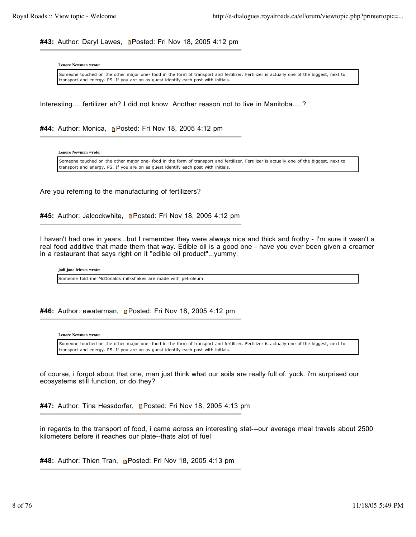#43: Author: Daryl Lawes, **n**Posted: Fri Nov 18, 2005 4:12 pm

**Lenore Newman wrote:**

Someone touched on the other major one- food in the form of transport and fertilizer. Fertilizer is actually one of the biggest, next to transport and energy. PS. If you are on as guest identify each post with initials.

Interesting.... fertilizer eh? I did not know. Another reason not to live in Manitoba.....?

**#44:** Author: Monica, Posted: Fri Nov 18, 2005 4:12 pm

**Lenore Newman wrote:**

Someone touched on the other major one- food in the form of transport and fertilizer. Fertilizer is actually one of the biggest, next to transport and energy. PS. If you are on as guest identify each post with initials.

Are you referring to the manufacturing of fertilizers?

#45: Author: Jalcockwhite, **Denated: Fri Nov 18, 2005 4:12 pm** 

I haven't had one in years...but I remember they were always nice and thick and frothy - I'm sure it wasn't a real food additive that made them that way. Edible oil is a good one - have you ever been given a creamer in a restaurant that says right on it "edible oil product"...yummy.

**jodi jane friesen wrote:**

Someone told me McDonalds milkshakes are made with petroleum

**#46:** Author: ewaterman, Posted: Fri Nov 18, 2005 4:12 pm

**Lenore Newman wrote:**

Someone touched on the other major one- food in the form of transport and fertilizer. Fertilizer is actually one of the biggest, next to transport and energy. PS. If you are on as guest identify each post with initials.

of course, i forgot about that one, man just think what our soils are really full of. yuck. i'm surprised our ecosystems still function, or do they?

#47: Author: Tina Hessdorfer, **Denatation Fri Nov 18, 2005 4:13 pm** 

in regards to the transport of food, i came across an interesting stat---our average meal travels about 2500 kilometers before it reaches our plate--thats alot of fuel

**#48:** Author: Thien Tran, Posted: Fri Nov 18, 2005 4:13 pm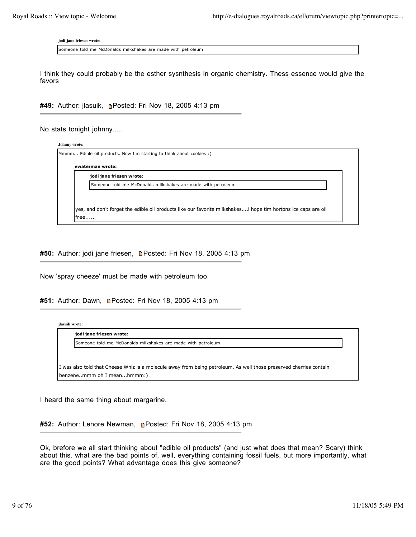**jodi jane friesen wrote:**

Someone told me McDonalds milkshakes are made with petroleum

I think they could probably be the esther sysnthesis in organic chemistry. Thess essence would give the favors

#49: Author: jlasuik, **D**Posted: Fri Nov 18, 2005 4:13 pm

No stats tonight johnny.....

| jodi jane friesen wrote:                                     |
|--------------------------------------------------------------|
| Someone told me McDonalds milkshakes are made with petroleum |

#50: Author: jodi jane friesen, **n**Posted: Fri Nov 18, 2005 4:13 pm

Now 'spray cheeze' must be made with petroleum too.

#51: Author: Dawn, **Denated: Fri Nov 18, 2005 4:13 pm** 

| ilasuik wrote: |                                                                                                                    |  |
|----------------|--------------------------------------------------------------------------------------------------------------------|--|
|                | jodi jane friesen wrote:                                                                                           |  |
|                | Someone told me McDonalds milkshakes are made with petroleum                                                       |  |
|                |                                                                                                                    |  |
|                |                                                                                                                    |  |
|                | I was also told that Cheese Whiz is a molecule away from being petroleum. As well those preserved cherries contain |  |
|                | benzenemmm oh I meanhmmm:)                                                                                         |  |
|                |                                                                                                                    |  |

I heard the same thing about margarine.

**#52:** Author: Lenore Newman, Posted: Fri Nov 18, 2005 4:13 pm

Ok, brefore we all start thinking about "edible oil products" (and just what does that mean? Scary) think about this. what are the bad points of, well, everything containing fossil fuels, but more importantly, what are the good points? What advantage does this give someone?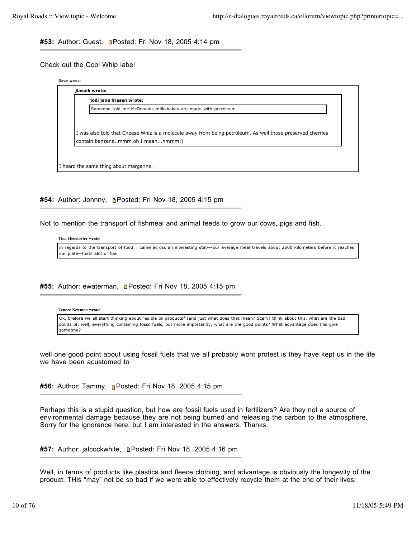## #53: Author: Guest, **n**Posted: Fri Nov 18, 2005 4:14 pm

## Check out the Cool Whip label

| jodi jane friesen wrote:                                                                                   |
|------------------------------------------------------------------------------------------------------------|
| Someone told me McDonalds milkshakes are made with petroleum                                               |
|                                                                                                            |
| I was also told that Cheese Whiz is a molecule away from being petroleum. As well those preserved cherries |
|                                                                                                            |

**#54:** Author: Johnny, Posted: Fri Nov 18, 2005 4:15 pm

Not to mention the transport of fishmeal and animal feeds to grow our cows, pigs and fish.

### **Tina Hessdorfer wrote:**

in regards to the transport of food, i came across an interesting stat---our average meal travels about 2500 kilometers before it reaches our plate--thats alot of fuel

## **#55:** Author: ewaterman, Posted: Fri Nov 18, 2005 4:15 pm

#### **Lenore Newman wrote:**

Ok, brefore we all start thinking about "edible oil products" (and just what does that mean? Scary) think about this. what are the bad points of, well, everything containing fossil fuels, but more importantly, what are the good points? What advantage does this give someone?

well one good point about using fossil fuels that we all probably wont protest is they have kept us in the life we have been acustomed to

#56: Author: Tammy, **n**Posted: Fri Nov 18, 2005 4:15 pm

Perhaps this is a stupid question, but how are fossil fuels used in fertilizers? Are they not a source of environmental damage because they are not being burned and releasing the carbon to the atmosphere. Sorry for the ignorance here, but I am interested in the answers. Thanks.

#57: Author: jalcockwhite, **n**Posted: Fri Nov 18, 2005 4:16 pm

Well, in terms of products like plastics and fleece clothing, and advantage is obviously the longevity of the product. THis "may" not be so bad if we were able to effectively recycle them at the end of their lives;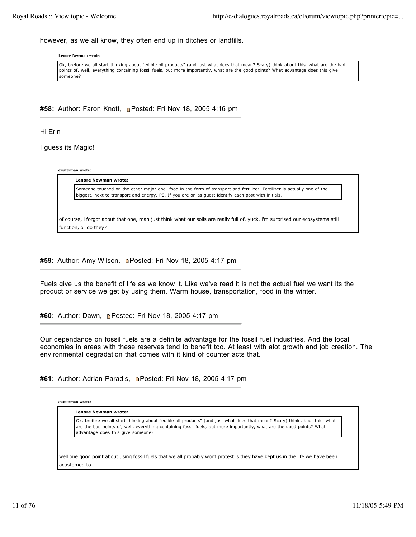however, as we all know, they often end up in ditches or landfills.

**Lenore Newman wrote:**

Ok, brefore we all start thinking about "edible oil products" (and just what does that mean? Scary) think about this. what are the bad points of, well, everything containing fossil fuels, but more importantly, what are the good points? What advantage does this give someone?

**#58:** Author: Faron Knott, Posted: Fri Nov 18, 2005 4:16 pm

Hi Erin

I guess its Magic!

**ewaterman wrote:**

**Lenore Newman wrote:** Someone touched on the other major one- food in the form of transport and fertilizer. Fertilizer is actually one of the biggest, next to transport and energy. PS. If you are on as guest identify each post with initials.

of course, i forgot about that one, man just think what our soils are really full of. yuck. i'm surprised our ecosystems still function, or do they?

#59: Author: Amy Wilson, **Denated: Fri Nov 18, 2005 4:17 pm** 

Fuels give us the benefit of life as we know it. Like we've read it is not the actual fuel we want its the product or service we get by using them. Warm house, transportation, food in the winter.

#60: Author: Dawn, **n**Posted: Fri Nov 18, 2005 4:17 pm

Our dependance on fossil fuels are a definite advantage for the fossil fuel industries. And the local economies in areas with these reserves tend to benefit too. At least with alot growth and job creation. The environmental degradation that comes with it kind of counter acts that.

#61: Author: Adrian Paradis, **n**Posted: Fri Nov 18, 2005 4:17 pm

**ewaterman wrote:**

**Lenore Newman wrote:**

Ok, brefore we all start thinking about "edible oil products" (and just what does that mean? Scary) think about this. what are the bad points of, well, everything containing fossil fuels, but more importantly, what are the good points? What advantage does this give someone?

well one good point about using fossil fuels that we all probably wont protest is they have kept us in the life we have been acustomed to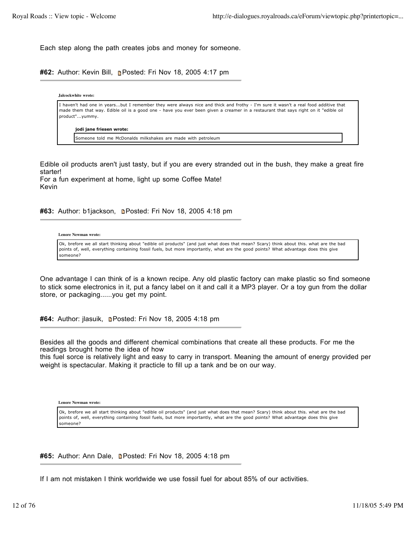Each step along the path creates jobs and money for someone.

**#62:** Author: Kevin Bill, Posted: Fri Nov 18, 2005 4:17 pm

**Jalcockwhite wrote:** I haven't had one in years...but I remember they were always nice and thick and frothy - I'm sure it wasn't a real food additive that made them that way. Edible oil is a good one - have you ever been given a creamer in a restaurant that says right on it "edible oil product"...yummy. **jodi jane friesen wrote:** Someone told me McDonalds milkshakes are made with petroleum

Edible oil products aren't just tasty, but if you are every stranded out in the bush, they make a great fire starter! For a fun experiment at home, light up some Coffee Mate!

#63: Author: b1jackson, **Denated: Fri Nov 18, 2005 4:18 pm** 

### **Lenore Newman wrote:**

Kevin

Ok, brefore we all start thinking about "edible oil products" (and just what does that mean? Scary) think about this. what are the bad points of, well, everything containing fossil fuels, but more importantly, what are the good points? What advantage does this give someone?

One advantage I can think of is a known recipe. Any old plastic factory can make plastic so find someone to stick some electronics in it, put a fancy label on it and call it a MP3 player. Or a toy gun from the dollar store, or packaging......you get my point.

#64: Author: jlasuik, **n**Posted: Fri Nov 18, 2005 4:18 pm

Besides all the goods and different chemical combinations that create all these products. For me the readings brought home the idea of how

this fuel sorce is relatively light and easy to carry in transport. Meaning the amount of energy provided per weight is spectacular. Making it practicle to fill up a tank and be on our way.

Ok, brefore we all start thinking about "edible oil products" (and just what does that mean? Scary) think about this. what are the bad points of, well, everything containing fossil fuels, but more importantly, what are the good points? What advantage does this give someone?

#65: Author: Ann Dale, **n**Posted: Fri Nov 18, 2005 4:18 pm

If I am not mistaken I think worldwide we use fossil fuel for about 85% of our activities.

**Lenore Newman wrote:**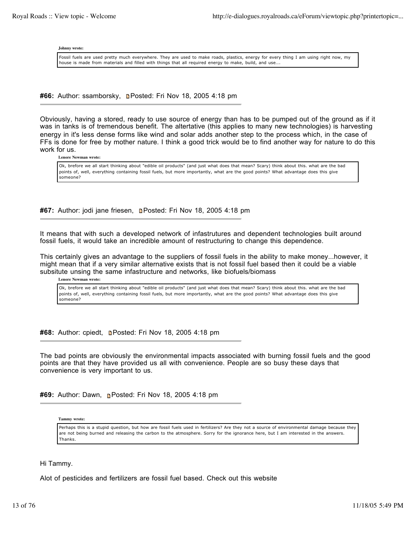**Johnny wrote:**

Fossil fuels are used pretty much everywhere. They are used to make roads, plastics, energy for every thing I am using right now, my house is made from materials and filled with things that all required energy to make, build, and use..

#66: Author: ssamborsky, **n**Posted: Fri Nov 18, 2005 4:18 pm

Obviously, having a stored, ready to use source of energy than has to be pumped out of the ground as if it was in tanks is of tremendous benefit. The altertative (this applies to many new technologies) is harvesting energy in it's less dense forms like wind and solar adds another step to the process which, in the case of FFs is done for free by mother nature. I think a good trick would be to find another way for nature to do this work for us.

**Lenore Newman wrote:**

Ok, brefore we all start thinking about "edible oil products" (and just what does that mean? Scary) think about this. what are the bad points of, well, everything containing fossil fuels, but more importantly, what are the good points? What advantage does this give someone?

**#67:** Author: jodi jane friesen, **Denated: Fri Nov 18, 2005 4:18 pm** 

It means that with such a developed network of infastrutures and dependent technologies built around fossil fuels, it would take an incredible amount of restructuring to change this dependence.

This certainly gives an advantage to the suppliers of fossil fuels in the ability to make money...however, it might mean that if a very similar alternative exists that is not fossil fuel based then it could be a viable subsitute unsing the same infastructure and networks, like biofuels/biomass

**Lenore Newman wrote:**

Ok, brefore we all start thinking about "edible oil products" (and just what does that mean? Scary) think about this. what are the bad points of, well, everything containing fossil fuels, but more importantly, what are the good points? What advantage does this give someone?

**#68:** Author: cpiedt, **Denated: Fri Nov 18, 2005 4:18 pm** 

The bad points are obviously the environmental impacts associated with burning fossil fuels and the good points are that they have provided us all with convenience. People are so busy these days that convenience is very important to us.

#69: Author: Dawn, **n**Posted: Fri Nov 18, 2005 4:18 pm

**Tammy wrote:**

Perhaps this is a stupid question, but how are fossil fuels used in fertilizers? Are they not a source of environmental damage because they are not being burned and releasing the carbon to the atmosphere. Sorry for the ignorance here, but I am interested in the answers. Thanks.

Hi Tammy.

Alot of pesticides and fertilizers are fossil fuel based. Check out this website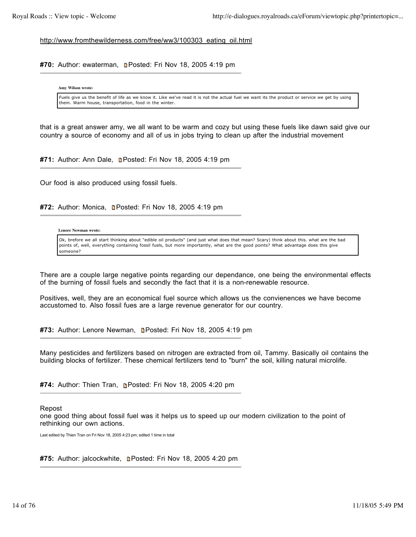http://www.fromthewilderness.com/free/ww3/100303\_eating\_oil.html

#70: Author: ewaterman, **n**Posted: Fri Nov 18, 2005 4:19 pm

**Amy Wilson wrote:**

Fuels give us the benefit of life as we know it. Like we've read it is not the actual fuel we want its the product or service we get by using them. Warm house, transportation, food in the winter.

that is a great answer amy, we all want to be warm and cozy but using these fuels like dawn said give our country a source of economy and all of us in jobs trying to clean up after the industrial movement

#71: Author: Ann Dale, **n**Posted: Fri Nov 18, 2005 4:19 pm

Our food is also produced using fossil fuels.

#72: Author: Monica, **Denated: Fri Nov 18, 2005 4:19 pm** 

**Lenore Newman wrote:**

Ok, brefore we all start thinking about "edible oil products" (and just what does that mean? Scary) think about this. what are the bad points of, well, everything containing fossil fuels, but more importantly, what are the good points? What advantage does this give someone?

There are a couple large negative points regarding our dependance, one being the environmental effects of the burning of fossil fuels and secondly the fact that it is a non-renewable resource.

Positives, well, they are an economical fuel source which allows us the convienences we have become accustomed to. Also fossil fues are a large revenue generator for our country.

#73: Author: Lenore Newman, **n**Posted: Fri Nov 18, 2005 4:19 pm

Many pesticides and fertilizers based on nitrogen are extracted from oil, Tammy. Basically oil contains the building blocks of fertilizer. These chemical fertilizers tend to "burn" the soil, killing natural microlife.

**#74:** Author: Thien Tran, Posted: Fri Nov 18, 2005 4:20 pm

Repost

one good thing about fossil fuel was it helps us to speed up our modern civilization to the point of rethinking our own actions.

Last edited by Thien Tran on Fri Nov 18, 2005 4:23 pm; edited 1 time in total

#75: Author: jalcockwhite, **n**Posted: Fri Nov 18, 2005 4:20 pm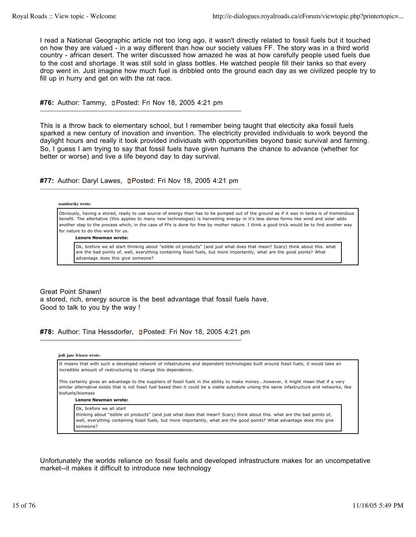I read a National Geographic article not too long ago, it wasn't directly related to fossil fuels but it touched on how they are valued - in a way different than how our society values FF. The story was in a third world country - african desert. The writer discussed how amazed he was at how carefully people used fuels due to the cost and shortage. It was still sold in glass bottles. He watched people fill their tanks so that every drop went in. Just imagine how much fuel is dribbled onto the ground each day as we civilized people try to fill up in hurry and get on with the rat race.

**#76:** Author: Tammy, Posted: Fri Nov 18, 2005 4:21 pm

This is a throw back to elementary school, but I remember being taught that electicity aka fossil fuels sparked a new century of inovation and invention. The electricity provided individuals to work beyond the daylight hours and really it took provided individuals with opportunities beyond basic survival and farming. So, I guess I am trying to say that fossil fuels have given humans the chance to advance (whether for better or worse) and live a life beyond day to day survival.

#77: Author: Daryl Lawes, **n**Posted: Fri Nov 18, 2005 4:21 pm

**ssamborsky wrote:**

Obviously, having a stored, ready to use source of energy than has to be pumped out of the ground as if it was in tanks is of tremendous benefit. The altertative (this applies to many new technologies) is harvesting energy in it's less dense forms like wind and solar adds another step to the process which, in the case of FFs is done for free by mother nature. I think a good trick would be to find another way for nature to do this work for us.

**Lenore Newman wrote:**

Ok, brefore we all start thinking about "edible oil products" (and just what does that mean? Scary) think about this. what are the bad points of, well, everything containing fossil fuels, but more importantly, what are the good points? What advantage does this give someone?

Great Point Shawn! a stored, rich, energy source is the best advantage that fossil fuels have. Good to talk to you by the way !

#78: Author: Tina Hessdorfer, **Denated: Fri Nov 18, 2005 4:21 pm** 



Unfortunately the worlds reliance on fossil fuels and developed infrastructure makes for an uncompetative market--it makes it difficult to introduce new technology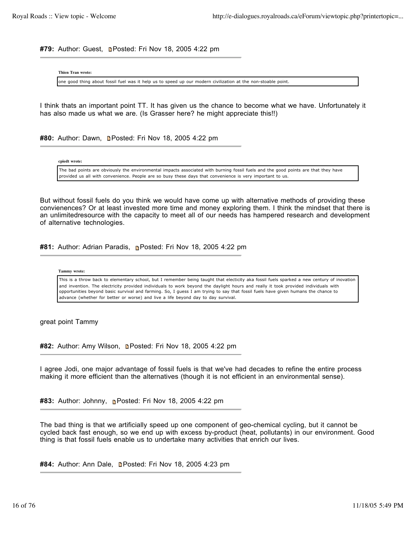#79: Author: Guest, **n**Posted: Fri Nov 18, 2005 4:22 pm

**Thien Tran wrote:**

one good thing about fossil fuel was it help us to speed up our modern civilization at the non-stoable point.

I think thats an important point TT. It has given us the chance to become what we have. Unfortunately it has also made us what we are. (Is Grasser here? he might appreciate this!!)

#80: Author: Dawn, **n**Posted: Fri Nov 18, 2005 4:22 pm

**cpiedt wrote:**

The bad points are obviously the environmental impacts associated with burning fossil fuels and the good points are that they have provided us all with convenience. People are so busy these days that convenience is very important to us.

But without fossil fuels do you think we would have come up with alternative methods of providing these convienences? Or at least invested more time and money exploring them. I think the mindset that there is an unlimitedresource with the capacity to meet all of our needs has hampered research and development of alternative technologies.

#81: Author: Adrian Paradis, **Posted: Fri Nov 18, 2005 4:22 pm** 

**Tammy wrote:**

This is a throw back to elementary school, but I remember being taught that electicity aka fossil fuels sparked a new century of inovation and invention. The electricity provided individuals to work beyond the daylight hours and really it took provided individuals with opportunities beyond basic survival and farming. So, I guess I am trying to say that fossil fuels have given humans the chance to advance (whether for better or worse) and live a life beyond day to day survival.

great point Tammy

#82: Author: Amy Wilson, **Denated: Fri Nov 18, 2005 4:22 pm** 

I agree Jodi, one major advantage of fossil fuels is that we've had decades to refine the entire process making it more efficient than the alternatives (though it is not efficient in an environmental sense).

**#83:** Author: Johnny, Posted: Fri Nov 18, 2005 4:22 pm

The bad thing is that we artificially speed up one component of geo-chemical cycling, but it cannot be cycled back fast enough, so we end up with excess by-product (heat, pollutants) in our environment. Good thing is that fossil fuels enable us to undertake many activities that enrich our lives.

#84: Author: Ann Dale, **n**Posted: Fri Nov 18, 2005 4:23 pm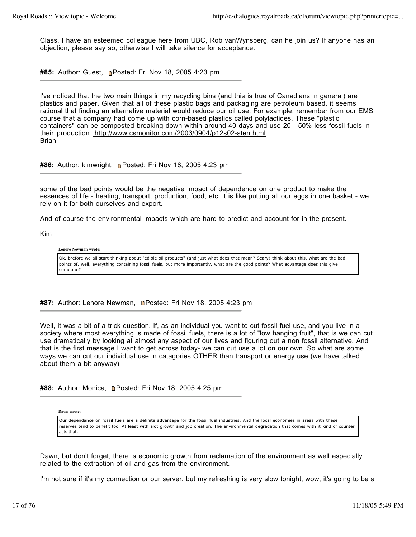Class, I have an esteemed colleague here from UBC, Rob vanWynsberg, can he join us? If anyone has an objection, please say so, otherwise I will take silence for acceptance.

#85: Author: Guest, **n**Posted: Fri Nov 18, 2005 4:23 pm

I've noticed that the two main things in my recycling bins (and this is true of Canadians in general) are plastics and paper. Given that all of these plastic bags and packaging are petroleum based, it seems rational that finding an alternative material would reduce our oil use. For example, remember from our EMS course that a company had come up with corn-based plastics called polylactides. These "plastic containers" can be composted breaking down within around 40 days and use 20 - 50% less fossil fuels in their production. http://www.csmonitor.com/2003/0904/p12s02-sten.html **Brian** 

**#86:** Author: kimwright, Posted: Fri Nov 18, 2005 4:23 pm

some of the bad points would be the negative impact of dependence on one product to make the essences of life - heating, transport, production, food, etc. it is like putting all our eggs in one basket - we rely on it for both ourselves and export.

And of course the environmental impacts which are hard to predict and account for in the present.

Kim.

## **Lenore Newman wrote:**

Ok, brefore we all start thinking about "edible oil products" (and just what does that mean? Scary) think about this. what are the bad points of, well, everything containing fossil fuels, but more importantly, what are the good points? What advantage does this give someone?

#87: Author: Lenore Newman, **n**Posted: Fri Nov 18, 2005 4:23 pm

Well, it was a bit of a trick question. If, as an individual you want to cut fossil fuel use, and you live in a society where most everything is made of fossil fuels, there is a lot of "low hanging fruit", that is we can cut use dramatically by looking at almost any aspect of our lives and figuring out a non fossil alternative. And that is the first message I want to get across today- we can cut use a lot on our own. So what are some ways we can cut our individual use in catagories OTHER than transport or energy use (we have talked about them a bit anyway)

**#88:** Author: Monica, **Denated: Fri Nov 18, 2005 4:25 pm** 

**Dawn wrote:**

Our dependance on fossil fuels are a definite advantage for the fossil fuel industries. And the local economies in areas with these reserves tend to benefit too. At least with alot growth and job creation. The environmental degradation that comes with it kind of counter acts that.

Dawn, but don't forget, there is economic growth from reclamation of the environment as well especially related to the extraction of oil and gas from the environment.

I'm not sure if it's my connection or our server, but my refreshing is very slow tonight, wow, it's going to be a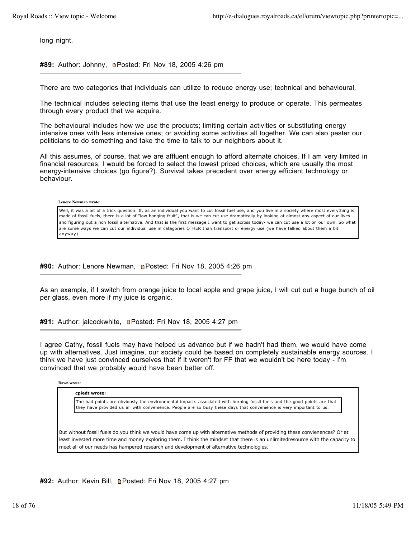long night.

#89: Author: Johnny, **n**Posted: Fri Nov 18, 2005 4:26 pm

There are two categories that individuals can utilize to reduce energy use; technical and behavioural.

The technical includes selecting items that use the least energy to produce or operate. This permeates through every product that we acquire.

The behavioural includes how we use the products; limiting certain activities or substituting energy intensive ones with less intensive ones; or avoiding some activities all together. We can also pester our politicians to do something and take the time to talk to our neighbors about it.

All this assumes, of course, that we are affluent enough to afford alternate choices. If I am very limited in financial resources, I would be forced to select the lowest priced choices, which are usually the most energy-intensive choices (go figure?). Survival takes precedent over energy efficient technology or behaviour.

**Lenore Newman wrote:**

Well, it was a bit of a trick question. If, as an individual you want to cut fossil fuel use, and you live in a society where most everything is made of fossil fuels, there is a lot of "low hanging fruit", that is we can cut use dramatically by looking at almost any aspect of our lives and figuring out a non fossil alternative. And that is the first message I want to get across today- we can cut use a lot on our own. So what are some ways we can cut our individual use in catagories OTHER than transport or energy use (we have talked about them a bit anyway)

**#90:** Author: Lenore Newman, Posted: Fri Nov 18, 2005 4:26 pm

As an example, if I switch from orange juice to local apple and grape juice, I will cut out a huge bunch of oil per glass, even more if my juice is organic.

#91: Author: jalcockwhite, **n**Posted: Fri Nov 18, 2005 4:27 pm

I agree Cathy, fossil fuels may have helped us advance but if we hadn't had them, we would have come up with alternatives. Just imagine, our society could be based on completely sustainable energy sources. I think we have just convinced ourselves that if it weren't for FF that we wouldn't be here today - I'm convinced that we probably would have been better off.

**Dawn wrote:**

**cpiedt wrote:**

The bad points are obviously the environmental impacts associated with burning fossil fuels and the good points are that they have provided us all with convenience. People are so busy these days that convenience is very important to us.

But without fossil fuels do you think we would have come up with alternative methods of providing these convienences? Or at least invested more time and money exploring them. I think the mindset that there is an unlimitedresource with the capacity to meet all of our needs has hampered research and development of alternative technologies.

**#92:** Author: Kevin Bill, Posted: Fri Nov 18, 2005 4:27 pm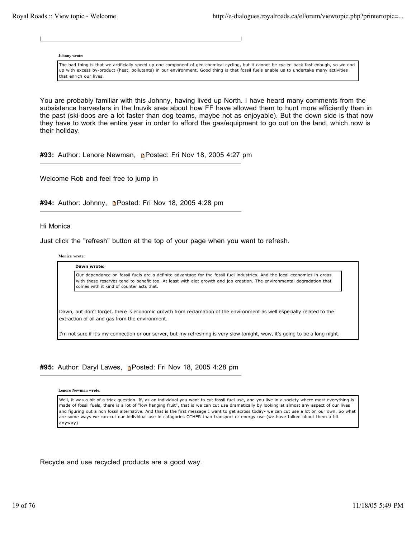**Johnny wrote:**

The bad thing is that we artificially speed up one component of geo-chemical cycling, but it cannot be cycled back fast enough, so we end up with excess by-product (heat, pollutants) in our environment. Good thing is that fossil fuels enable us to undertake many activities that enrich our lives.

You are probably familiar with this Johnny, having lived up North. I have heard many comments from the subsistence harvesters in the Inuvik area about how FF have allowed them to hunt more efficiently than in the past (ski-doos are a lot faster than dog teams, maybe not as enjoyable). But the down side is that now they have to work the entire year in order to afford the gas/equipment to go out on the land, which now is their holiday.

**#93:** Author: Lenore Newman, Posted: Fri Nov 18, 2005 4:27 pm

Welcome Rob and feel free to jump in

#94: Author: Johnny, **Denath Posted: Fri Nov 18, 2005 4:28 pm** 

Hi Monica

Just click the "refresh" button at the top of your page when you want to refresh.

**Monica wrote:**

**Dawn wrote:**

Our dependance on fossil fuels are a definite advantage for the fossil fuel industries. And the local economies in areas with these reserves tend to benefit too. At least with alot growth and job creation. The environmental degradation that comes with it kind of counter acts that.

Dawn, but don't forget, there is economic growth from reclamation of the environment as well especially related to the extraction of oil and gas from the environment.

I'm not sure if it's my connection or our server, but my refreshing is very slow tonight, wow, it's going to be a long night.

# **#95:** Author: Daryl Lawes, Posted: Fri Nov 18, 2005 4:28 pm

**Lenore Newman wrote:**

Well, it was a bit of a trick question. If, as an individual you want to cut fossil fuel use, and you live in a society where most everything is made of fossil fuels, there is a lot of "low hanging fruit", that is we can cut use dramatically by looking at almost any aspect of our lives and figuring out a non fossil alternative. And that is the first message I want to get across today- we can cut use a lot on our own. So what are some ways we can cut our individual use in catagories OTHER than transport or energy use (we have talked about them a bit anyway)

Recycle and use recycled products are a good way.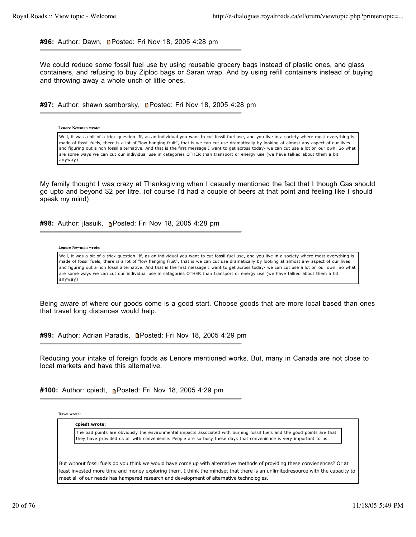**#96:** Author: Dawn, Posted: Fri Nov 18, 2005 4:28 pm

We could reduce some fossil fuel use by using reusable grocery bags instead of plastic ones, and glass containers, and refusing to buy Ziploc bags or Saran wrap. And by using refill containers instead of buying and throwing away a whole unch of little ones.

**#97:** Author: shawn samborsky, Posted: Fri Nov 18, 2005 4:28 pm

## **Lenore Newman wrote:**

Well, it was a bit of a trick question. If, as an individual you want to cut fossil fuel use, and you live in a society where most everything is made of fossil fuels, there is a lot of "low hanging fruit", that is we can cut use dramatically by looking at almost any aspect of our lives and figuring out a non fossil alternative. And that is the first message I want to get across today- we can cut use a lot on our own. So what are some ways we can cut our individual use in catagories OTHER than transport or energy use (we have talked about them a bit anyway)

My family thought I was crazy at Thanksgiving when I casually mentioned the fact that I though Gas should go upto and beyond \$2 per litre. (of course I'd had a couple of beers at that point and feeling like I should speak my mind)

**#98:** Author: jlasuik, Posted: Fri Nov 18, 2005 4:28 pm

### **Lenore Newman wrote:**

Well, it was a bit of a trick question. If, as an individual you want to cut fossil fuel use, and you live in a society where most everything is made of fossil fuels, there is a lot of "low hanging fruit", that is we can cut use dramatically by looking at almost any aspect of our lives and figuring out a non fossil alternative. And that is the first message I want to get across today- we can cut use a lot on our own. So what are some ways we can cut our individual use in catagories OTHER than transport or energy use (we have talked about them a bit anyway)

Being aware of where our goods come is a good start. Choose goods that are more local based than ones that travel long distances would help.

#99: Author: Adrian Paradis, **Denated: Fri Nov 18, 2005 4:29 pm** 

Reducing your intake of foreign foods as Lenore mentioned works. But, many in Canada are not close to local markets and have this alternative.

#100: Author: cpiedt, **n**Posted: Fri Nov 18, 2005 4:29 pm

**Dawn wrote:**

**cpiedt wrote:**

The bad points are obviously the environmental impacts associated with burning fossil fuels and the good points are that they have provided us all with convenience. People are so busy these days that convenience is very important to us.

But without fossil fuels do you think we would have come up with alternative methods of providing these convienences? Or at least invested more time and money exploring them. I think the mindset that there is an unlimitedresource with the capacity to meet all of our needs has hampered research and development of alternative technologies.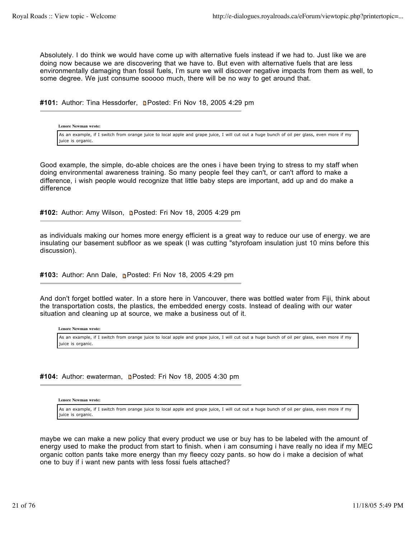Absolutely. I do think we would have come up with alternative fuels instead if we had to. Just like we are doing now because we are discovering that we have to. But even with alternative fuels that are less environmentally damaging than fossil fuels, I'm sure we will discover negative impacts from them as well, to some degree. We just consume sooooo much, there will be no way to get around that.

#101: Author: Tina Hessdorfer, **n**Posted: Fri Nov 18, 2005 4:29 pm

**Lenore Newman wrote:** As an example, if I switch from orange juice to local apple and grape juice, I will cut out a huge bunch of oil per glass, even more if my juice is organic.

Good example, the simple, do-able choices are the ones i have been trying to stress to my staff when doing environmental awareness training. So many people feel they can't, or can't afford to make a difference, i wish people would recognize that little baby steps are important, add up and do make a difference

#102: Author: Amy Wilson, **Depart Posted: Fri Nov 18, 2005 4:29 pm** 

as individuals making our homes more energy efficient is a great way to reduce our use of energy. we are insulating our basement subfloor as we speak (I was cutting "styrofoam insulation just 10 mins before this discussion).

**#103:** Author: Ann Dale, Posted: Fri Nov 18, 2005 4:29 pm

And don't forget bottled water. In a store here in Vancouver, there was bottled water from Fiji, think about the transportation costs, the plastics, the embedded energy costs. Instead of dealing with our water situation and cleaning up at source, we make a business out of it.

**Lenore Newman wrote:**

As an example, if I switch from orange juice to local apple and grape juice, I will cut out a huge bunch of oil per glass, even more if my juice is organic.

#104: Author: ewaterman, **Denated: Fri Nov 18, 2005 4:30 pm** 

**Lenore Newman wrote:**

As an example, if I switch from orange juice to local apple and grape juice, I will cut out a huge bunch of oil per glass, even more if my juice is organic.

maybe we can make a new policy that every product we use or buy has to be labeled with the amount of energy used to make the product from start to finish. when i am consuming i have really no idea if my MEC organic cotton pants take more energy than my fleecy cozy pants. so how do i make a decision of what one to buy if i want new pants with less fossi fuels attached?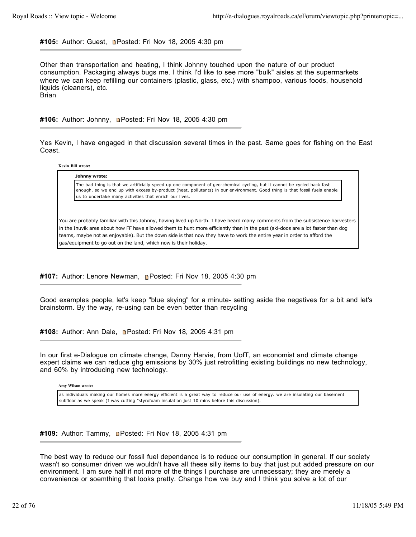## #105: Author: Guest, **n**Posted: Fri Nov 18, 2005 4:30 pm

Other than transportation and heating, I think Johnny touched upon the nature of our product consumption. Packaging always bugs me. I think I'd like to see more "bulk" aisles at the supermarkets where we can keep refilling our containers (plastic, glass, etc.) with shampoo, various foods, household liquids (cleaners), etc. Brian

**#106:** Author: Johnny, Posted: Fri Nov 18, 2005 4:30 pm

Yes Kevin, I have engaged in that discussion several times in the past. Same goes for fishing on the East Coast.

**Kevin Bill wrote:**

**Johnny wrote:**

The bad thing is that we artificially speed up one component of geo-chemical cycling, but it cannot be cycled back fast enough, so we end up with excess by-product (heat, pollutants) in our environment. Good thing is that fossil fuels enable us to undertake many activities that enrich our lives.

You are probably familiar with this Johnny, having lived up North. I have heard many comments from the subsistence harvesters in the Inuvik area about how FF have allowed them to hunt more efficiently than in the past (ski-doos are a lot faster than dog teams, maybe not as enjoyable). But the down side is that now they have to work the entire year in order to afford the gas/equipment to go out on the land, which now is their holiday.

**#107:** Author: Lenore Newman, Posted: Fri Nov 18, 2005 4:30 pm

Good examples people, let's keep "blue skying" for a minute- setting aside the negatives for a bit and let's brainstorm. By the way, re-using can be even better than recycling

#108: Author: Ann Dale, **n**Posted: Fri Nov 18, 2005 4:31 pm

In our first e-Dialogue on climate change, Danny Harvie, from UofT, an economist and climate change expert claims we can reduce ghg emissions by 30% just retrofitting existing buildings no new technology, and 60% by introducing new technology.

**Amy Wilson wrote:**

as individuals making our homes more energy efficient is a great way to reduce our use of energy. we are insulating our basement subfloor as we speak (I was cutting "styrofoam insulation just 10 mins before this discussion).

#109: Author: Tammy, **Denated: Fri Nov 18, 2005 4:31 pm** 

The best way to reduce our fossil fuel dependance is to reduce our consumption in general. If our society wasn't so consumer driven we wouldn't have all these silly items to buy that just put added pressure on our environment. I am sure half if not more of the things I purchase are unnecessary; they are merely a convenience or soemthing that looks pretty. Change how we buy and I think you solve a lot of our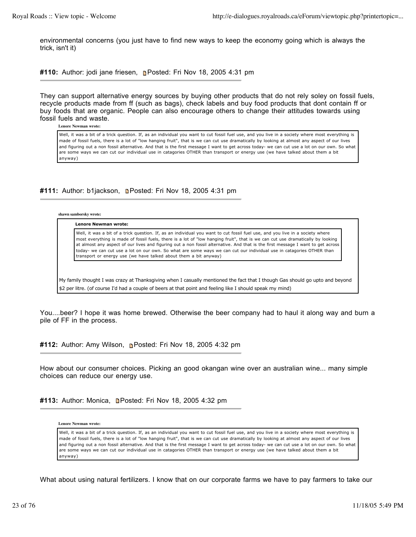environmental concerns (you just have to find new ways to keep the economy going which is always the trick, isn't it)

**#110:** Author: jodi jane friesen, **p**Posted: Fri Nov 18, 2005 4:31 pm

They can support alternative energy sources by buying other products that do not rely soley on fossil fuels, recycle products made from ff (such as bags), check labels and buy food products that dont contain ff or buy foods that are organic. People can also encourage others to change their attitudes towards using fossil fuels and waste.

**Lenore Newman wrote:**

Well, it was a bit of a trick question. If, as an individual you want to cut fossil fuel use, and you live in a society where most everything is made of fossil fuels, there is a lot of "low hanging fruit", that is we can cut use dramatically by looking at almost any aspect of our lives and figuring out a non fossil alternative. And that is the first message I want to get across today- we can cut use a lot on our own. So what are some ways we can cut our individual use in catagories OTHER than transport or energy use (we have talked about them a bit anyway)

# #111: Author: b1jackson, **n**Posted: Fri Nov 18, 2005 4:31 pm

**shawn samborsky wrote:**

**Lenore Newman wrote:** Well, it was a bit of a trick question. If, as an individual you want to cut fossil fuel use, and you live in a society where most everything is made of fossil fuels, there is a lot of "low hanging fruit", that is we can cut use dramatically by looking at almost any aspect of our lives and figuring out a non fossil alternative. And that is the first message I want to get across today- we can cut use a lot on our own. So what are some ways we can cut our individual use in catagories OTHER than transport or energy use (we have talked about them a bit anyway)

My family thought I was crazy at Thanksgiving when I casually mentioned the fact that I though Gas should go upto and beyond \$2 per litre. (of course I'd had a couple of beers at that point and feeling like I should speak my mind)

You....beer? I hope it was home brewed. Otherwise the beer company had to haul it along way and burn a pile of FF in the process.

**#112:** Author: Amy Wilson, **Posted: Fri Nov 18, 2005 4:32 pm** 

How about our consumer choices. Picking an good okangan wine over an australian wine... many simple choices can reduce our energy use.

#113: Author: Monica, **Denated: Fri Nov 18, 2005 4:32 pm** 

**Lenore Newman wrote:**

Well, it was a bit of a trick question. If, as an individual you want to cut fossil fuel use, and you live in a society where most everything is made of fossil fuels, there is a lot of "low hanging fruit", that is we can cut use dramatically by looking at almost any aspect of our lives and figuring out a non fossil alternative. And that is the first message I want to get across today- we can cut use a lot on our own. So what are some ways we can cut our individual use in catagories OTHER than transport or energy use (we have talked about them a bit anyway)

What about using natural fertilizers. I know that on our corporate farms we have to pay farmers to take our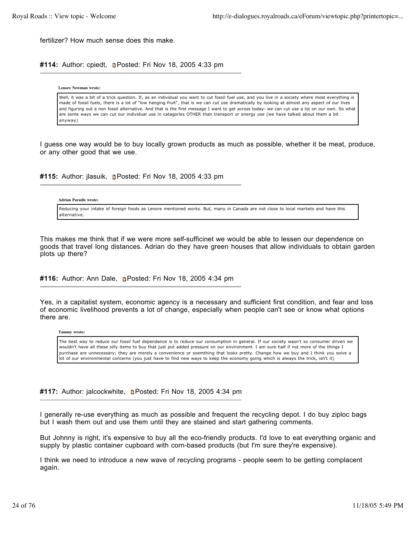fertilizer? How much sense does this make.

#114: Author: cpiedt, **n**Posted: Fri Nov 18, 2005 4:33 pm

**Lenore Newman wrote:**

Well, it was a bit of a trick question. If, as an individual you want to cut fossil fuel use, and you live in a society where most everything is made of fossil fuels, there is a lot of "low hanging fruit", that is we can cut use dramatically by looking at almost any aspect of our lives and figuring out a non fossil alternative. And that is the first message I want to get across today- we can cut use a lot on our own. So what are some ways we can cut our individual use in catagories OTHER than transport or energy use (we have talked about them a bit anyway)

I guess one way would be to buy locally grown products as much as possible, whether it be meat, produce, or any other good that we use.

**#115:** Author: jlasuik, **n**Posted: Fri Nov 18, 2005 4:33 pm

## **Adrian Paradis wrote:**

Reducing your intake of foreign foods as Lenore mentioned works. But, many in Canada are not close to local markets and have this alternative.

This makes me think that if we were more self-sufficinet we would be able to lessen our dependence on goods that travel long distances. Adrian do they have green houses that allow individuals to obtain garden plots up there?

#116: Author: Ann Dale, **n**Posted: Fri Nov 18, 2005 4:34 pm

Yes, in a capitalist system, economic agency is a necessary and sufficient first condition, and fear and loss of economic livelihood prevents a lot of change, especially when people can't see or know what options there are.

**Tammy wrote:**

The best way to reduce our fossil fuel dependance is to reduce our consumption in general. If our society wasn't so consumer driven we wouldn't have all these silly items to buy that just put added pressure on our environment. I am sure half if not more of the things I purchase are unnecessary; they are merely a convenience or soemthing that looks pretty. Change how we buy and I think you solve a lot of our environmental concerns (you just have to find new ways to keep the economy going which is always the trick, isn't it)

#117: Author: jalcockwhite, **n**Posted: Fri Nov 18, 2005 4:34 pm

I generally re-use everything as much as possible and frequent the recycling depot. I do buy ziploc bags but I wash them out and use them until they are stained and start gathering comments.

But Johnny is right, it's expensive to buy all the eco-friendly products. I'd love to eat everything organic and supply by plastic container cupboard with corn-based products (but I'm sure they're expensive).

I think we need to introduce a new wave of recycling programs - people seem to be getting complacent again.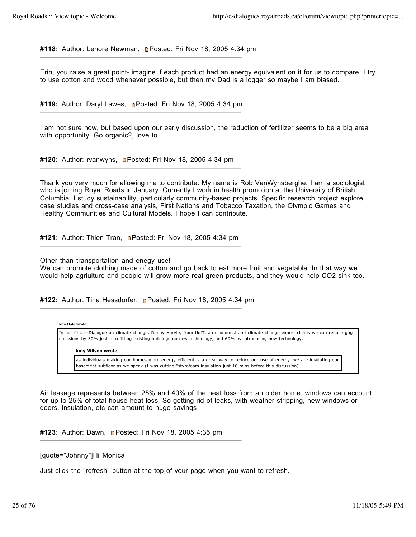#118: Author: Lenore Newman, **Denated: Fri Nov 18, 2005 4:34 pm** 

Erin, you raise a great point- imagine if each product had an energy equivalent on it for us to compare. I try to use cotton and wood whenever possible, but then my Dad is a logger so maybe I am biased.

#119: Author: Daryl Lawes, **p**Posted: Fri Nov 18, 2005 4:34 pm

I am not sure how, but based upon our early discussion, the reduction of fertilizer seems to be a big area with opportunity. Go organic?, love to.

**#120:** Author: rvanwyns, Posted: Fri Nov 18, 2005 4:34 pm

Thank you very much for allowing me to contribute. My name is Rob VanWynsberghe. I am a sociologist who is joining Royal Roads in January. Currently I work in health promotion at the University of British Columbia. I study sustainability, particularly community-based projects. Specific research project explore case studies and cross-case analysis, First Nations and Tobacco Taxation, the Olympic Games and Healthy Communities and Cultural Models. I hope I can contribute.

#121: Author: Thien Tran, **n**Posted: Fri Nov 18, 2005 4:34 pm

Other than transportation and enegy use!

We can promote clothing made of cotton and go back to eat more fruit and vegetable. In that way we would help agriulture and people will grow more real green products, and they would help CO2 sink too.

#122: Author: Tina Hessdorfer, **P**osted: Fri Nov 18, 2005 4:34 pm

## **Ann Dale wrote:**

In our first e-Dialogue on climate change, Danny Harvie, from UofT, an economist and climate change expert claims we can reduce ghg emissions by 30% just retrofitting existing buildings no new technology, and 60% by introducing new technology.

### **Amy Wilson wrote:**

as individuals making our homes more energy efficient is a great way to reduce our use of energy. we are insulating our basement subfloor as we speak (I was cutting "styrofoam insulation just 10 mins before this discussion).

Air leakage represents between 25% and 40% of the heat loss from an older home, windows can account for up to 25% of total house heat loss. So getting rid of leaks, with weather stripping, new windows or doors, insulation, etc can amount to huge savings

**#123:** Author: Dawn, Posted: Fri Nov 18, 2005 4:35 pm

[quote="Johnny"]Hi Monica

Just click the "refresh" button at the top of your page when you want to refresh.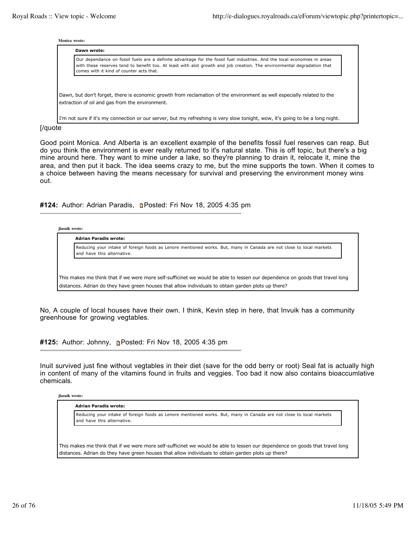#### **Monica wrote:**

| Dawn wrote:                                                                                                                                                                                                                                                                                     |
|-------------------------------------------------------------------------------------------------------------------------------------------------------------------------------------------------------------------------------------------------------------------------------------------------|
| Our dependance on fossil fuels are a definite advantage for the fossil fuel industries. And the local economies in areas<br>with these reserves tend to benefit too. At least with alot growth and job creation. The environmental degradation that<br>comes with it kind of counter acts that. |
| Dawn, but don't forget, there is economic growth from reclamation of the environment as well especially related to the                                                                                                                                                                          |
| extraction of oil and gas from the environment.                                                                                                                                                                                                                                                 |
| I'm not sure if it's my connection or our server, but my refreshing is very slow tonight, wow, it's going to be a long night.                                                                                                                                                                   |

## [/quote

Good point Monica. And Alberta is an excellent example of the benefits fossil fuel reserves can reap. But do you think the environment is ever really returned to it's natural state. This is off topic, but there's a big mine around here. They want to mine under a lake, so they're planning to drain it, relocate it, mine the area, and then put it back. The idea seems crazy to me, but the mine supports the town. When it comes to a choice between having the means necessary for survival and preserving the environment money wins out.

#124: Author: Adrian Paradis, **Deparation 18, 2005** 4:35 pm

**jlasuik wrote:**

**Adrian Paradis wrote:**

Reducing your intake of foreign foods as Lenore mentioned works. But, many in Canada are not close to local markets and have this alternative.

This makes me think that if we were more self-sufficinet we would be able to lessen our dependence on goods that travel long distances. Adrian do they have green houses that allow individuals to obtain garden plots up there?

No, A couple of local houses have their own. I think, Kevin step in here, that Invuik has a community greenhouse for growing vegtables.

**#125:** Author: Johnny, Posted: Fri Nov 18, 2005 4:35 pm

Inuit survived just fine without vegtables in their diet (save for the odd berry or root) Seal fat is actually high in content of many of the vitamins found in fruits and veggies. Too bad it now also contains bioaccumlative chemicals.

## **jlasuik wrote:**

**Adrian Paradis wrote:**

Reducing your intake of foreign foods as Lenore mentioned works. But, many in Canada are not close to local markets and have this alternative.

This makes me think that if we were more self-sufficinet we would be able to lessen our dependence on goods that travel long distances. Adrian do they have green houses that allow individuals to obtain garden plots up there?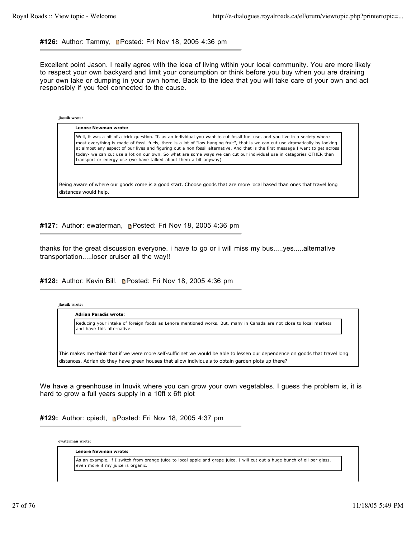# #126: Author: Tammy, **Depart Posted: Fri Nov 18, 2005 4:36 pm**

Excellent point Jason. I really agree with the idea of living within your local community. You are more likely to respect your own backyard and limit your consumption or think before you buy when you are draining your own lake or dumping in your own home. Back to the idea that you will take care of your own and act responsibly if you feel connected to the cause.

**jlasuik wrote:**

**Lenore Newman wrote:**

Well, it was a bit of a trick question. If, as an individual you want to cut fossil fuel use, and you live in a society where most everything is made of fossil fuels, there is a lot of "low hanging fruit", that is we can cut use dramatically by looking at almost any aspect of our lives and figuring out a non fossil alternative. And that is the first message I want to get across today- we can cut use a lot on our own. So what are some ways we can cut our individual use in catagories OTHER than transport or energy use (we have talked about them a bit anyway)

Being aware of where our goods come is a good start. Choose goods that are more local based than ones that travel long distances would help.

**#127:** Author: ewaterman, Posted: Fri Nov 18, 2005 4:36 pm

thanks for the great discussion everyone. i have to go or i will miss my bus.....yes.....alternative transportation.....loser cruiser all the way!!

**#128:** Author: Kevin Bill, Posted: Fri Nov 18, 2005 4:36 pm

| Reducing your intake of foreign foods as Lenore mentioned works. But, many in Canada are not close to local markets |
|---------------------------------------------------------------------------------------------------------------------|
| and have this alternative.                                                                                          |
|                                                                                                                     |

We have a greenhouse in Inuvik where you can grow your own vegetables. I guess the problem is, it is hard to grow a full years supply in a 10ft x 6ft plot

**#129:** Author: cpiedt, **Posted: Fri Nov 18, 2005 4:37 pm** 

**ewaterman wrote:**

**Lenore Newman wrote:**

As an example, if I switch from orange juice to local apple and grape juice, I will cut out a huge bunch of oil per glass, even more if my juice is organic.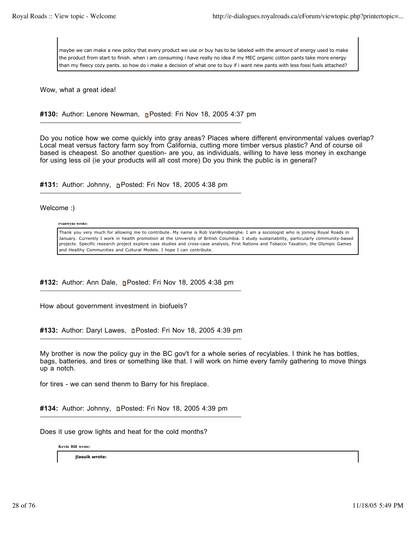maybe we can make a new policy that every product we use or buy has to be labeled with the amount of energy used to make the product from start to finish. when i am consuming i have really no idea if my MEC organic cotton pants take more energy than my fleecy cozy pants. so how do i make a decision of what one to buy if i want new pants with less fossi fuels attached?

Wow, what a great idea!

# **#130:** Author: Lenore Newman, Posted: Fri Nov 18, 2005 4:37 pm

Do you notice how we come quickly into gray areas? Places where different environmental values overlap? Local meat versus factory farm soy from California, cutting more timber versus plastic? And of course oil based is cheapest. So another question- are you, as individuals, willing to have less money in exchange for using less oil (ie your products will all cost more) Do you think the public is in general?

**#131:** Author: Johnny, Posted: Fri Nov 18, 2005 4:38 pm

Welcome :)

## **rvanwyns wrote:**

Thank you very much for allowing me to contribute. My name is Rob VanWynsberghe. I am a sociologist who is joining Royal Roads in January. Currently I work in health promotion at the University of British Columbia. I study sustainability, particularly community-based projects. Specific research project explore case studies and cross-case analysis, First Nations and Tobacco Taxation, the Olympic Games and Healthy Communities and Cultural Models. I hope I can contribute.

#132: Author: Ann Dale, **n**Posted: Fri Nov 18, 2005 4:38 pm

How about government investment in biofuels?

#133: Author: Daryl Lawes, **n**Posted: Fri Nov 18, 2005 4:39 pm

My brother is now the policy guy in the BC gov't for a whole series of recylables. I think he has bottles, bags, batteries, and tires or something like that. I will work on hime every family gathering to move things up a notch.

for tires - we can send thenm to Barry for his fireplace.

#134: Author: Johnny, **n**Posted: Fri Nov 18, 2005 4:39 pm

Does it use grow lights and heat for the cold months?

**Kevin Bill wrote:**

**jlasuik wrote:**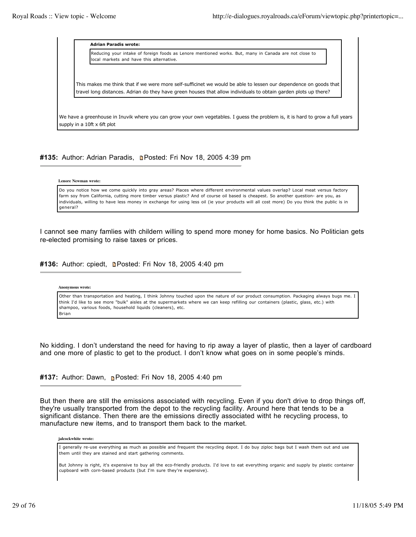**Adrian Paradis wrote:** Reducing your intake of foreign foods as Lenore mentioned works. But, many in Canada are not close to local markets and have this alternative.

This makes me think that if we were more self-sufficinet we would be able to lessen our dependence on goods that travel long distances. Adrian do they have green houses that allow individuals to obtain garden plots up there?

We have a greenhouse in Inuvik where you can grow your own vegetables. I guess the problem is, it is hard to grow a full years supply in a 10ft x 6ft plot

# #135: Author: Adrian Paradis, **Deparation 18, 2005 4:39 pm**

**Lenore Newman wrote:**

Do you notice how we come quickly into gray areas? Places where different environmental values overlap? Local meat versus factory farm soy from California, cutting more timber versus plastic? And of course oil based is cheapest. So another question- are you, as individuals, willing to have less money in exchange for using less oil (ie your products will all cost more) Do you think the public is in general?

I cannot see many famlies with childern willing to spend more money for home basics. No Politician gets re-elected promising to raise taxes or prices.

#136: Author: cpiedt, **Denated: Fri Nov 18, 2005 4:40 pm** 

**Anonymous wrote:**

Other than transportation and heating, I think Johnny touched upon the nature of our product consumption. Packaging always bugs me. I think I'd like to see more "bulk" aisles at the supermarkets where we can keep refilling our containers (plastic, glass, etc.) with shampoo, various foods, household liquids (cleaners), etc. Brian

No kidding. I don't understand the need for having to rip away a layer of plastic, then a layer of cardboard and one more of plastic to get to the product. I don't know what goes on in some people's minds.

**#137:** Author: Dawn, **n**e Posted: Fri Nov 18, 2005 4:40 pm

But then there are still the emissions associated with recycling. Even if you don't drive to drop things off, they're usually transported from the depot to the recycling facility. Around here that tends to be a significant distance. Then there are the emissions directly associated witht he recycling process, to manufacture new items, and to transport them back to the market.

**jalcockwhite wrote:**

I generally re-use everything as much as possible and frequent the recycling depot. I do buy ziploc bags but I wash them out and use them until they are stained and start gathering comments.

But Johnny is right, it's expensive to buy all the eco-friendly products. I'd love to eat everything organic and supply by plastic container cupboard with corn-based products (but I'm sure they're expensive).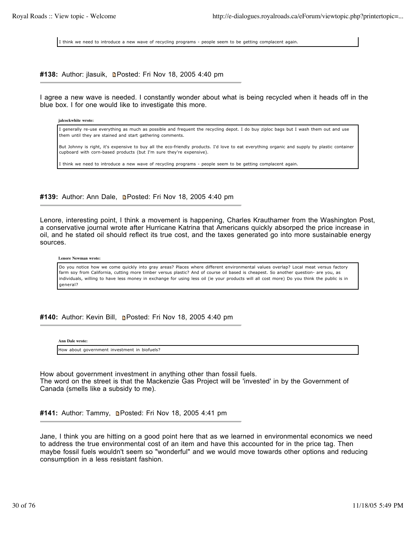I think we need to introduce a new wave of recycling programs - people seem to be getting complacent again.

# **#138:** Author: jlasuik, Posted: Fri Nov 18, 2005 4:40 pm

I agree a new wave is needed. I constantly wonder about what is being recycled when it heads off in the blue box. I for one would like to investigate this more.

**jalcockwhite wrote:**

I generally re-use everything as much as possible and frequent the recycling depot. I do buy ziploc bags but I wash them out and use them until they are stained and start gathering comments.

But Johnny is right, it's expensive to buy all the eco-friendly products. I'd love to eat everything organic and supply by plastic container cupboard with corn-based products (but I'm sure they're expensive).

I think we need to introduce a new wave of recycling programs - people seem to be getting complacent again.

#139: Author: Ann Dale, **Denated: Fri Nov 18, 2005 4:40 pm** 

Lenore, interesting point, I think a movement is happening, Charles Krauthamer from the Washington Post, a conservative journal wrote after Hurricane Katrina that Americans quickly absorped the price increase in oil, and he stated oil should reflect its true cost, and the taxes generated go into more sustainable energy sources.

### **Lenore Newman wrote:**

Do you notice how we come quickly into gray areas? Places where different environmental values overlap? Local meat versus factory farm soy from California, cutting more timber versus plastic? And of course oil based is cheapest. So another question- are you, as individuals, willing to have less money in exchange for using less oil (ie your products will all cost more) Do you think the public is in general?

**#140:** Author: Kevin Bill, Posted: Fri Nov 18, 2005 4:40 pm

**Ann Dale wrote:**

How about government investment in biofuels?

How about government investment in anything other than fossil fuels. The word on the street is that the Mackenzie Gas Project will be 'invested' in by the Government of Canada (smells like a subsidy to me).

#141: Author: Tammy, **Denatation Fill Nov 18, 2005 4:41 pm** 

Jane, I think you are hitting on a good point here that as we learned in environmental economics we need to address the true environmental cost of an item and have this accounted for in the price tag. Then maybe fossil fuels wouldn't seem so "wonderful" and we would move towards other options and reducing consumption in a less resistant fashion.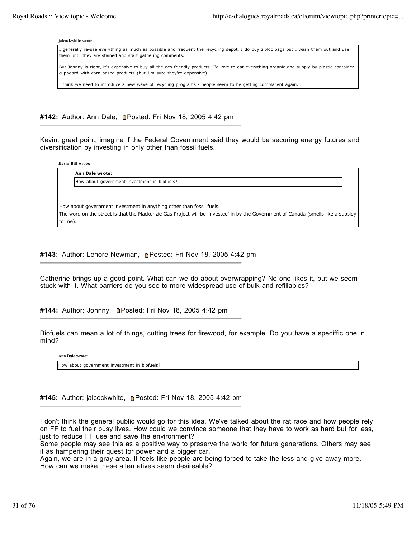#### **jalcockwhite wrote:**

I generally re-use everything as much as possible and frequent the recycling depot. I do buy ziploc bags but I wash them out and use them until they are stained and start gathering comments.

But Johnny is right, it's expensive to buy all the eco-friendly products. I'd love to eat everything organic and supply by plastic container cupboard with corn-based products (but I'm sure they're expensive).

I think we need to introduce a new wave of recycling programs - people seem to be getting complacent again.

#142: Author: Ann Dale, **n**Posted: Fri Nov 18, 2005 4:42 pm

Kevin, great point, imagine if the Federal Government said they would be securing energy futures and diversification by investing in only other than fossil fuels.

**Kevin Bill wrote:**

**Ann Dale wrote:** How about government investment in biofuels?

How about government investment in anything other than fossil fuels. The word on the street is that the Mackenzie Gas Project will be 'invested' in by the Government of Canada (smells like a subsidy to me).

**#143:** Author: Lenore Newman, Posted: Fri Nov 18, 2005 4:42 pm

Catherine brings up a good point. What can we do about overwrapping? No one likes it, but we seem stuck with it. What barriers do you see to more widespread use of bulk and refillables?

**#144:** Author: Johnny, Posted: Fri Nov 18, 2005 4:42 pm

Biofuels can mean a lot of things, cutting trees for firewood, for example. Do you have a speciffic one in mind?

**Ann Dale wrote:**

How about government investment in biofuels?

**#145:** Author: jalcockwhite, Posted: Fri Nov 18, 2005 4:42 pm

I don't think the general public would go for this idea. We've talked about the rat race and how people rely on FF to fuel their busy lives. How could we convince someone that they have to work as hard but for less, just to reduce FF use and save the environment?

Some people may see this as a positive way to preserve the world for future generations. Others may see it as hampering their quest for power and a bigger car.

Again, we are in a gray area. It feels like people are being forced to take the less and give away more. How can we make these alternatives seem desireable?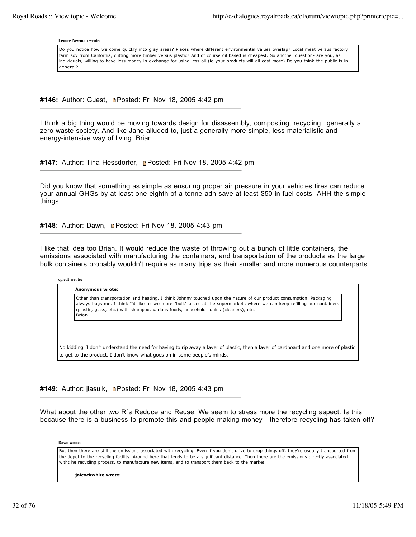#### **Lenore Newman wrote:**

Do you notice how we come quickly into gray areas? Places where different environmental values overlap? Local meat versus factory farm soy from California, cutting more timber versus plastic? And of course oil based is cheapest. So another question- are you, as individuals, willing to have less money in exchange for using less oil (ie your products will all cost more) Do you think the public is in general?

#146: Author: Guest, **n**Posted: Fri Nov 18, 2005 4:42 pm

I think a big thing would be moving towards design for disassembly, composting, recycling...generally a zero waste society. And like Jane alluded to, just a generally more simple, less materialistic and energy-intensive way of living. Brian

#147: Author: Tina Hessdorfer, Posted: Fri Nov 18, 2005 4:42 pm

Did you know that something as simple as ensuring proper air pressure in your vehicles tires can reduce your annual GHGs by at least one eighth of a tonne adn save at least \$50 in fuel costs--AHH the simple things

#148: Author: Dawn, **n**Posted: Fri Nov 18, 2005 4:43 pm

I like that idea too Brian. It would reduce the waste of throwing out a bunch of little containers, the emissions associated with manufacturing the containers, and transportation of the products as the large bulk containers probably wouldn't require as many trips as their smaller and more numerous counterparts.

### **cpiedt wrote:**

**Anonymous wrote:**

Other than transportation and heating, I think Johnny touched upon the nature of our product consumption. Packaging always bugs me. I think I'd like to see more "bulk" aisles at the supermarkets where we can keep refilling our containers (plastic, glass, etc.) with shampoo, various foods, household liquids (cleaners), etc. Brian

No kidding. I don't understand the need for having to rip away a layer of plastic, then a layer of cardboard and one more of plastic to get to the product. I don't know what goes on in some people's minds.

#149: Author: jlasuik, **n**Posted: Fri Nov 18, 2005 4:43 pm

What about the other two R´s Reduce and Reuse. We seem to stress more the recycling aspect. Is this because there is a business to promote this and people making money - therefore recycling has taken off?

**Dawn wrote:**

But then there are still the emissions associated with recycling. Even if you don't drive to drop things off, they're usually transported from the depot to the recycling facility. Around here that tends to be a significant distance. Then there are the emissions directly associated witht he recycling process, to manufacture new items, and to transport them back to the market.

**jalcockwhite wrote:**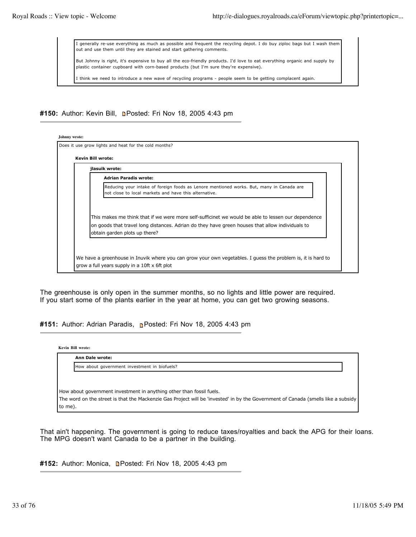I generally re-use everything as much as possible and frequent the recycling depot. I do buy ziploc bags but I wash them out and use them until they are stained and start gathering comments.

But Johnny is right, it's expensive to buy all the eco-friendly products. I'd love to eat everything organic and supply by plastic container cupboard with corn-based products (but I'm sure they're expensive).

I think we need to introduce a new wave of recycling programs - people seem to be getting complacent again.

#150: Author: Kevin Bill, **n**Posted: Fri Nov 18, 2005 4:43 pm

| jlasuik wrote:                                                                                                                                                                                                                         |
|----------------------------------------------------------------------------------------------------------------------------------------------------------------------------------------------------------------------------------------|
| <b>Adrian Paradis wrote:</b>                                                                                                                                                                                                           |
| Reducing your intake of foreign foods as Lenore mentioned works. But, many in Canada are<br>not close to local markets and have this alternative.                                                                                      |
| This makes me think that if we were more self-sufficinet we would be able to lessen our dependence<br>on goods that travel long distances. Adrian do they have green houses that allow individuals to<br>obtain garden plots up there? |

The greenhouse is only open in the summer months, so no lights and little power are required. If you start some of the plants earlier in the year at home, you can get two growing seasons.

**#151:** Author: Adrian Paradis, Posted: Fri Nov 18, 2005 4:43 pm

**Kevin Bill wrote:**

**Ann Dale wrote:** How about government investment in biofuels? How about government investment in anything other than fossil fuels. The word on the street is that the Mackenzie Gas Project will be 'invested' in by the Government of Canada (smells like a subsidy to me).

That ain't happening. The government is going to reduce taxes/royalties and back the APG for their loans. The MPG doesn't want Canada to be a partner in the building.

#152: Author: Monica, **D**Posted: Fri Nov 18, 2005 4:43 pm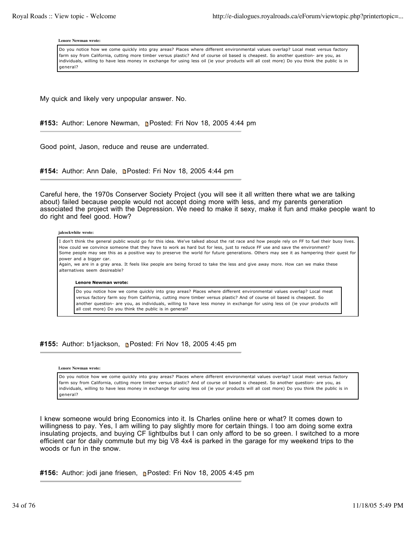#### **Lenore Newman wrote:**

Do you notice how we come quickly into gray areas? Places where different environmental values overlap? Local meat versus factory farm soy from California, cutting more timber versus plastic? And of course oil based is cheapest. So another question- are you, as individuals, willing to have less money in exchange for using less oil (ie your products will all cost more) Do you think the public is in general?

My quick and likely very unpopular answer. No.

#153: Author: Lenore Newman, **n**e Posted: Fri Nov 18, 2005 4:44 pm

Good point, Jason, reduce and reuse are underrated.

#154: Author: Ann Dale, **Denated: Fri Nov 18, 2005 4:44 pm** 

Careful here, the 1970s Conserver Society Project (you will see it all written there what we are talking about) failed because people would not accept doing more with less, and my parents generation associated the project with the Depression. We need to make it sexy, make it fun and make people want to do right and feel good. How?

#### **jalcockwhite wrote:**

I don't think the general public would go for this idea. We've talked about the rat race and how people rely on FF to fuel their busy lives. How could we convince someone that they have to work as hard but for less, just to reduce FF use and save the environment? Some people may see this as a positive way to preserve the world for future generations. Others may see it as hampering their quest for power and a bigger car.

Again, we are in a gray area. It feels like people are being forced to take the less and give away more. How can we make these alternatives seem desireable?

### **Lenore Newman wrote:**

Do you notice how we come quickly into gray areas? Places where different environmental values overlap? Local meat versus factory farm soy from California, cutting more timber versus plastic? And of course oil based is cheapest. So another question- are you, as individuals, willing to have less money in exchange for using less oil (ie your products will all cost more) Do you think the public is in general?

## #155: Author: b1jackson, **n**Posted: Fri Nov 18, 2005 4:45 pm

#### **Lenore Newman wrote:**

Do you notice how we come quickly into gray areas? Places where different environmental values overlap? Local meat versus factory farm soy from California, cutting more timber versus plastic? And of course oil based is cheapest. So another question- are you, as individuals, willing to have less money in exchange for using less oil (ie your products will all cost more) Do you think the public is in general?

I knew someone would bring Economics into it. Is Charles online here or what? It comes down to willingness to pay. Yes, I am willing to pay slightly more for certain things. I too am doing some extra insulating projects, and buying CF lightbulbs but I can only afford to be so green. I switched to a more efficient car for daily commute but my big V8 4x4 is parked in the garage for my weekend trips to the woods or fun in the snow.

**#156:** Author: jodi jane friesen, **n**Posted: Fri Nov 18, 2005 4:45 pm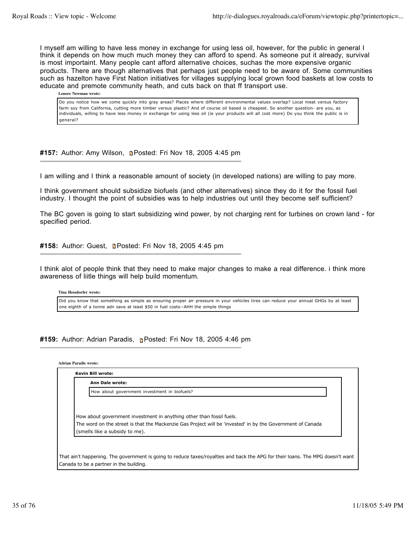I myself am willing to have less money in exchange for using less oil, however, for the public in general I think it depends on how much much money they can afford to spend. As someone put it already, survival is most importaint. Many people cant afford alternative choices, suchas the more expensive organic products. There are though alternatives that perhaps just people need to be aware of. Some communities such as hazelton have First Nation initiatives for villages supplying local grown food baskets at low costs to educate and premote community heath, and cuts back on that ff transport use.

**Lenore Newman wrote:**

Do you notice how we come quickly into gray areas? Places where different environmental values overlap? Local meat versus factory farm soy from California, cutting more timber versus plastic? And of course oil based is cheapest. So another question- are you, as individuals, willing to have less money in exchange for using less oil (ie your products will all cost more) Do you think the public is in general?

#157: Author: Amy Wilson, **n**Posted: Fri Nov 18, 2005 4:45 pm

I am willing and I think a reasonable amount of society (in developed nations) are willing to pay more.

I think government should subsidize biofuels (and other alternatives) since they do it for the fossil fuel industry. I thought the point of subsidies was to help industries out until they become self sufficient?

The BC goven is going to start subsidizing wind power, by not charging rent for turbines on crown land - for specified period.

#158: Author: Guest, **Densted: Fri Nov 18, 2005 4:45 pm** 

I think alot of people think that they need to make major changes to make a real difference. i think more awareness of liitle things will help build momentum.

**Tina Hessdorfer wrote:**

Did you know that something as simple as ensuring proper air pressure in your vehicles tires can reduce your annual GHGs by at least one eighth of a tonne adn save at least \$50 in fuel costs--AHH the simple things

**#159:** Author: Adrian Paradis, Posted: Fri Nov 18, 2005 4:46 pm

**Adrian Paradis wrote:**

| <b>Ann Dale wrote:</b>                                                                                     |
|------------------------------------------------------------------------------------------------------------|
| How about government investment in biofuels?                                                               |
|                                                                                                            |
|                                                                                                            |
| How about government investment in anything other than fossil fuels.                                       |
|                                                                                                            |
| The word on the street is that the Mackenzie Gas Project will be 'invested' in by the Government of Canada |

Canada to be a partner in the building.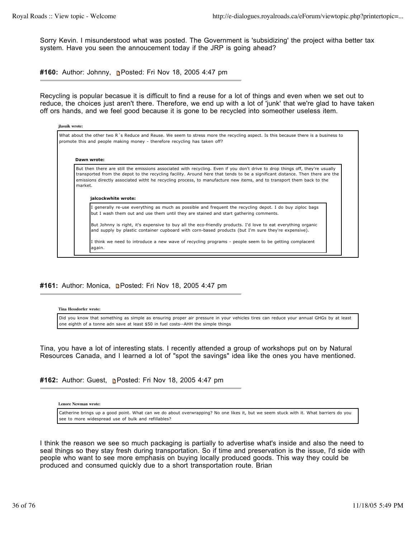Sorry Kevin. I misunderstood what was posted. The Government is 'subsidizing' the project witha better tax system. Have you seen the annoucement today if the JRP is going ahead?

**#160:** Author: Johnny, Posted: Fri Nov 18, 2005 4:47 pm

Recycling is popular becasue it is difficult to find a reuse for a lot of things and even when we set out to reduce, the choices just aren't there. Therefore, we end up with a lot of 'junk' that we're glad to have taken off ors hands, and we feel good because it is gone to be recycled into someother useless item.

| jlasuik wrote: |                                                                                                                                                                                                                                                                                                                                                                                                                |  |
|----------------|----------------------------------------------------------------------------------------------------------------------------------------------------------------------------------------------------------------------------------------------------------------------------------------------------------------------------------------------------------------------------------------------------------------|--|
|                | What about the other two R's Reduce and Reuse. We seem to stress more the recycling aspect. Is this because there is a business to<br>promote this and people making money - therefore recycling has taken off?                                                                                                                                                                                                |  |
|                | Dawn wrote:                                                                                                                                                                                                                                                                                                                                                                                                    |  |
| market.        | But then there are still the emissions associated with recycling. Even if you don't drive to drop things off, they're usually<br>transported from the depot to the recycling facility. Around here that tends to be a significant distance. Then there are the<br>emissions directly associated witht he recycling process, to manufacture new items, and to transport them back to the<br>jalcockwhite wrote: |  |
|                | I generally re-use everything as much as possible and frequent the recycling depot. I do buy ziploc bags<br>but I wash them out and use them until they are stained and start gathering comments.                                                                                                                                                                                                              |  |
|                | But Johnny is right, it's expensive to buy all the eco-friendly products. I'd love to eat everything organic<br>and supply by plastic container cupboard with corn-based products (but I'm sure they're expensive).                                                                                                                                                                                            |  |
|                | I think we need to introduce a new wave of recycling programs - people seem to be getting complacent<br>again.                                                                                                                                                                                                                                                                                                 |  |

# #161: Author: Monica, **n**Posted: Fri Nov 18, 2005 4:47 pm

**Tina Hessdorfer wrote:**

Did you know that something as simple as ensuring proper air pressure in your vehicles tires can reduce your annual GHGs by at least one eighth of a tonne adn save at least \$50 in fuel costs--AHH the simple things

Tina, you have a lot of interesting stats. I recently attended a group of workshops put on by Natural Resources Canada, and I learned a lot of "spot the savings" idea like the ones you have mentioned.

#162: Author: Guest, **Posted: Fri Nov 18, 2005 4:47 pm** 

**Lenore Newman wrote:**

Catherine brings up a good point. What can we do about overwrapping? No one likes it, but we seem stuck with it. What barriers do you see to more widespread use of bulk and refillables?

I think the reason we see so much packaging is partially to advertise what's inside and also the need to seal things so they stay fresh during transportation. So if time and preservation is the issue, I'd side with people who want to see more emphasis on buying locally produced goods. This way they could be produced and consumed quickly due to a short transportation route. Brian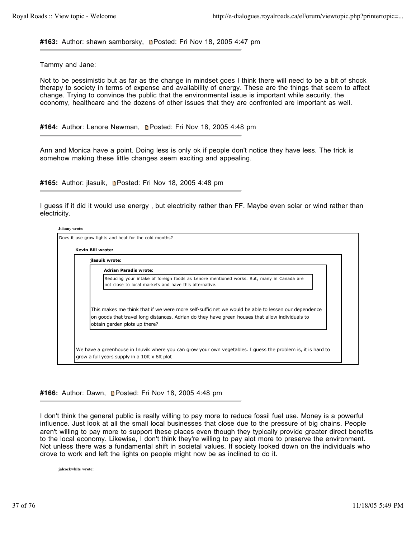#163: Author: shawn samborsky, **n**Posted: Fri Nov 18, 2005 4:47 pm

Tammy and Jane:

Not to be pessimistic but as far as the change in mindset goes I think there will need to be a bit of shock therapy to society in terms of expense and availability of energy. These are the things that seem to affect change. Trying to convince the public that the environmental issue is important while security, the economy, healthcare and the dozens of other issues that they are confronted are important as well.

#164: Author: Lenore Newman, **Denated: Fri Nov 18, 2005 4:48 pm** 

Ann and Monica have a point. Doing less is only ok if people don't notice they have less. The trick is somehow making these little changes seem exciting and appealing.

**#165:** Author: jlasuik, Posted: Fri Nov 18, 2005 4:48 pm

I guess if it did it would use energy , but electricity rather than FF. Maybe even solar or wind rather than electricity.

| jlasuik wrote:                                                                                                                                                                                                                         |
|----------------------------------------------------------------------------------------------------------------------------------------------------------------------------------------------------------------------------------------|
| <b>Adrian Paradis wrote:</b>                                                                                                                                                                                                           |
| Reducing your intake of foreign foods as Lenore mentioned works. But, many in Canada are<br>not close to local markets and have this alternative.                                                                                      |
| This makes me think that if we were more self-sufficinet we would be able to lessen our dependence<br>on goods that travel long distances. Adrian do they have green houses that allow individuals to<br>obtain garden plots up there? |

#166: Author: Dawn, **Denated: Fri Nov 18, 2005 4:48 pm** 

I don't think the general public is really willing to pay more to reduce fossil fuel use. Money is a powerful influence. Just look at all the small local businesses that close due to the pressure of big chains. People aren't willing to pay more to support these places even though they typically provide greater direct benefits to the local economy. Likewise, I don't think they're willing to pay alot more to preserve the environment. Not unless there was a fundamental shift in societal values. If society looked down on the individuals who drove to work and left the lights on people might now be as inclined to do it.

**jalcockwhite wrote:**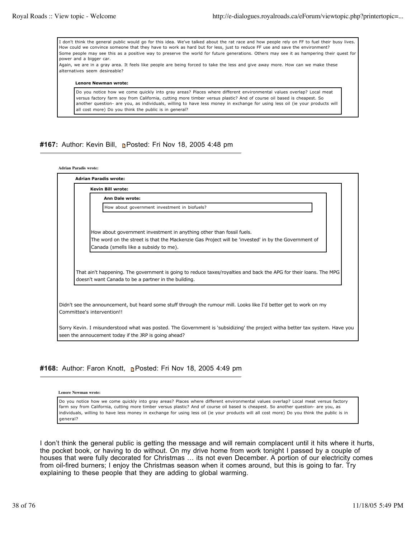I don't think the general public would go for this idea. We've talked about the rat race and how people rely on FF to fuel their busy lives. How could we convince someone that they have to work as hard but for less, just to reduce FF use and save the environment? Some people may see this as a positive way to preserve the world for future generations. Others may see it as hampering their quest for power and a bigger car. Again, we are in a gray area. It feels like people are being forced to take the less and give away more. How can we make these alternatives seem desireable? **Lenore Newman wrote:** Do you notice how we come quickly into gray areas? Places where different environmental values overlap? Local meat

versus factory farm soy from California, cutting more timber versus plastic? And of course oil based is cheapest. So another question- are you, as individuals, willing to have less money in exchange for using less oil (ie your products will all cost more) Do you think the public is in general?

### **#167:** Author: Kevin Bill, Posted: Fri Nov 18, 2005 4:48 pm

| <b>Adrian Paradis wrote:</b>                                                                                                                                                         |  |
|--------------------------------------------------------------------------------------------------------------------------------------------------------------------------------------|--|
| <b>Adrian Paradis wrote:</b>                                                                                                                                                         |  |
| <b>Kevin Bill wrote:</b>                                                                                                                                                             |  |
| <b>Ann Dale wrote:</b>                                                                                                                                                               |  |
| How about government investment in biofuels?                                                                                                                                         |  |
|                                                                                                                                                                                      |  |
| How about government investment in anything other than fossil fuels.                                                                                                                 |  |
| The word on the street is that the Mackenzie Gas Project will be 'invested' in by the Government of<br>Canada (smells like a subsidy to me).                                         |  |
|                                                                                                                                                                                      |  |
| That ain't happening. The government is going to reduce taxes/royalties and back the APG for their loans. The MPG<br>doesn't want Canada to be a partner in the building.            |  |
|                                                                                                                                                                                      |  |
| Didn't see the announcement, but heard some stuff through the rumour mill. Looks like I'd better get to work on my<br>Committee's intervention!!                                     |  |
| Sorry Kevin. I misunderstood what was posted. The Government is 'subsidizing' the project witha better tax system. Have you<br>seen the annoucement today if the JRP is going ahead? |  |

### #168: Author: Faron Knott, **Posted: Fri Nov 18, 2005 4:49 pm**

**Lenore Newman wrote:**

Do you notice how we come quickly into gray areas? Places where different environmental values overlap? Local meat versus factory farm soy from California, cutting more timber versus plastic? And of course oil based is cheapest. So another question- are you, as individuals, willing to have less money in exchange for using less oil (ie your products will all cost more) Do you think the public is in general?

I don't think the general public is getting the message and will remain complacent until it hits where it hurts, the pocket book, or having to do without. On my drive home from work tonight I passed by a couple of houses that were fully decorated for Christmas ... its not even December. A portion of our electricity comes from oil-fired burners; I enjoy the Christmas season when it comes around, but this is going to far. Try explaining to these people that they are adding to global warming.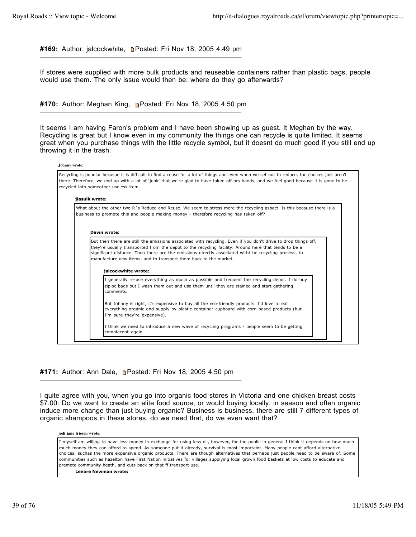#169: Author: jalcockwhite, **Denated: Fri Nov 18, 2005 4:49 pm** 

If stores were supplied with more bulk products and reuseable containers rather than plastic bags, people would use them. The only issue would then be: where do they go afterwards?

**#170:** Author: Meghan King, Posted: Fri Nov 18, 2005 4:50 pm

It seems I am having Faron's problem and I have been showing up as guest. It Meghan by the way. Recycling is great but I know even in my community the things one can recycle is quite limited. It seems great when you purchase things with the little recycle symbol, but it doesnt do much good if you still end up throwing it in the trash.

|                | Recycling is popular becasue it is difficult to find a reuse for a lot of things and even when we set out to reduce, the choices just aren't<br>there. Therefore, we end up with a lot of 'junk' that we're glad to have taken off ors hands, and we feel good because it is gone to be<br>recycled into someother useless item.                                                                                          |
|----------------|---------------------------------------------------------------------------------------------------------------------------------------------------------------------------------------------------------------------------------------------------------------------------------------------------------------------------------------------------------------------------------------------------------------------------|
| jlasuik wrote: |                                                                                                                                                                                                                                                                                                                                                                                                                           |
|                | What about the other two R's Reduce and Reuse. We seem to stress more the recycling aspect. Is this because there is a<br>business to promote this and people making money - therefore recycling has taken off?                                                                                                                                                                                                           |
|                |                                                                                                                                                                                                                                                                                                                                                                                                                           |
|                | Dawn wrote:                                                                                                                                                                                                                                                                                                                                                                                                               |
|                | But then there are still the emissions associated with recycling. Even if you don't drive to drop things off,<br>they're usually transported from the depot to the recycling facility. Around here that tends to be a<br>significant distance. Then there are the emissions directly associated witht he recycling process, to<br>manufacture new items, and to transport them back to the market.<br>jalcockwhite wrote: |
|                | I generally re-use everything as much as possible and frequent the recycling depot. I do buy<br>ziploc bags but I wash them out and use them until they are stained and start gathering<br>comments.                                                                                                                                                                                                                      |
|                | But Johnny is right, it's expensive to buy all the eco-friendly products. I'd love to eat<br>everything organic and supply by plastic container cupboard with corn-based products (but<br>I'm sure they're expensive).                                                                                                                                                                                                    |
|                |                                                                                                                                                                                                                                                                                                                                                                                                                           |

### #171: Author: Ann Dale, **n**Posted: Fri Nov 18, 2005 4:50 pm

I quite agree with you, when you go into organic food stores in Victoria and one chicken breast costs \$7.00. Do we want to create an elite food source, or would buying locally, in season and often organic induce more change than just buying organic? Business is business, there are still 7 different types of organic shampoos in these stores, do we need that, do we even want that?

#### **jodi jane friesen wrote:**

I myself am willing to have less money in exchange for using less oil, however, for the public in general I think it depends on how much much money they can afford to spend. As someone put it already, survival is most importaint. Many people cant afford alternative choices, suchas the more expensive organic products. There are though alternatives that perhaps just people need to be aware of. Some communities such as hazelton have First Nation initiatives for villages supplying local grown food baskets at low costs to educate and premote community heath, and cuts back on that ff transport use.

**Lenore Newman wrote:**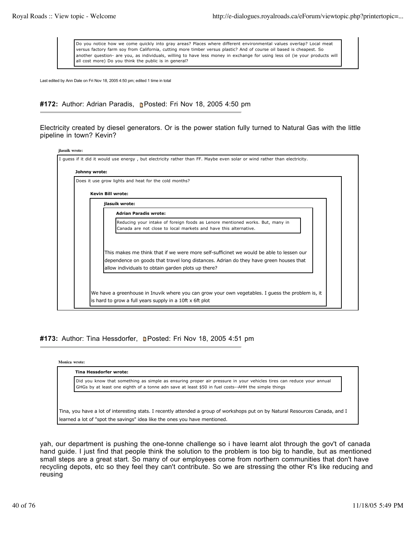Do you notice how we come quickly into gray areas? Places where different environmental values overlap? Local meat versus factory farm soy from California, cutting more timber versus plastic? And of course oil based is cheapest. So another question- are you, as individuals, willing to have less money in exchange for using less oil (ie your products will all cost more) Do you think the public is in general?

Last edited by Ann Dale on Fri Nov 18, 2005 4:50 pm; edited 1 time in total

# **#172:** Author: Adrian Paradis, Posted: Fri Nov 18, 2005 4:50 pm

Electricity created by diesel generators. Or is the power station fully turned to Natural Gas with the little pipeline in town? Kevin?

| Does it use grow lights and heat for the cold months?                                                                                             |
|---------------------------------------------------------------------------------------------------------------------------------------------------|
| <b>Kevin Bill wrote:</b>                                                                                                                          |
| jlasuik wrote:                                                                                                                                    |
| <b>Adrian Paradis wrote:</b>                                                                                                                      |
| Reducing your intake of foreign foods as Lenore mentioned works. But, many in<br>Canada are not close to local markets and have this alternative. |
| This makes me think that if we were more self-sufficinet we would be able to lessen our                                                           |
| dependence on goods that travel long distances. Adrian do they have green houses that<br>allow individuals to obtain garden plots up there?       |

#173: Author: Tina Hessdorfer, **n**Posted: Fri Nov 18, 2005 4:51 pm

| Monica wrote: |  |  |
|---------------|--|--|
|---------------|--|--|

| Did you know that something as simple as ensuring proper air pressure in your vehicles tires can reduce your annual<br>GHGs by at least one eighth of a tonne adn save at least \$50 in fuel costs--AHH the simple things |
|---------------------------------------------------------------------------------------------------------------------------------------------------------------------------------------------------------------------------|
|                                                                                                                                                                                                                           |
|                                                                                                                                                                                                                           |
| Tina, you have a lot of interesting stats. I recently attended a group of workshops put on by Natural Resources Canada, and I                                                                                             |

yah, our department is pushing the one-tonne challenge so i have learnt alot through the gov't of canada hand guide. I just find that people think the solution to the problem is too big to handle, but as mentioned small steps are a great start. So many of our employees come from northern communities that don't have recycling depots, etc so they feel they can't contribute. So we are stressing the other R's like reducing and reusing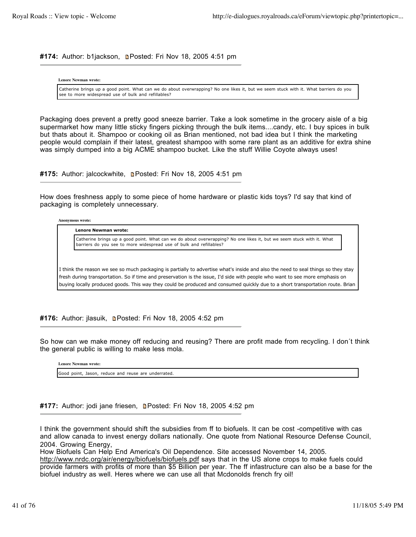#174: Author: b1jackson, **n**Posted: Fri Nov 18, 2005 4:51 pm

**Lenore Newman wrote:**

Catherine brings up a good point. What can we do about overwrapping? No one likes it, but we seem stuck with it. What barriers do you see to more widespread use of bulk and refillables?

Packaging does prevent a pretty good sneeze barrier. Take a look sometime in the grocery aisle of a big supermarket how many little sticky fingers picking through the bulk items....candy, etc. I buy spices in bulk but thats about it. Shampoo or cooking oil as Brian mentioned, not bad idea but I think the marketing people would complain if their latest, greatest shampoo with some rare plant as an additive for extra shine was simply dumped into a big ACME shampoo bucket. Like the stuff Willie Coyote always uses!

#175: Author: jalcockwhite, **n**Posted: Fri Nov 18, 2005 4:51 pm

How does freshness apply to some piece of home hardware or plastic kids toys? I'd say that kind of packaging is completely unnecessary.

**Anonymous wrote:**

**Lenore Newman wrote:**

Catherine brings up a good point. What can we do about overwrapping? No one likes it, but we seem stuck with it. What barriers do you see to more widespread use of bulk and refillables?

I think the reason we see so much packaging is partially to advertise what's inside and also the need to seal things so they stay fresh during transportation. So if time and preservation is the issue, I'd side with people who want to see more emphasis on buying locally produced goods. This way they could be produced and consumed quickly due to a short transportation route. Brian

**#176:** Author: jlasuik, Posted: Fri Nov 18, 2005 4:52 pm

So how can we make money off reducing and reusing? There are profit made from recycling. I don´t think the general public is willing to make less mola.

**Lenore Newman wrote:** Good point, Jason, reduce and reuse are underrated.

#177: Author: jodi jane friesen, **n**Posted: Fri Nov 18, 2005 4:52 pm

I think the government should shift the subsidies from ff to biofuels. It can be cost -competitive with cas and allow canada to invest energy dollars nationally. One quote from National Resource Defense Council, 2004. Growing Energy,

How Biofuels Can Help End America's Oil Dependence. Site accessed November 14, 2005. http://www.nrdc.org/air/energy/biofuels/biofuels.pdf says that in the US alone crops to make fuels could provide farmers with profits of more than \$5 Billion per year. The ff infastructure can also be a base for the biofuel industry as well. Heres where we can use all that Mcdonolds french fry oil!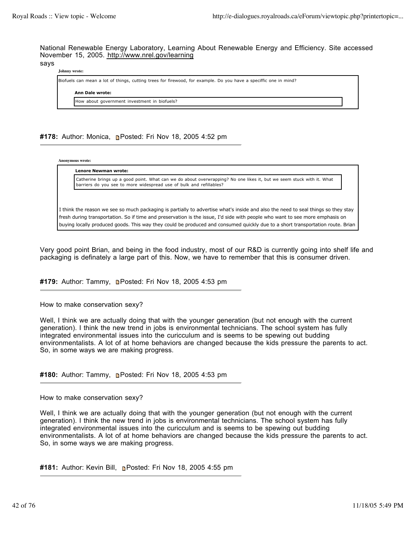National Renewable Energy Laboratory, Learning About Renewable Energy and Efficiency. Site accessed November 15, 2005. http://www.nrel.gov/learning

### says

**Johnny wrote:**

Biofuels can mean a lot of things, cutting trees for firewood, for example. Do you have a speciffic one in mind? **Ann Dale wrote:** How about government investment in biofuels?

## **#178:** Author: Monica, Posted: Fri Nov 18, 2005 4:52 pm

**Anonymous wrote:**

**Lenore Newman wrote:**

Catherine brings up a good point. What can we do about overwrapping? No one likes it, but we seem stuck with it. What barriers do you see to more widespread use of bulk and refillables?

I think the reason we see so much packaging is partially to advertise what's inside and also the need to seal things so they stay fresh during transportation. So if time and preservation is the issue, I'd side with people who want to see more emphasis on buying locally produced goods. This way they could be produced and consumed quickly due to a short transportation route. Brian

Very good point Brian, and being in the food industry, most of our R&D is currently going into shelf life and packaging is definately a large part of this. Now, we have to remember that this is consumer driven.

**#179:** Author: Tammy, Posted: Fri Nov 18, 2005 4:53 pm

How to make conservation sexy?

Well, I think we are actually doing that with the younger generation (but not enough with the current generation). I think the new trend in jobs is environmental technicians. The school system has fully integrated environmental issues into the curicculum and is seems to be spewing out budding environmentalists. A lot of at home behaviors are changed because the kids pressure the parents to act. So, in some ways we are making progress.

**#180:** Author: Tammy, Posted: Fri Nov 18, 2005 4:53 pm

How to make conservation sexy?

Well, I think we are actually doing that with the younger generation (but not enough with the current generation). I think the new trend in jobs is environmental technicians. The school system has fully integrated environmental issues into the curicculum and is seems to be spewing out budding environmentalists. A lot of at home behaviors are changed because the kids pressure the parents to act. So, in some ways we are making progress.

**#181:** Author: Kevin Bill, Posted: Fri Nov 18, 2005 4:55 pm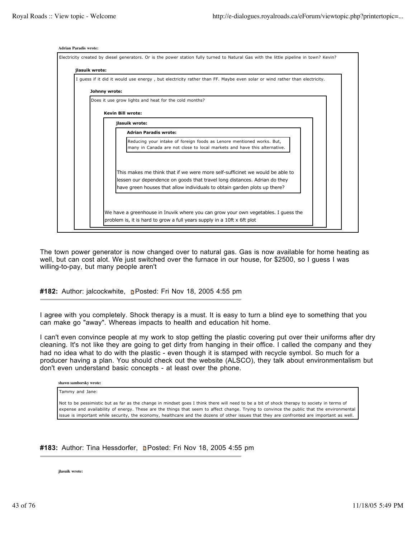

The town power generator is now changed over to natural gas. Gas is now available for home heating as well, but can cost alot. We just switched over the furnace in our house, for \$2500, so I guess I was willing-to-pay, but many people aren't

**#182:** Author: jalcockwhite, Posted: Fri Nov 18, 2005 4:55 pm

I agree with you completely. Shock therapy is a must. It is easy to turn a blind eye to something that you can make go "away". Whereas impacts to health and education hit home.

I can't even convince people at my work to stop getting the plastic covering put over their uniforms after dry cleaning. It's not like they are going to get dirty from hanging in their office. I called the company and they had no idea what to do with the plastic - even though it is stamped with recycle symbol. So much for a producer having a plan. You should check out the website (ALSCO), they talk about environmentalism but don't even understand basic concepts - at least over the phone.

|  | shawn samborsky wrote: |  |
|--|------------------------|--|
|--|------------------------|--|

Tammy and Jane:

Not to be pessimistic but as far as the change in mindset goes I think there will need to be a bit of shock therapy to society in terms of expense and availability of energy. These are the things that seem to affect change. Trying to convince the public that the environmental issue is important while security, the economy, healthcare and the dozens of other issues that they are confronted are important as well.

#183: Author: Tina Hessdorfer, **Denated: Fri Nov 18, 2005 4:55 pm** 

**jlasuik wrote:**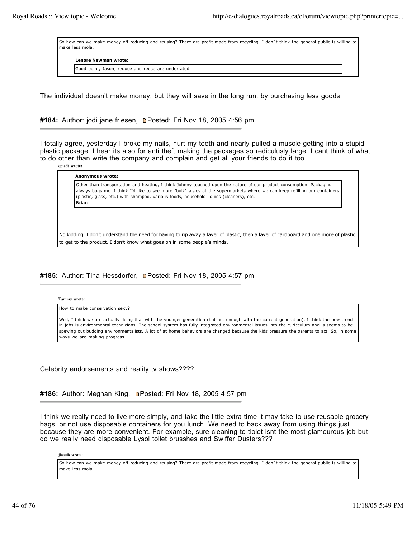So how can we make money off reducing and reusing? There are profit made from recycling. I don´t think the general public is willing to make less mola.

**Lenore Newman wrote:**

Good point, Jason, reduce and reuse are underrated.

The individual doesn't make money, but they will save in the long run, by purchasing less goods

#184: Author: jodi jane friesen, **n**Posted: Fri Nov 18, 2005 4:56 pm

I totally agree, yesterday I broke my nails, hurt my teeth and nearly pulled a muscle getting into a stupid plastic package. I hear its also for anti theft making the packages so rediculusly large. I cant think of what to do other than write the company and complain and get all your friends to do it too.

**cpiedt wrote: Anonymous wrote:** Other than transportation and heating, I think Johnny touched upon the nature of our product consumption. Packaging always bugs me. I think I'd like to see more "bulk" aisles at the supermarkets where we can keep refilling our containers (plastic, glass, etc.) with shampoo, various foods, household liquids (cleaners), etc. Brian

No kidding. I don't understand the need for having to rip away a layer of plastic, then a layer of cardboard and one more of plastic to get to the product. I don't know what goes on in some people's minds.

#185: Author: Tina Hessdorfer, **n**Posted: Fri Nov 18, 2005 4:57 pm

**Tammy wrote:**

How to make conservation sexy?

Well, I think we are actually doing that with the younger generation (but not enough with the current generation). I think the new trend in jobs is environmental technicians. The school system has fully integrated environmental issues into the curicculum and is seems to be spewing out budding environmentalists. A lot of at home behaviors are changed because the kids pressure the parents to act. So, in some ways we are making progress.

Celebrity endorsements and reality tv shows????

#186: Author: Meghan King, **n**Posted: Fri Nov 18, 2005 4:57 pm

I think we really need to live more simply, and take the little extra time it may take to use reusable grocery bags, or not use disposable containers for you lunch. We need to back away from using things just because they are more convenient. For example, sure cleaning to tiolet isnt the most glamourous job but do we really need disposable Lysol toilet brusshes and Swiffer Dusters???

**jlasuik wrote:**

So how can we make money off reducing and reusing? There are profit made from recycling. I don´t think the general public is willing to make less mola.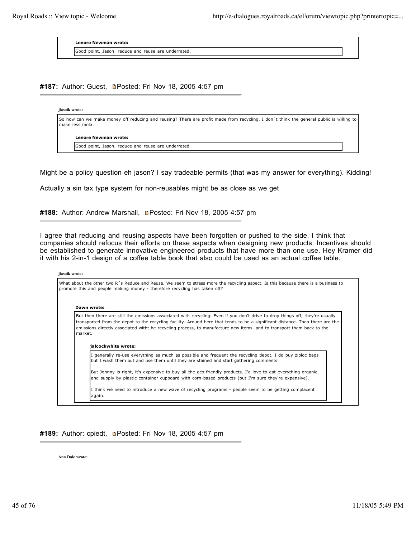**Lenore Newman wrote:**

Good point, Jason, reduce and reuse are underrated.

#187: Author: Guest, **Denated: Fri Nov 18, 2005 4:57 pm** 

| jlasuik wrote: |                                                                                                                                                            |
|----------------|------------------------------------------------------------------------------------------------------------------------------------------------------------|
|                | So how can we make money off reducing and reusing? There are profit made from recycling. I don't think the general public is willing to<br>make less mola. |
|                | Lenore Newman wrote:                                                                                                                                       |
|                | Good point, Jason, reduce and reuse are underrated.                                                                                                        |
|                |                                                                                                                                                            |

Might be a policy question eh jason? I say tradeable permits (that was my answer for everything). Kidding!

Actually a sin tax type system for non-reusables might be as close as we get

**#188:** Author: Andrew Marshall, Posted: Fri Nov 18, 2005 4:57 pm

I agree that reducing and reusing aspects have been forgotten or pushed to the side. I think that companies should refocus their efforts on these aspects when designing new products. Incentives should be established to generate innovative engineered products that have more than one use. Hey Kramer did it with his 2-in-1 design of a coffee table book that also could be used as an actual coffee table.

**jlasuik wrote:**

|         | Dawn wrote:                                                                                                                                                                                                                                                                                                                                                                                                    |
|---------|----------------------------------------------------------------------------------------------------------------------------------------------------------------------------------------------------------------------------------------------------------------------------------------------------------------------------------------------------------------------------------------------------------------|
| market. | But then there are still the emissions associated with recycling. Even if you don't drive to drop things off, they're usually<br>transported from the depot to the recycling facility. Around here that tends to be a significant distance. Then there are the<br>emissions directly associated witht he recycling process, to manufacture new items, and to transport them back to the<br>jalcockwhite wrote: |
|         | I generally re-use everything as much as possible and frequent the recycling depot. I do buy ziploc bags<br>but I wash them out and use them until they are stained and start gathering comments.                                                                                                                                                                                                              |
|         |                                                                                                                                                                                                                                                                                                                                                                                                                |

#189: Author: cpiedt, **n**Posted: Fri Nov 18, 2005 4:57 pm

**Ann Dale wrote:**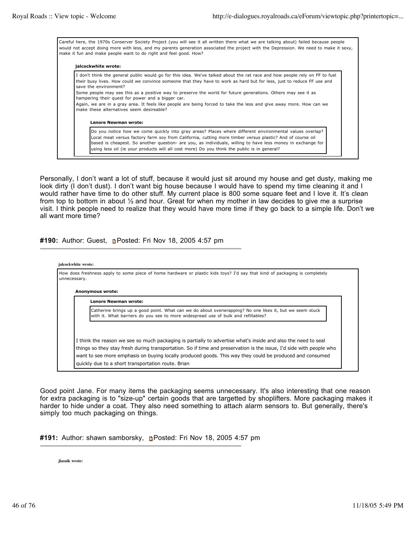Careful here, the 1970s Conserver Society Project (you will see it all written there what we are talking about) failed because people would not accept doing more with less, and my parents generation associated the project with the Depression. We need to make it sexy, make it fun and make people want to do right and feel good. How?

#### **jalcockwhite wrote:**

I don't think the general public would go for this idea. We've talked about the rat race and how people rely on FF to fuel their busy lives. How could we convince someone that they have to work as hard but for less, just to reduce FF use and save the environment? Some people may see this as a positive way to preserve the world for future generations. Others may see it as hampering their quest for power and a bigger car. Again, we are in a gray area. It feels like people are being forced to take the less and give away more. How can we make these alternatives seem desireable? **Lenore Newman wrote:** Do you notice how we come quickly into gray areas? Places where different environmental values overlap? Local meat versus factory farm soy from California, cutting more timber versus plastic? And of course oil based is cheapest. So another question- are you, as individuals, willing to have less money in exchange for using less oil (ie your products will all cost more) Do you think the public is in general?

Personally, I don't want a lot of stuff, because it would just sit around my house and get dusty, making me look dirty (I don't dust). I don't want big house because I would have to spend my time cleaning it and I would rather have time to do other stuff. My current place is 800 some square feet and I love it. It's clean from top to bottom in about ½ and hour. Great for when my mother in law decides to give me a surprise visit. I think people need to realize that they would have more time if they go back to a simple life. Don't we all want more time?

**#190:** Author: Guest, **Posted: Fri Nov 18, 2005 4:57 pm** 

| unnecessary. | How does freshness apply to some piece of home hardware or plastic kids toys? I'd say that kind of packaging is completely                                                                                                      |
|--------------|---------------------------------------------------------------------------------------------------------------------------------------------------------------------------------------------------------------------------------|
|              | Anonymous wrote:                                                                                                                                                                                                                |
|              | Lenore Newman wrote:                                                                                                                                                                                                            |
|              | Catherine brings up a good point. What can we do about overwrapping? No one likes it, but we seem stuck<br>with it. What barriers do you see to more widespread use of bulk and refillables?                                    |
|              | I think the reason we see so much packaging is partially to advertise what's inside and also the need to seal                                                                                                                   |
|              | things so they stay fresh during transportation. So if time and preservation is the issue, I'd side with people who<br>want to see more emphasis on buying locally produced goods. This way they could be produced and consumed |
|              |                                                                                                                                                                                                                                 |

Good point Jane. For many items the packaging seems unnecessary. It's also interesting that one reason for extra packaging is to "size-up" certain goods that are targetted by shoplifters. More packaging makes it harder to hide under a coat. They also need something to attach alarm sensors to. But generally, there's simply too much packaging on things.

| #191: Author: shawn samborsky, <b>n</b> Posted: Fri Nov 18, 2005 4:57 pm |  |  |  |  |
|--------------------------------------------------------------------------|--|--|--|--|
|--------------------------------------------------------------------------|--|--|--|--|

**jlasuik wrote:**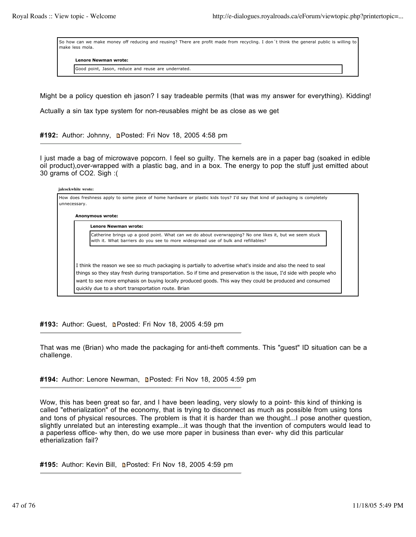So how can we make money off reducing and reusing? There are profit made from recycling. I don´t think the general public is willing to make less mola.

**Lenore Newman wrote:**

Good point, Jason, reduce and reuse are underrated.

Might be a policy question eh jason? I say tradeable permits (that was my answer for everything). Kidding!

Actually a sin tax type system for non-reusables might be as close as we get

**#192:** Author: Johnny, Posted: Fri Nov 18, 2005 4:58 pm

I just made a bag of microwave popcorn. I feel so guilty. The kernels are in a paper bag (soaked in edible oil product),over-wrapped with a plastic bag, and in a box. The energy to pop the stuff just emitted about 30 grams of CO2. Sigh :(

**jalcockwhite wrote:**

How does freshness apply to some piece of home hardware or plastic kids toys? I'd say that kind of packaging is completely unnecessary.

**Anonymous wrote:**

**Lenore Newman wrote:**

Catherine brings up a good point. What can we do about overwrapping? No one likes it, but we seem stuck with it. What barriers do you see to more widespread use of bulk and refillables?

I think the reason we see so much packaging is partially to advertise what's inside and also the need to seal things so they stay fresh during transportation. So if time and preservation is the issue, I'd side with people who want to see more emphasis on buying locally produced goods. This way they could be produced and consumed quickly due to a short transportation route. Brian

#193: Author: Guest, **n**Posted: Fri Nov 18, 2005 4:59 pm

That was me (Brian) who made the packaging for anti-theft comments. This "guest" ID situation can be a challenge.

#194: Author: Lenore Newman, **n**Posted: Fri Nov 18, 2005 4:59 pm

Wow, this has been great so far, and I have been leading, very slowly to a point- this kind of thinking is called "etherialization" of the economy, that is trying to disconnect as much as possible from using tons and tons of physical resources. The problem is that it is harder than we thought...I pose another question, slightly unrelated but an interesting example...it was though that the invention of computers would lead to a paperless office- why then, do we use more paper in business than ever- why did this particular etherialization fail?

**#195:** Author: Kevin Bill, Posted: Fri Nov 18, 2005 4:59 pm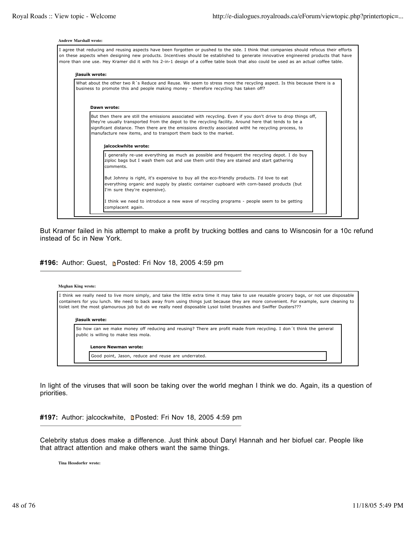#### **Andrew Marshall wrote:**

| jlasuik wrote: |                                                                                                                                                                                                                 |
|----------------|-----------------------------------------------------------------------------------------------------------------------------------------------------------------------------------------------------------------|
|                | What about the other two R's Reduce and Reuse. We seem to stress more the recycling aspect. Is this because there is a<br>business to promote this and people making money - therefore recycling has taken off? |
|                |                                                                                                                                                                                                                 |
|                | Dawn wrote:                                                                                                                                                                                                     |
|                | they're usually transported from the depot to the recycling facility. Around here that tends to be a                                                                                                            |
|                | significant distance. Then there are the emissions directly associated witht he recycling process, to<br>manufacture new items, and to transport them back to the market.                                       |
|                | ialcockwhite wrote:                                                                                                                                                                                             |
|                | I generally re-use everything as much as possible and frequent the recycling depot. I do buy<br>ziploc bags but I wash them out and use them until they are stained and start gathering<br>comments.            |
|                | But Johnny is right, it's expensive to buy all the eco-friendly products. I'd love to eat                                                                                                                       |
|                | everything organic and supply by plastic container cupboard with corn-based products (but<br>I'm sure they're expensive).                                                                                       |

But Kramer failed in his attempt to make a profit by trucking bottles and cans to Wisncosin for a 10c refund instead of 5c in New York.

#196: Author: Guest, **n**Posted: Fri Nov 18, 2005 4:59 pm

#### **Meghan King wrote:**

I think we really need to live more simply, and take the little extra time it may take to use reusable grocery bags, or not use disposable containers for you lunch. We need to back away from using things just because they are more convenient. For example, sure cleaning to tiolet isnt the most glamourous job but do we really need disposable Lysol toilet brusshes and Swiffer Dusters???

#### **jlasuik wrote:**

So how can we make money off reducing and reusing? There are profit made from recycling. I don´t think the general public is willing to make less mola.

**Lenore Newman wrote:**

Good point, Jason, reduce and reuse are underrated.

In light of the viruses that will soon be taking over the world meghan I think we do. Again, its a question of priorities.

#197: Author: jalcockwhite, **n**Posted: Fri Nov 18, 2005 4:59 pm

Celebrity status does make a difference. Just think about Daryl Hannah and her biofuel car. People like that attract attention and make others want the same things.

**Tina Hessdorfer wrote:**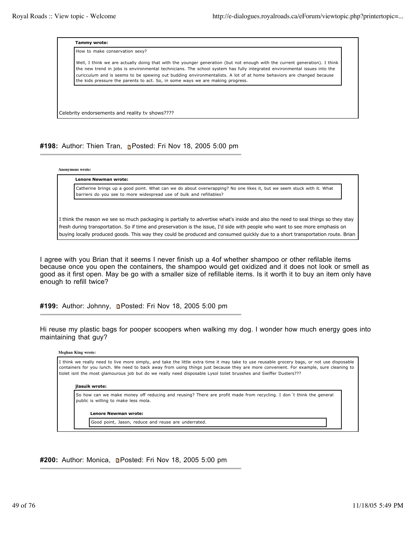

### **#198:** Author: Thien Tran, Posted: Fri Nov 18, 2005 5:00 pm

**Anonymous wrote:**

| Lenore Newman wrote:                                                                                                  |
|-----------------------------------------------------------------------------------------------------------------------|
| Catherine brings up a good point. What can we do about overwrapping? No one likes it, but we seem stuck with it. What |
| barriers do you see to more widespread use of bulk and refillables?                                                   |

I think the reason we see so much packaging is partially to advertise what's inside and also the need to seal things so they stay fresh during transportation. So if time and preservation is the issue, I'd side with people who want to see more emphasis on buying locally produced goods. This way they could be produced and consumed quickly due to a short transportation route. Brian

I agree with you Brian that it seems I never finish up a 4of whether shampoo or other refilable items because once you open the containers, the shampoo would get oxidized and it does not look or smell as good as it first open. May be go with a smaller size of refillable items. Is it worth it to buy an item only have enough to refill twice?

**#199:** Author: Johnny, Posted: Fri Nov 18, 2005 5:00 pm

Hi reuse my plastic bags for pooper scoopers when walking my dog. I wonder how much energy goes into maintaining that guy?

| <b>Meghan King wrote:</b>                                                                                                                                                                                                                                                                                                                                                                                |  |
|----------------------------------------------------------------------------------------------------------------------------------------------------------------------------------------------------------------------------------------------------------------------------------------------------------------------------------------------------------------------------------------------------------|--|
| I think we really need to live more simply, and take the little extra time it may take to use reusable grocery bags, or not use disposable<br>containers for you lunch. We need to back away from using things just because they are more convenient. For example, sure cleaning to<br>tiolet isnt the most glamourous job but do we really need disposable Lysol toilet brusshes and Swiffer Dusters??? |  |
| ilasuik wrote:                                                                                                                                                                                                                                                                                                                                                                                           |  |
| So how can we make money off reducing and reusing? There are profit made from recycling. I don't think the general<br>public is willing to make less mola.                                                                                                                                                                                                                                               |  |
| <b>Lenore Newman wrote:</b>                                                                                                                                                                                                                                                                                                                                                                              |  |
| Good point, Jason, reduce and reuse are underrated.                                                                                                                                                                                                                                                                                                                                                      |  |
|                                                                                                                                                                                                                                                                                                                                                                                                          |  |

### **#200:** Author: Monica, **Denated: Fri Nov 18, 2005 5:00 pm**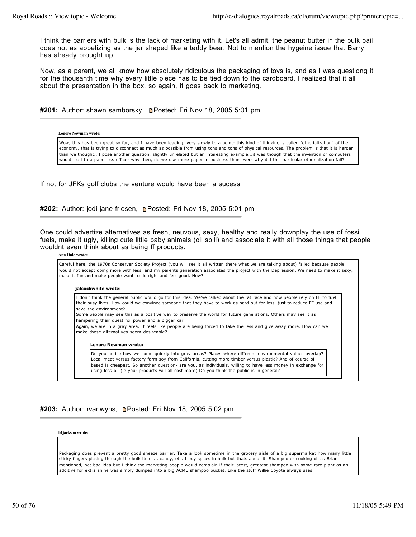I think the barriers with bulk is the lack of marketing with it. Let's all admit, the peanut butter in the bulk pail does not as appetizing as the jar shaped like a teddy bear. Not to mention the hygeine issue that Barry has already brought up.

Now, as a parent, we all know how absolutely ridiculous the packaging of toys is, and as I was questiong it for the thousanth time why every little piece has to be tied down to the cardboard, I realized that it all about the presentation in the box, so again, it goes back to marketing.

#201: Author: shawn samborsky, **n**Posted: Fri Nov 18, 2005 5:01 pm

#### **Lenore Newman wrote:**

Wow, this has been great so far, and I have been leading, very slowly to a point- this kind of thinking is called "etherialization" of the economy, that is trying to disconnect as much as possible from using tons and tons of physical resources. The problem is that it is harder than we thought...I pose another question, slightly unrelated but an interesting example...it was though that the invention of computers would lead to a paperless office- why then, do we use more paper in business than ever- why did this particular etherialization fail?

If not for JFKs golf clubs the venture would have been a sucess

**#202:** Author: jodi jane friesen, **Posted: Fri Nov 18, 2005 5:01 pm** 

One could advertize alternatives as fresh, neuvous, sexy, healthy and really downplay the use of fossil fuels, make it ugly, killing cute little baby animals (oil spill) and associate it with all those things that people wouldnt even think about as being ff products.

#### **Ann Dale wrote:**

Careful here, the 1970s Conserver Society Project (you will see it all written there what we are talking about) failed because people would not accept doing more with less, and my parents generation associated the project with the Depression. We need to make it sexy, make it fun and make people want to do right and feel good. How? **jalcockwhite wrote:** I don't think the general public would go for this idea. We've talked about the rat race and how people rely on FF to fuel their busy lives. How could we convince someone that they have to work as hard but for less, just to reduce FF use and save the environment? Some people may see this as a positive way to preserve the world for future generations. Others may see it as hampering their quest for power and a bigger car. Again, we are in a gray area. It feels like people are being forced to take the less and give away more. How can we make these alternatives seem desireable? **Lenore Newman wrote:** Do you notice how we come quickly into gray areas? Places where different environmental values overlap? Local meat versus factory farm soy from California, cutting more timber versus plastic? And of course oil based is cheapest. So another question- are you, as individuals, willing to have less money in exchange for using less oil (ie your products will all cost more) Do you think the public is in general?

### #203: Author: rvanwyns, **Depart Fri Nov 18, 2005 5:02 pm**

**b1jackson wrote:**

Packaging does prevent a pretty good sneeze barrier. Take a look sometime in the grocery aisle of a big supermarket how many little sticky fingers picking through the bulk items....candy, etc. I buy spices in bulk but thats about it. Shampoo or cooking oil as Brian mentioned, not bad idea but I think the marketing people would complain if their latest, greatest shampoo with some rare plant as an additive for extra shine was simply dumped into a big ACME shampoo bucket. Like the stuff Willie Coyote always uses!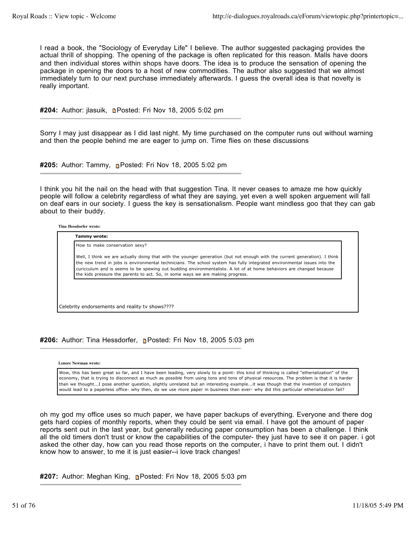I read a book, the "Sociology of Everyday Life" I believe. The author suggested packaging provides the actual thrill of shopping. The opening of the package is often replicated for this reason. Malls have doors and then individual stores within shops have doors. The idea is to produce the sensation of opening the package in opening the doors to a host of new commodities. The author also suggested that we almost immediately turn to our next purchase immediately afterwards. I guess the overall idea is that novelty is really important.

#204: Author: jlasuik, **Denated: Fri Nov 18, 2005 5:02 pm** 

Sorry I may just disappear as I did last night. My time purchased on the computer runs out without warning and then the people behind me are eager to jump on. Time flies on these discussions

**#205:** Author: Tammy, Posted: Fri Nov 18, 2005 5:02 pm

I think you hit the nail on the head with that suggestion Tina. It never ceases to amaze me how quickly people will follow a celebrity regardless of what they are saying, yet even a well spoken arguement will fall on deaf ears in our society. I guess the key is sensationalism. People want mindless goo that they can gab about to their buddy.

**Tina Hessdorfer wrote:**

**Tammy wrote:** How to make conservation sexy? Well, I think we are actually doing that with the younger generation (but not enough with the current generation). I think the new trend in jobs is environmental technicians. The school system has fully integrated environmental issues into the curicculum and is seems to be spewing out budding environmentalists. A lot of at home behaviors are changed because the kids pressure the parents to act. So, in some ways we are making progress.

Celebrity endorsements and reality tv shows????

#206: Author: Tina Hessdorfer, **P**osted: Fri Nov 18, 2005 5:03 pm

**Lenore Newman wrote:**

Wow, this has been great so far, and I have been leading, very slowly to a point- this kind of thinking is called "etherialization" of the economy, that is trying to disconnect as much as possible from using tons and tons of physical resources. The problem is that it is harder than we thought...I pose another question, slightly unrelated but an interesting example...it was though that the invention of computers would lead to a paperless office- why then, do we use more paper in business than ever- why did this particular etherialization fail?

oh my god my office uses so much paper, we have paper backups of everything. Everyone and there dog gets hard copies of monthly reports, when they could be sent via email. I have got the amount of paper reports sent out in the last year, but generally reducing paper consumption has been a challenge. I think all the old timers don't trust or know the capabilities of the computer- they just have to see it on paper. i got asked the other day, how can you read those reports on the computer, i have to print them out. I didn't know how to answer, to me it is just easier--i love track changes!

**#207:** Author: Meghan King, Posted: Fri Nov 18, 2005 5:03 pm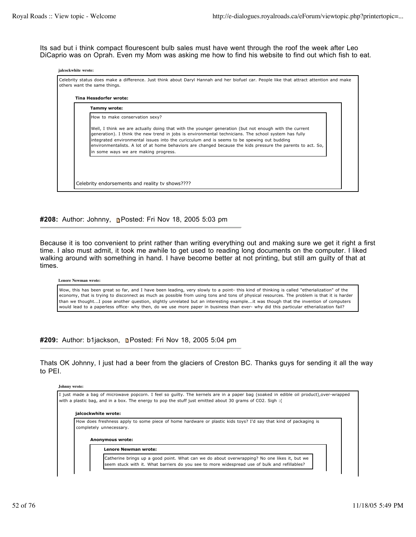**jalcockwhite wrote:**

Its sad but i think compact flourescent bulb sales must have went through the roof the week after Leo DiCaprio was on Oprah. Even my Mom was asking me how to find his website to find out which fish to eat.

| Tammy wrote:                         |                                                                                                                                                                                                                                                                                                                                                                                                                            |
|--------------------------------------|----------------------------------------------------------------------------------------------------------------------------------------------------------------------------------------------------------------------------------------------------------------------------------------------------------------------------------------------------------------------------------------------------------------------------|
| How to make conservation sexy?       |                                                                                                                                                                                                                                                                                                                                                                                                                            |
| in some ways we are making progress. | Well, I think we are actually doing that with the younger generation (but not enough with the current<br>generation). I think the new trend in jobs is environmental technicians. The school system has fully<br>integrated environmental issues into the curicculum and is seems to be spewing out budding<br>environmentalists. A lot of at home behaviors are changed because the kids pressure the parents to act. So, |

**#208:** Author: Johnny, Posted: Fri Nov 18, 2005 5:03 pm

Because it is too convenient to print rather than writing everything out and making sure we get it right a first time. I also must admit, it took me awhile to get used to reading long documents on the computer. I liked walking around with something in hand. I have become better at not printing, but still am guilty of that at times.

### **Lenore Newman wrote:**

Wow, this has been great so far, and I have been leading, very slowly to a point- this kind of thinking is called "etherialization" of the economy, that is trying to disconnect as much as possible from using tons and tons of physical resources. The problem is that it is harder than we thought...I pose another question, slightly unrelated but an interesting example...it was though that the invention of computers would lead to a paperless office- why then, do we use more paper in business than ever- why did this particular etherialization fail?

#209: Author: b1jackson, **n**Posted: Fri Nov 18, 2005 5:04 pm

Thats OK Johnny, I just had a beer from the glaciers of Creston BC. Thanks guys for sending it all the way to PEI.

### **Johnny wrote:**

I just made a bag of microwave popcorn. I feel so guilty. The kernels are in a paper bag (soaked in edible oil product),over-wrapped with a plastic bag, and in a box. The energy to pop the stuff just emitted about 30 grams of CO2. Sigh :( **jalcockwhite wrote:** How does freshness apply to some piece of home hardware or plastic kids toys? I'd say that kind of packaging is completely unnecessary. **Anonymous wrote: Lenore Newman wrote:** Catherine brings up a good point. What can we do about overwrapping? No one likes it, but we seem stuck with it. What barriers do you see to more widespread use of bulk and refillables?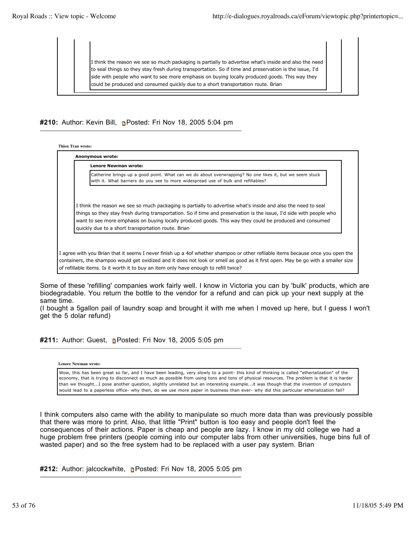I think the reason we see so much packaging is partially to advertise what's inside and also the need to seal things so they stay fresh during transportation. So if time and preservation is the issue, I'd side with people who want to see more emphasis on buying locally produced goods. This way they could be produced and consumed quickly due to a short transportation route. Brian

**#210:** Author: Kevin Bill, Posted: Fri Nov 18, 2005 5:04 pm

**Thien Tran wrote:**

**Anonymous wrote: Lenore Newman wrote:** Catherine brings up a good point. What can we do about overwrapping? No one likes it, but we seem stuck with it. What barriers do you see to more widespread use of bulk and refillables?

I think the reason we see so much packaging is partially to advertise what's inside and also the need to seal things so they stay fresh during transportation. So if time and preservation is the issue, I'd side with people who want to see more emphasis on buying locally produced goods. This way they could be produced and consumed quickly due to a short transportation route. Brian

I agree with you Brian that it seems I never finish up a 4of whether shampoo or other refilable items because once you open the containers, the shampoo would get oxidized and it does not look or smell as good as it first open. May be go with a smaller size of refillable items. Is it worth it to buy an item only have enough to refill twice?

Some of these 'refilling' companies work fairly well. I know in Victoria you can by 'bulk' products, which are biodegradable. You return the bottle to the vendor for a refund and can pick up your next supply at the same time.

(I bought a 5gallon pail of laundry soap and brought it with me when I moved up here, but I guess I won't get the 5 dolar refund)

**#211:** Author: Guest, Posted: Fri Nov 18, 2005 5:05 pm

**Lenore Newman wrote:**

Wow, this has been great so far, and I have been leading, very slowly to a point- this kind of thinking is called "etherialization" of the economy, that is trying to disconnect as much as possible from using tons and tons of physical resources. The problem is that it is harder than we thought...I pose another question, slightly unrelated but an interesting example...it was though that the invention of computers would lead to a paperless office- why then, do we use more paper in business than ever- why did this particular etherialization fail?

I think computers also came with the ability to manipulate so much more data than was previously possible that there was more to print. Also, that little "Print" button is too easy and people don't feel the consequences of their actions. Paper is cheap and people are lazy. I know in my old college we had a huge problem free printers (people coming into our computer labs from other universities, huge bins full of wasted paper) and so the free system had to be replaced with a user pay system. Brian

#212: Author: jalcockwhite, **Posted: Fri Nov 18, 2005 5:05 pm**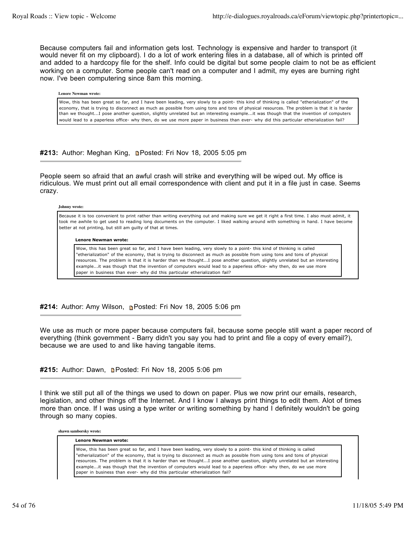Because computers fail and information gets lost. Technology is expensive and harder to transport (it would never fit on my clipboard). I do a lot of work entering files in a database, all of which is printed off and added to a hardcopy file for the shelf. Info could be digital but some people claim to not be as efficient working on a computer. Some people can't read on a computer and I admit, my eyes are burning right now. I've been computering since 8am this morning.

#### **Lenore Newman wrote:**

Wow, this has been great so far, and I have been leading, very slowly to a point- this kind of thinking is called "etherialization" of the economy, that is trying to disconnect as much as possible from using tons and tons of physical resources. The problem is that it is harder than we thought...I pose another question, slightly unrelated but an interesting example...it was though that the invention of computers would lead to a paperless office- why then, do we use more paper in business than ever- why did this particular etherialization fail?

### **#213:** Author: Meghan King, Posted: Fri Nov 18, 2005 5:05 pm

People seem so afraid that an awful crash will strike and everything will be wiped out. My office is ridiculous. We must print out all email correspondence with client and put it in a file just in case. Seems crazy.

#### **Johnny wrote:**

Because it is too convenient to print rather than writing everything out and making sure we get it right a first time. I also must admit, it took me awhile to get used to reading long documents on the computer. I liked walking around with something in hand. I have become better at not printing, but still am guilty of that at times.

#### **Lenore Newman wrote:**

Wow, this has been great so far, and I have been leading, very slowly to a point- this kind of thinking is called "etherialization" of the economy, that is trying to disconnect as much as possible from using tons and tons of physical resources. The problem is that it is harder than we thought...I pose another question, slightly unrelated but an interesting example...it was though that the invention of computers would lead to a paperless office- why then, do we use more paper in business than ever- why did this particular etherialization fail?

### **#214:** Author: Amy Wilson, Posted: Fri Nov 18, 2005 5:06 pm

We use as much or more paper because computers fail, because some people still want a paper record of everything (think government - Barry didn't you say you had to print and file a copy of every email?), because we are used to and like having tangable items.

### #215: Author: Dawn, **Denated: Fri Nov 18, 2005 5:06 pm**

I think we still put all of the things we used to down on paper. Plus we now print our emails, research, legislation, and other things off the Internet. And I know I always print things to edit them. Alot of times more than once. If I was using a type writer or writing something by hand I definitely wouldn't be going through so many copies.

#### **shawn samborsky wrote:**

### **Lenore Newman wrote:**

Wow, this has been great so far, and I have been leading, very slowly to a point- this kind of thinking is called "etherialization" of the economy, that is trying to disconnect as much as possible from using tons and tons of physical resources. The problem is that it is harder than we thought...I pose another question, slightly unrelated but an interesting example...it was though that the invention of computers would lead to a paperless office- why then, do we use more paper in business than ever- why did this particular etherialization fail?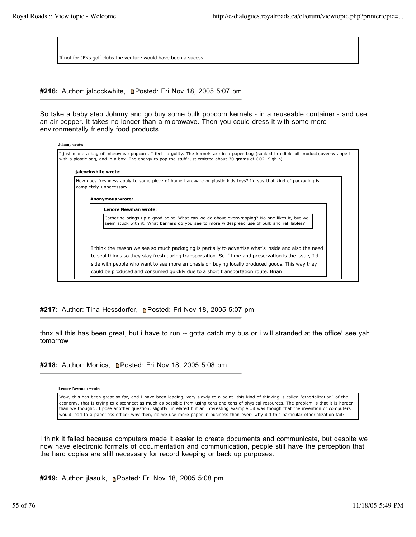If not for JFKs golf clubs the venture would have been a sucess

#216: Author: jalcockwhite, **n**Posted: Fri Nov 18, 2005 5:07 pm

So take a baby step Johnny and go buy some bulk popcorn kernels - in a reuseable container - and use an air popper. It takes no longer than a microwave. Then you could dress it with some more environmentally friendly food products.

| Johnny wrote:                                                                                                                                                                                                                                       |  |
|-----------------------------------------------------------------------------------------------------------------------------------------------------------------------------------------------------------------------------------------------------|--|
| I just made a bag of microwave popcorn. I feel so guilty. The kernels are in a paper bag (soaked in edible oil product), over-wrapped<br>with a plastic bag, and in a box. The energy to pop the stuff just emitted about 30 grams of CO2. Sigh : ( |  |
| jalcockwhite wrote:                                                                                                                                                                                                                                 |  |
| How does freshness apply to some piece of home hardware or plastic kids toys? I'd say that kind of packaging is<br>completely unnecessary.                                                                                                          |  |
| Anonymous wrote:                                                                                                                                                                                                                                    |  |
| <b>Lenore Newman wrote:</b>                                                                                                                                                                                                                         |  |
| Catherine brings up a good point. What can we do about overwrapping? No one likes it, but we<br>seem stuck with it. What barriers do you see to more widespread use of bulk and refillables?                                                        |  |
|                                                                                                                                                                                                                                                     |  |
| I think the reason we see so much packaging is partially to advertise what's inside and also the need                                                                                                                                               |  |
| to seal things so they stay fresh during transportation. So if time and preservation is the issue, I'd                                                                                                                                              |  |
| side with people who want to see more emphasis on buying locally produced goods. This way they<br>could be produced and consumed quickly due to a short transportation route. Brian                                                                 |  |

**#217:** Author: Tina Hessdorfer, **P**osted: Fri Nov 18, 2005 5:07 pm

thnx all this has been great, but i have to run -- gotta catch my bus or i will stranded at the office! see yah tomorrow

#218: Author: Monica, **D**Posted: Fri Nov 18, 2005 5:08 pm

**Lenore Newman wrote:**

Wow, this has been great so far, and I have been leading, very slowly to a point- this kind of thinking is called "etherialization" of the economy, that is trying to disconnect as much as possible from using tons and tons of physical resources. The problem is that it is harder than we thought...I pose another question, slightly unrelated but an interesting example...it was though that the invention of computers would lead to a paperless office- why then, do we use more paper in business than ever- why did this particular etherialization fail?

I think it failed because computers made it easier to create documents and communicate, but despite we now have electronic formats of documentation and communication, people still have the perception that the hard copies are still necessary for record keeping or back up purposes.

**#219:** Author: jlasuik, Posted: Fri Nov 18, 2005 5:08 pm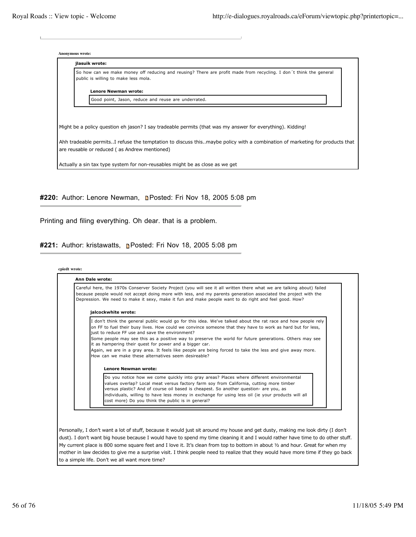| <b>Anonymous wrote:</b>                                                                                                                                                         |
|---------------------------------------------------------------------------------------------------------------------------------------------------------------------------------|
| jlasuik wrote:                                                                                                                                                                  |
| So how can we make money off reducing and reusing? There are profit made from recycling. I don't think the general<br>public is willing to make less mola.                      |
| Lenore Newman wrote:                                                                                                                                                            |
| Good point, Jason, reduce and reuse are underrated.                                                                                                                             |
|                                                                                                                                                                                 |
| Might be a policy question eh jason? I say tradeable permits (that was my answer for everything). Kidding!                                                                      |
| Ahh tradeable permits. I refuse the temptation to discuss this. maybe policy with a combination of marketing for products that<br>are reusable or reduced (as Andrew mentioned) |
| Actually a sin tax type system for non-reusables might be as close as we get                                                                                                    |
|                                                                                                                                                                                 |

#220: Author: Lenore Newman, **DPosted: Fri Nov 18, 2005 5:08 pm** 

Printing and filing everything. Oh dear. that is a problem.

**#221:** Author: kristawatts, Posted: Fri Nov 18, 2005 5:08 pm

#### **cpiedt wrote:**

| Careful here, the 1970s Conserver Society Project (you will see it all written there what we are talking about) failed<br>because people would not accept doing more with less, and my parents generation associated the project with the<br>Depression. We need to make it sexy, make it fun and make people want to do right and feel good. How?                                                                                                                                                                                                                                                                     |
|------------------------------------------------------------------------------------------------------------------------------------------------------------------------------------------------------------------------------------------------------------------------------------------------------------------------------------------------------------------------------------------------------------------------------------------------------------------------------------------------------------------------------------------------------------------------------------------------------------------------|
| jalcockwhite wrote:                                                                                                                                                                                                                                                                                                                                                                                                                                                                                                                                                                                                    |
| I don't think the general public would go for this idea. We've talked about the rat race and how people rely<br>on FF to fuel their busy lives. How could we convince someone that they have to work as hard but for less,<br>just to reduce FF use and save the environment?<br>Some people may see this as a positive way to preserve the world for future generations. Others may see<br>it as hampering their quest for power and a bigger car.<br>Again, we are in a gray area. It feels like people are being forced to take the less and give away more.<br>How can we make these alternatives seem desireable? |
| Lenore Newman wrote:                                                                                                                                                                                                                                                                                                                                                                                                                                                                                                                                                                                                   |
| Do you notice how we come quickly into gray areas? Places where different environmental<br>values overlap? Local meat versus factory farm soy from California, cutting more timber<br>versus plastic? And of course oil based is cheapest. So another question- are you, as                                                                                                                                                                                                                                                                                                                                            |

Personally, I don't want a lot of stuff, because it would just sit around my house and get dusty, making me look dirty (I don't dust). I don't want big house because I would have to spend my time cleaning it and I would rather have time to do other stuff. My current place is 800 some square feet and I love it. It's clean from top to bottom in about ½ and hour. Great for when my mother in law decides to give me a surprise visit. I think people need to realize that they would have more time if they go back to a simple life. Don't we all want more time?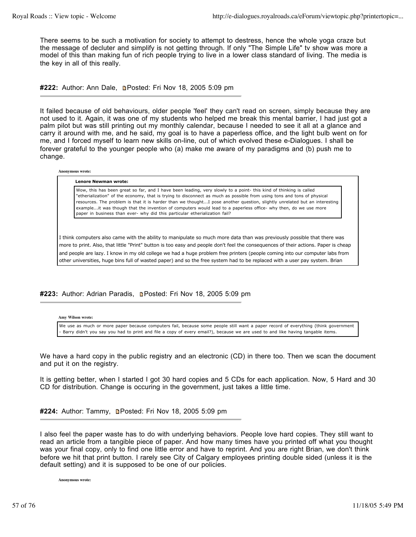There seems to be such a motivation for society to attempt to destress, hence the whole yoga craze but the message of decluter and simplify is not getting through. If only "The Simple Life" tv show was more a model of this than making fun of rich people trying to live in a lower class standard of living. The media is the key in all of this really.

#222: Author: Ann Dale, **Denated: Fri Nov 18, 2005 5:09 pm** 

It failed because of old behaviours, older people 'feel' they can't read on screen, simply because they are not used to it. Again, it was one of my students who helped me break this mental barrier, I had just got a palm pilot but was still printing out my monthly calendar, because I needed to see it all at a glance and carry it around with me, and he said, my goal is to have a paperless office, and the light bulb went on for me, and I forced myself to learn new skills on-line, out of which evolved these e-Dialogues. I shall be forever grateful to the younger people who (a) make me aware of my paradigms and (b) push me to change.

**Anonymous wrote:**

#### **Lenore Newman wrote:**

Wow, this has been great so far, and I have been leading, very slowly to a point- this kind of thinking is called "etherialization" of the economy, that is trying to disconnect as much as possible from using tons and tons of physical resources. The problem is that it is harder than we thought...I pose another question, slightly unrelated but an interesting example...it was though that the invention of computers would lead to a paperless office- why then, do we use more paper in business than ever- why did this particular etherialization fail?

I think computers also came with the ability to manipulate so much more data than was previously possible that there was more to print. Also, that little "Print" button is too easy and people don't feel the consequences of their actions. Paper is cheap and people are lazy. I know in my old college we had a huge problem free printers (people coming into our computer labs from other universities, huge bins full of wasted paper) and so the free system had to be replaced with a user pay system. Brian

#223: Author: Adrian Paradis, **n**Posted: Fri Nov 18, 2005 5:09 pm

**Amy Wilson wrote:**

We use as much or more paper because computers fail, because some people still want a paper record of everything (think government - Barry didn't you say you had to print and file a copy of every email?), because we are used to and like having tangable items.

We have a hard copy in the public registry and an electronic (CD) in there too. Then we scan the document and put it on the registry.

It is getting better, when I started I got 30 hard copies and 5 CDs for each application. Now, 5 Hard and 30 CD for distribution. Change is occuring in the government, just takes a little time.

#224: Author: Tammy, **Denated: Fri Nov 18, 2005 5:09 pm** 

I also feel the paper waste has to do with underlying behaviors. People love hard copies. They still want to read an article from a tangible piece of paper. And how many times have you printed off what you thought was your final copy, only to find one little error and have to reprint. And you are right Brian, we don't think before we hit that print button. I rarely see City of Calgary employees printing double sided (unless it is the default setting) and it is supposed to be one of our policies.

**Anonymous wrote:**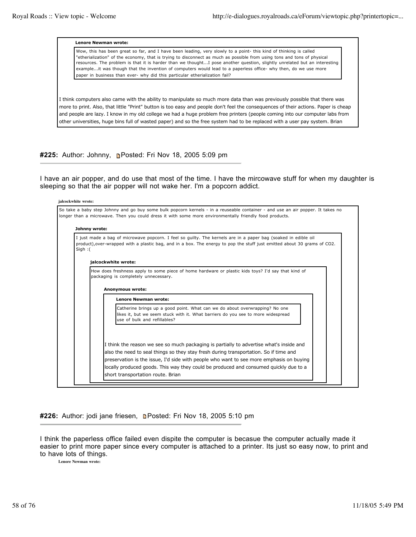**Lenore Newman wrote:**

Wow, this has been great so far, and I have been leading, very slowly to a point- this kind of thinking is called "etherialization" of the economy, that is trying to disconnect as much as possible from using tons and tons of physical resources. The problem is that it is harder than we thought...I pose another question, slightly unrelated but an interesting example...it was though that the invention of computers would lead to a paperless office- why then, do we use more paper in business than ever- why did this particular etherialization fail?

I think computers also came with the ability to manipulate so much more data than was previously possible that there was more to print. Also, that little "Print" button is too easy and people don't feel the consequences of their actions. Paper is cheap and people are lazy. I know in my old college we had a huge problem free printers (people coming into our computer labs from other universities, huge bins full of wasted paper) and so the free system had to be replaced with a user pay system. Brian

**#225:** Author: Johnny, Posted: Fri Nov 18, 2005 5:09 pm

I have an air popper, and do use that most of the time. I have the mircowave stuff for when my daughter is sleeping so that the air popper will not wake her. I'm a popcorn addict.

|       | Johnny wrote:<br>I just made a bag of microwave popcorn. I feel so guilty. The kernels are in a paper bag (soaked in edible oil<br>product), over-wrapped with a plastic bag, and in a box. The energy to pop the stuff just emitted about 30 grams of CO2. |
|-------|-------------------------------------------------------------------------------------------------------------------------------------------------------------------------------------------------------------------------------------------------------------|
| Sign: | jalcockwhite wrote:                                                                                                                                                                                                                                         |
|       | How does freshness apply to some piece of home hardware or plastic kids toys? I'd say that kind of<br>packaging is completely unnecessary.                                                                                                                  |
|       | Anonymous wrote:                                                                                                                                                                                                                                            |
|       | <b>Lenore Newman wrote:</b>                                                                                                                                                                                                                                 |
|       | Catherine brings up a good point. What can we do about overwrapping? No one<br>likes it, but we seem stuck with it. What barriers do you see to more widespread<br>use of bulk and refillables?                                                             |
|       |                                                                                                                                                                                                                                                             |
|       | I think the reason we see so much packaging is partially to advertise what's inside and                                                                                                                                                                     |
|       | also the need to seal things so they stay fresh during transportation. So if time and<br>preservation is the issue, I'd side with people who want to see more emphasis on buying                                                                            |
|       |                                                                                                                                                                                                                                                             |
|       | locally produced goods. This way they could be produced and consumed guickly due to a                                                                                                                                                                       |

#226: Author: jodi jane friesen, **n**Posted: Fri Nov 18, 2005 5:10 pm

I think the paperless office failed even dispite the computer is becasue the computer actually made it easier to print more paper since every computer is attached to a printer. Its just so easy now, to print and to have lots of things.

**Lenore Newman wrote:**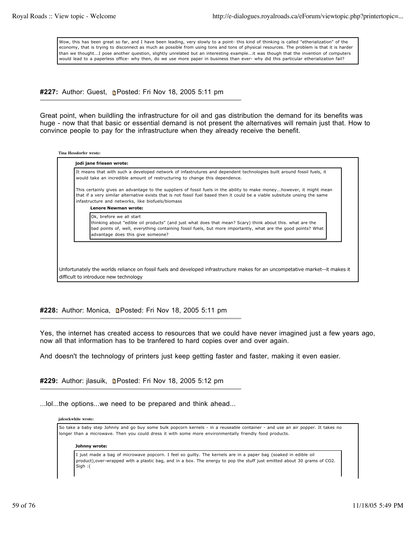Wow, this has been great so far, and I have been leading, very slowly to a point- this kind of thinking is called "etherialization" of the economy, that is trying to disconnect as much as possible from using tons and tons of physical resources. The problem is that it is harder than we thought...I pose another question, slightly unrelated but an interesting example...it was though that the invention of computers would lead to a paperless office- why then, do we use more paper in business than ever- why did this particular etherialization fail?

**#227:** Author: Guest, **Posted: Fri Nov 18, 2005 5:11 pm** 

Great point, when buildling the infrastructure for oil and gas distribution the demand for its benefits was huge - now that that basic or essential demand is not present the alternatives will remain just that. How to convince people to pay for the infrastructure when they already receive the benefit.

| Tina Hessdorfer wrote: |
|------------------------|
|------------------------|

| It means that with such a developed network of infastrutures and dependent technologies built around fossil fuels, it<br>would take an incredible amount of restructuring to change this dependence.                                                                                                                                     |
|------------------------------------------------------------------------------------------------------------------------------------------------------------------------------------------------------------------------------------------------------------------------------------------------------------------------------------------|
| This certainly gives an advantage to the suppliers of fossil fuels in the ability to make moneyhowever, it might mean<br>that if a very similar alternative exists that is not fossil fuel based then it could be a viable subsitute unsing the same<br>infastructure and networks, like biofuels/biomass<br><b>Lenore Newman wrote:</b> |
| Ok, brefore we all start<br>thinking about "edible oil products" (and just what does that mean? Scary) think about this. what are the<br>bad points of, well, everything containing fossil fuels, but more importantly, what are the good points? What<br>advantage does this give someone?                                              |

### **#228:** Author: Monica, Posted: Fri Nov 18, 2005 5:11 pm

Yes, the internet has created access to resources that we could have never imagined just a few years ago, now all that information has to be tranfered to hard copies over and over again.

And doesn't the technology of printers just keep getting faster and faster, making it even easier.

#229: Author: jlasuik, **n**Posted: Fri Nov 18, 2005 5:12 pm

...lol...the options...we need to be prepared and think ahead...

### **jalcockwhite wrote:**

So take a baby step Johnny and go buy some bulk popcorn kernels - in a reuseable container - and use an air popper. It takes no longer than a microwave. Then you could dress it with some more environmentally friendly food products.

#### **Johnny wrote:**

I just made a bag of microwave popcorn. I feel so guilty. The kernels are in a paper bag (soaked in edible oil product),over-wrapped with a plastic bag, and in a box. The energy to pop the stuff just emitted about 30 grams of CO2. Sigh :(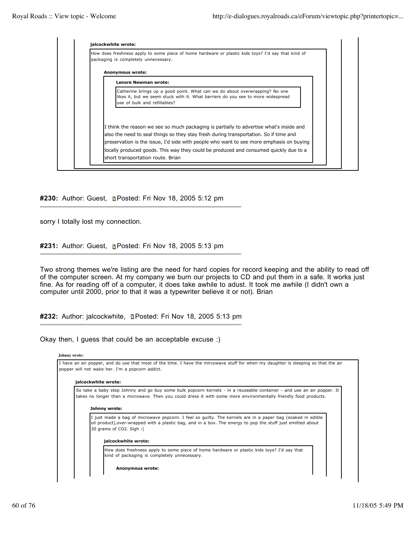| How does freshness apply to some piece of home hardware or plastic kids toys? I'd say that kind of<br>packaging is completely unnecessary.                                                      |
|-------------------------------------------------------------------------------------------------------------------------------------------------------------------------------------------------|
| Anonymous wrote:                                                                                                                                                                                |
| <b>Lenore Newman wrote:</b>                                                                                                                                                                     |
| Catherine brings up a good point. What can we do about overwrapping? No one<br>likes it, but we seem stuck with it. What barriers do you see to more widespread<br>use of bulk and refillables? |
|                                                                                                                                                                                                 |
| I think the reason we see so much packaging is partially to advertise what's inside and                                                                                                         |
| also the need to seal things so they stay fresh during transportation. So if time and                                                                                                           |
| preservation is the issue, I'd side with people who want to see more emphasis on buying                                                                                                         |
| locally produced goods. This way they could be produced and consumed guickly due to a                                                                                                           |

### #230: Author: Guest, **n**Posted: Fri Nov 18, 2005 5:12 pm

sorry I totally lost my connection.

#231: Author: Guest, **p**Posted: Fri Nov 18, 2005 5:13 pm

Two strong themes we're listing are the need for hard copies for record keeping and the ability to read off of the computer screen. At my company we burn our projects to CD and put them in a safe. It works just fine. As for reading off of a computer, it does take awhile to adust. It took me awhile (I didn't own a computer until 2000, prior to that it was a typewriter believe it or not). Brian

#232: Author: jalcockwhite, **Posted: Fri Nov 18, 2005 5:13 pm** 

Okay then, I guess that could be an acceptable excuse :)

| I have an air popper, and do use that most of the time. I have the mircowave stuff for when my daughter is sleeping so that the air                                                                                                                   |
|-------------------------------------------------------------------------------------------------------------------------------------------------------------------------------------------------------------------------------------------------------|
| popper will not wake her. I'm a popcorn addict.                                                                                                                                                                                                       |
| jalcockwhite wrote:                                                                                                                                                                                                                                   |
| So take a baby step Johnny and go buy some bulk popcorn kernels - in a reuseable container - and use an air popper. It<br>takes no longer than a microwave. Then you could dress it with some more environmentally friendly food products.            |
| Johnny wrote:                                                                                                                                                                                                                                         |
| I just made a bag of microwave popcorn. I feel so guilty. The kernels are in a paper bag (soaked in edible<br>oil product), over-wrapped with a plastic bag, and in a box. The energy to pop the stuff just emitted about<br>30 grams of CO2. Sigh: ( |
| jalcockwhite wrote:                                                                                                                                                                                                                                   |
| How does freshness apply to some piece of home hardware or plastic kids toys? I'd say that<br>kind of packaging is completely unnecessary.                                                                                                            |
| Anonymous wrote:                                                                                                                                                                                                                                      |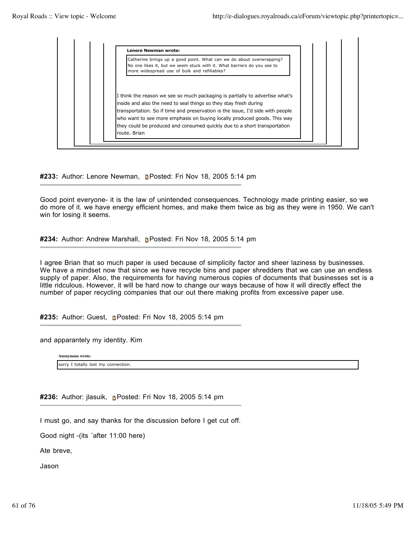

#233: Author: Lenore Newman, **n**Posted: Fri Nov 18, 2005 5:14 pm

Good point everyone- it is the law of unintended consequences. Technology made printing easier, so we do more of it. we have energy efficient homes, and make them twice as big as they were in 1950. We can't win for losing it seems.

**#234:** Author: Andrew Marshall, Posted: Fri Nov 18, 2005 5:14 pm

I agree Brian that so much paper is used because of simplicity factor and sheer laziness by businesses. We have a mindset now that since we have recycle bins and paper shredders that we can use an endless supply of paper. Also, the requirements for having numerous copies of documents that businesses set is a little ridculous. However, it will be hard now to change our ways because of how it will directly effect the number of paper recycling companies that our out there making profits from excessive paper use.

#235: Author: Guest, **n**Posted: Fri Nov 18, 2005 5:14 pm

and apparantely my identity. Kim

**Anonymous wrote:**

sorry I totally lost my connection.

**#236:** Author: jlasuik, Posted: Fri Nov 18, 2005 5:14 pm

I must go, and say thanks for the discussion before I get cut off.

Good night -(its ´after 11:00 here)

Ate breve,

Jason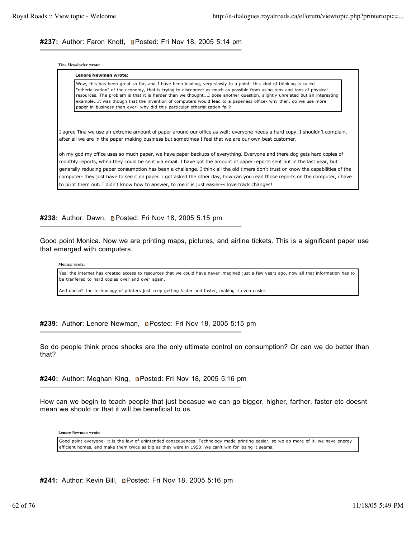### #237: Author: Faron Knott, **n**Posted: Fri Nov 18, 2005 5:14 pm

**Tina Hessdorfer wrote:**

**Lenore Newman wrote:**

| LEIJULE NEWIJIAH WIULE.                                                                                                                                                                                                                             |
|-----------------------------------------------------------------------------------------------------------------------------------------------------------------------------------------------------------------------------------------------------|
| Wow, this has been great so far, and I have been leading, very slowly to a point- this kind of thinking is called                                                                                                                                   |
| etherialization" of the economy, that is trying to disconnect as much as possible from using tons and tons of physical<br>resources. The problem is that it is harder than we thoughtI pose another question, slightly unrelated but an interesting |
| exampleit was though that the invention of computers would lead to a paperless office- why then, do we use more<br>paper in business than ever- why did this particular etherialization fail?                                                       |

I agree Tina we use an extreme amount of paper around our office as well; everyone needs a hard copy. I shouldn't complain, after all we are in the paper making business but sometimes I feel that we are our own best customer.

oh my god my office uses so much paper, we have paper backups of everything. Everyone and there dog gets hard copies of monthly reports, when they could be sent via email. I have got the amount of paper reports sent out in the last year, but generally reducing paper consumption has been a challenge. I think all the old timers don't trust or know the capabilities of the computer- they just have to see it on paper. i got asked the other day, how can you read those reports on the computer, i have to print them out. I didn't know how to answer, to me it is just easier--i love track changes!

#238: Author: Dawn, **Denated: Fri Nov 18, 2005 5:15 pm** 

Good point Monica. Now we are printing maps, pictures, and airline tickets. This is a significant paper use that emerged with computers.

**Monica wrote:**

Yes, the internet has created access to resources that we could have never imagined just a few years ago, now all that information has to be tranfered to hard copies over and over again.

And doesn't the technology of printers just keep getting faster and faster, making it even easier.

#239: Author: Lenore Newman, **n**Posted: Fri Nov 18, 2005 5:15 pm

So do people think proce shocks are the only ultimate control on consumption? Or can we do better than that?

**#240:** Author: Meghan King, Posted: Fri Nov 18, 2005 5:16 pm

How can we begin to teach people that just becasue we can go bigger, higher, farther, faster etc doesnt mean we should or that it will be beneficial to us.

**Lenore Newman wrote:**

Good point everyone- it is the law of unintended consequences. Technology made printing easier, so we do more of it. we have energy efficient homes, and make them twice as big as they were in 1950. We can't win for losing it seems.

#241: Author: Kevin Bill, **n**Posted: Fri Nov 18, 2005 5:16 pm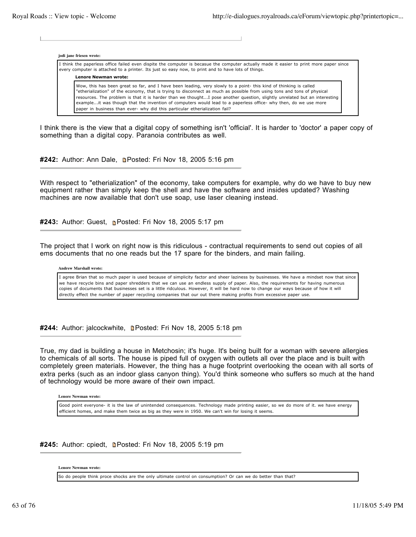**jodi jane friesen wrote:**

I think the paperless office failed even dispite the computer is becasue the computer actually made it easier to print more paper since every computer is attached to a printer. Its just so easy now, to print and to have lots of things.

**Lenore Newman wrote:**

Wow, this has been great so far, and I have been leading, very slowly to a point- this kind of thinking is called "etherialization" of the economy, that is trying to disconnect as much as possible from using tons and tons of physical resources. The problem is that it is harder than we thought...I pose another question, slightly unrelated but an interesting example...it was though that the invention of computers would lead to a paperless office- why then, do we use more paper in business than ever- why did this particular etherialization fail?

I think there is the view that a digital copy of something isn't 'official'. It is harder to 'doctor' a paper copy of something than a digital copy. Paranoia contributes as well.

#242: Author: Ann Dale, **n**Posted: Fri Nov 18, 2005 5:16 pm

With respect to "etherialization" of the economy, take computers for example, why do we have to buy new equipment rather than simply keep the shell and have the software and insides updated? Washing machines are now available that don't use soap, use laser cleaning instead.

**#243:** Author: Guest, **Posted: Fri Nov 18, 2005 5:17 pm** 

The project that I work on right now is this ridiculous - contractual requirements to send out copies of all ems documents that no one reads but the 17 spare for the binders, and main failing.

**Andrew Marshall wrote:**

I agree Brian that so much paper is used because of simplicity factor and sheer laziness by businesses. We have a mindset now that since we have recycle bins and paper shredders that we can use an endless supply of paper. Also, the requirements for having numerous copies of documents that businesses set is a little ridculous. However, it will be hard now to change our ways because of how it will directly effect the number of paper recycling companies that our out there making profits from excessive paper use.

#244: Author: jalcockwhite, **Depart Posted: Fri Nov 18, 2005 5:18 pm** 

True, my dad is building a house in Metchosin; it's huge. It's being built for a woman with severe allergies to chemicals of all sorts. The house is piped full of oxygen with outlets all over the place and is built with completely green materials. However, the thing has a huge footprint overlooking the ocean with all sorts of extra perks (such as an indoor glass canyon thing). You'd think someone who suffers so much at the hand of technology would be more aware of their own impact.

**Lenore Newman wrote:**

Good point everyone- it is the law of unintended consequences. Technology made printing easier, so we do more of it. we have energy efficient homes, and make them twice as big as they were in 1950. We can't win for losing it seems.

**#245:** Author: cpiedt, **Depart Posted: Fri Nov 18, 2005 5:19 pm** 

**Lenore Newman wrote:**

So do people think proce shocks are the only ultimate control on consumption? Or can we do better than that?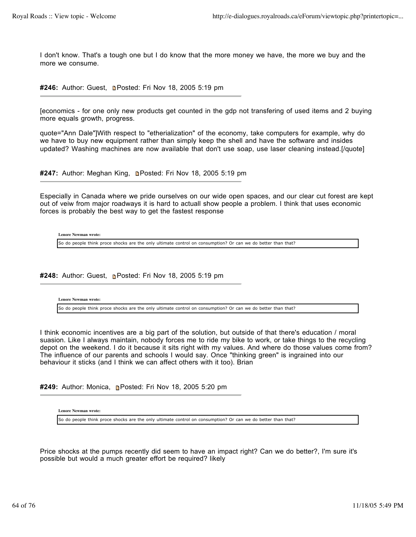I don't know. That's a tough one but I do know that the more money we have, the more we buy and the more we consume.

#246: Author: Guest, **Depart Fri Nov 18, 2005 5:19 pm** 

[economics - for one only new products get counted in the gdp not transfering of used items and 2 buying more equals growth, progress.

quote="Ann Dale"]With respect to "etherialization" of the economy, take computers for example, why do we have to buy new equipment rather than simply keep the shell and have the software and insides updated? Washing machines are now available that don't use soap, use laser cleaning instead.[/quote]

#247: Author: Meghan King, **n**Posted: Fri Nov 18, 2005 5:19 pm

Especially in Canada where we pride ourselves on our wide open spaces, and our clear cut forest are kept out of veiw from major roadways it is hard to actuall show people a problem. I think that uses economic forces is probably the best way to get the fastest response

**Lenore Newman wrote:**

So do people think proce shocks are the only ultimate control on consumption? Or can we do better than that?

#248: Author: Guest, **D**Posted: Fri Nov 18, 2005 5:19 pm

**Lenore Newman wrote:**

So do people think proce shocks are the only ultimate control on consumption? Or can we do better than that?

I think economic incentives are a big part of the solution, but outside of that there's education / moral suasion. Like I always maintain, nobody forces me to ride my bike to work, or take things to the recycling depot on the weekend. I do it because it sits right with my values. And where do those values come from? The influence of our parents and schools I would say. Once "thinking green" is ingrained into our behaviour it sticks (and I think we can affect others with it too). Brian

**#249:** Author: Monica, Posted: Fri Nov 18, 2005 5:20 pm

**Lenore Newman wrote:**

So do people think proce shocks are the only ultimate control on consumption? Or can we do better than that?

Price shocks at the pumps recently did seem to have an impact right? Can we do better?, I'm sure it's possible but would a much greater effort be required? likely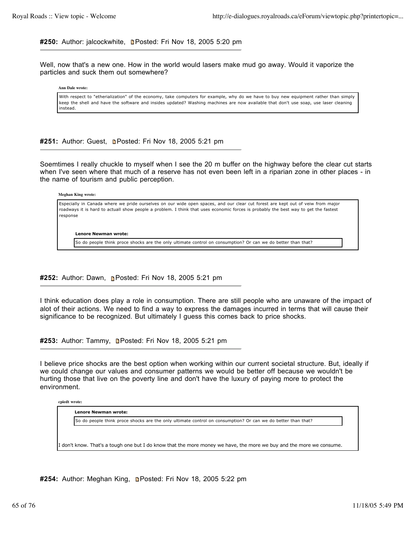**#250:** Author: jalcockwhite, Posted: Fri Nov 18, 2005 5:20 pm

Well, now that's a new one. How in the world would lasers make mud go away. Would it vaporize the particles and suck them out somewhere?

**Ann Dale wrote:**

With respect to "etherialization" of the economy, take computers for example, why do we have to buy new equipment rather than simply keep the shell and have the software and insides updated? Washing machines are now available that don't use soap, use laser cleaning instead.

#251: Author: Guest, **n**Posted: Fri Nov 18, 2005 5:21 pm

Soemtimes I really chuckle to myself when I see the 20 m buffer on the highway before the clear cut starts when I've seen where that much of a reserve has not even been left in a riparian zone in other places - in the name of tourism and public perception.

**Meghan King wrote:**

Especially in Canada where we pride ourselves on our wide open spaces, and our clear cut forest are kept out of veiw from major roadways it is hard to actuall show people a problem. I think that uses economic forces is probably the best way to get the fastest response

**Lenore Newman wrote:**

So do people think proce shocks are the only ultimate control on consumption? Or can we do better than that?

**#252:** Author: Dawn, **Posted: Fri Nov 18, 2005 5:21 pm** 

I think education does play a role in consumption. There are still people who are unaware of the impact of alot of their actions. We need to find a way to express the damages incurred in terms that will cause their significance to be recognized. But ultimately I guess this comes back to price shocks.

#253: Author: Tammy, **Depart Posted: Fri Nov 18, 2005 5:21 pm** 

I believe price shocks are the best option when working within our current societal structure. But, ideally if we could change our values and consumer patterns we would be better off because we wouldn't be hurting those that live on the poverty line and don't have the luxury of paying more to protect the environment.

**cpiedt wrote:**

**Lenore Newman wrote:**

So do people think proce shocks are the only ultimate control on consumption? Or can we do better than that?

I don't know. That's a tough one but I do know that the more money we have, the more we buy and the more we consume.

**#254:** Author: Meghan King, Posted: Fri Nov 18, 2005 5:22 pm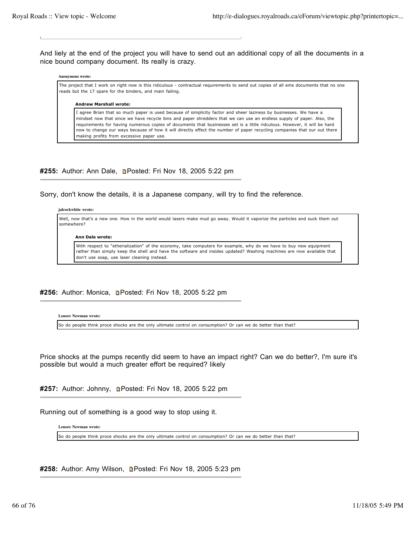And liely at the end of the project you will have to send out an additional copy of all the documents in a nice bound company document. Its really is crazy.

#### **Anonymous wrote:**

The project that I work on right now is this ridiculous - contractual requirements to send out copies of all ems documents that no one reads but the 17 spare for the binders, and main failing.

#### **Andrew Marshall wrote:**

I agree Brian that so much paper is used because of simplicity factor and sheer laziness by businesses. We have a mindset now that since we have recycle bins and paper shredders that we can use an endless supply of paper. Also, the requirements for having numerous copies of documents that businesses set is a little ridculous. However, it will be hard now to change our ways because of how it will directly effect the number of paper recycling companies that our out there making profits from excessive paper use.

### #255: Author: Ann Dale, **n**Posted: Fri Nov 18, 2005 5:22 pm

Sorry, don't know the details, it is a Japanese company, will try to find the reference.

#### **jalcockwhite wrote:**

Well, now that's a new one. How in the world would lasers make mud go away. Would it vaporize the particles and suck them out somewhere?

#### **Ann Dale wrote:**

With respect to "etherialization" of the economy, take computers for example, why do we have to buy new equipment rather than simply keep the shell and have the software and insides updated? Washing machines are now available that don't use soap, use laser cleaning instead.

### #256: Author: Monica, **D**Posted: Fri Nov 18, 2005 5:22 pm

**Lenore Newman wrote:**

So do people think proce shocks are the only ultimate control on consumption? Or can we do better than that?

Price shocks at the pumps recently did seem to have an impact right? Can we do better?, I'm sure it's possible but would a much greater effort be required? likely

#257: Author: Johnny, **n**Posted: Fri Nov 18, 2005 5:22 pm

Running out of something is a good way to stop using it.

**Lenore Newman wrote:**

So do people think proce shocks are the only ultimate control on consumption? Or can we do better than that?

**#258:** Author: Amy Wilson, Posted: Fri Nov 18, 2005 5:23 pm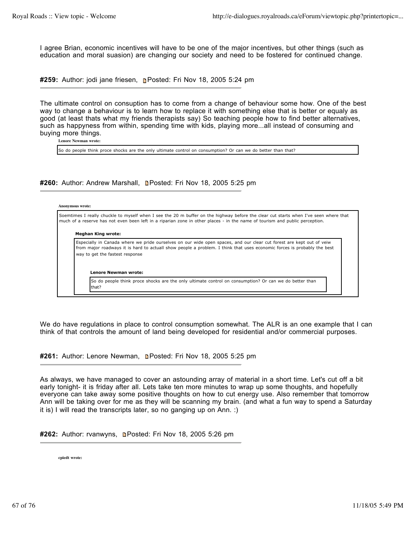I agree Brian, economic incentives will have to be one of the major incentives, but other things (such as education and moral suasion) are changing our society and need to be fostered for continued change.

#259: Author: jodi jane friesen, **Posted: Fri Nov 18, 2005 5:24 pm** 

The ultimate control on consuption has to come from a change of behaviour some how. One of the best way to change a behaviour is to learn how to replace it with something else that is better or equaly as good (at least thats what my friends therapists say) So teaching people how to find better alternatives, such as happyness from within, spending time with kids, playing more...all instead of consuming and buying more things.

**Lenore Newman wrote:**

So do people think proce shocks are the only ultimate control on consumption? Or can we do better than that?

#260: Author: Andrew Marshall, **Depart Posted: Fri Nov 18, 2005 5:25 pm** 

#### **Anonymous wrote:**

Soemtimes I really chuckle to myself when I see the 20 m buffer on the highway before the clear cut starts when I've seen where that much of a reserve has not even been left in a riparian zone in other places - in the name of tourism and public perception. **Meghan King wrote:** Especially in Canada where we pride ourselves on our wide open spaces, and our clear cut forest are kept out of veiw from major roadways it is hard to actuall show people a problem. I think that uses economic forces is probably the best way to get the fastest response **Lenore Newman wrote:** So do people think proce shocks are the only ultimate control on consumption? Or can we do better than that?

We do have regulations in place to control consumption somewhat. The ALR is an one example that I can think of that controls the amount of land being developed for residential and/or commercial purposes.

#261: Author: Lenore Newman, **n**Posted: Fri Nov 18, 2005 5:25 pm

As always, we have managed to cover an astounding array of material in a short time. Let's cut off a bit early tonight- it is friday after all. Lets take ten more minutes to wrap up some thoughts, and hopefully everyone can take away some positive thoughts on how to cut energy use. Also remember that tomorrow Ann will be taking over for me as they will be scanning my brain. (and what a fun way to spend a Saturday it is) I will read the transcripts later, so no ganging up on Ann. :)

**#262:** Author: rvanwyns, Posted: Fri Nov 18, 2005 5:26 pm

**cpiedt wrote:**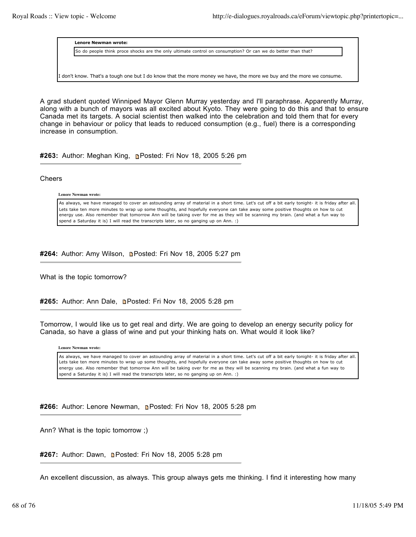**Lenore Newman wrote:**

So do people think proce shocks are the only ultimate control on consumption? Or can we do better than that?

I don't know. That's a tough one but I do know that the more money we have, the more we buy and the more we consume.

A grad student quoted Winniped Mayor Glenn Murray yesterday and I'll paraphrase. Apparently Murray, along with a bunch of mayors was all excited about Kyoto. They were going to do this and that to ensure Canada met its targets. A social scientist then walked into the celebration and told them that for every change in behaviour or policy that leads to reduced consumption (e.g., fuel) there is a corresponding increase in consumption.

**#263:** Author: Meghan King, Posted: Fri Nov 18, 2005 5:26 pm

Cheers

**Lenore Newman wrote:**

As always, we have managed to cover an astounding array of material in a short time. Let's cut off a bit early tonight- it is friday after all. Lets take ten more minutes to wrap up some thoughts, and hopefully everyone can take away some positive thoughts on how to cut energy use. Also remember that tomorrow Ann will be taking over for me as they will be scanning my brain. (and what a fun way to spend a Saturday it is) I will read the transcripts later, so no ganging up on Ann. :)

#264: Author: Amy Wilson, **n**Posted: Fri Nov 18, 2005 5:27 pm

What is the topic tomorrow?

#265: Author: Ann Dale, **Denated: Fri Nov 18, 2005 5:28 pm** 

Tomorrow, I would like us to get real and dirty. We are going to develop an energy security policy for Canada, so have a glass of wine and put your thinking hats on. What would it look like?

**Lenore Newman wrote:**

As always, we have managed to cover an astounding array of material in a short time. Let's cut off a bit early tonight- it is friday after all. Lets take ten more minutes to wrap up some thoughts, and hopefully everyone can take away some positive thoughts on how to cut energy use. Also remember that tomorrow Ann will be taking over for me as they will be scanning my brain. (and what a fun way to spend a Saturday it is) I will read the transcripts later, so no ganging up on Ann. :)

**#266:** Author: Lenore Newman, Posted: Fri Nov 18, 2005 5:28 pm

Ann? What is the topic tomorrow ;)

#267: Author: Dawn, **Denated: Fri Nov 18, 2005 5:28 pm** 

An excellent discussion, as always. This group always gets me thinking. I find it interesting how many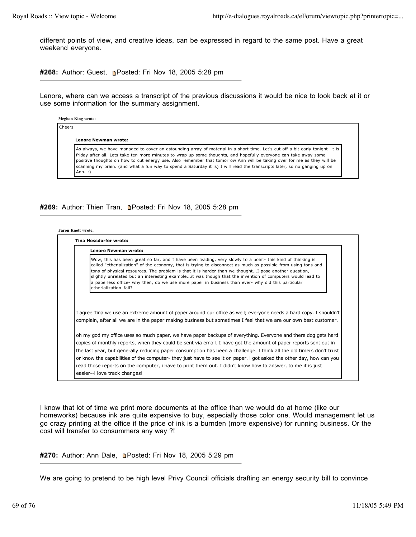different points of view, and creative ideas, can be expressed in regard to the same post. Have a great weekend everyone.

**#268:** Author: Guest, **Posted: Fri Nov 18, 2005 5:28 pm** 

Lenore, where can we access a transcript of the previous discussions it would be nice to look back at it or use some information for the summary assignment.

**Meghan King wrote:**

| Lenore Newman wrote: |                                                                                                                                                                                                                                            |  |  |
|----------------------|--------------------------------------------------------------------------------------------------------------------------------------------------------------------------------------------------------------------------------------------|--|--|
|                      | As always, we have managed to cover an astounding array of material in a short time. Let's cut off a bit early tonight- it is                                                                                                              |  |  |
|                      | friday after all. Lets take ten more minutes to wrap up some thoughts, and hopefully everyone can take away some<br>positive thoughts on how to cut energy use. Also remember that tomorrow Ann will be taking over for me as they will be |  |  |
|                      | scanning my brain. (and what a fun way to spend a Saturday it is) I will read the transcripts later, so no ganging up on                                                                                                                   |  |  |

### #269: Author: Thien Tran, **n**Posted: Fri Nov 18, 2005 5:28 pm

| <b>Faron Knott wrote:</b> |  |
|---------------------------|--|
|---------------------------|--|

| Wow, this has been great so far, and I have been leading, very slowly to a point- this kind of thinking is<br>called "etherialization" of the economy, that is trying to disconnect as much as possible from using tons and<br>tons of physical resources. The problem is that it is harder than we thoughtI pose another question,<br>slightly unrelated but an interesting exampleit was though that the invention of computers would lead to<br>a paperless office- why then, do we use more paper in business than ever- why did this particular<br>etherialization fail?<br>I agree Tina we use an extreme amount of paper around our office as well; everyone needs a hard copy. I shouldn't<br>complain, after all we are in the paper making business but sometimes I feel that we are our own best customer.<br>oh my god my office uses so much paper, we have paper backups of everything. Everyone and there dog gets hard<br>copies of monthly reports, when they could be sent via email. I have got the amount of paper reports sent out in<br>the last year, but generally reducing paper consumption has been a challenge. I think all the old timers don't trust<br>or know the capabilities of the computer- they just have to see it on paper. i got asked the other day, how can you | <b>Lenore Newman wrote:</b> |
|-----------------------------------------------------------------------------------------------------------------------------------------------------------------------------------------------------------------------------------------------------------------------------------------------------------------------------------------------------------------------------------------------------------------------------------------------------------------------------------------------------------------------------------------------------------------------------------------------------------------------------------------------------------------------------------------------------------------------------------------------------------------------------------------------------------------------------------------------------------------------------------------------------------------------------------------------------------------------------------------------------------------------------------------------------------------------------------------------------------------------------------------------------------------------------------------------------------------------------------------------------------------------------------------------------------|-----------------------------|
|                                                                                                                                                                                                                                                                                                                                                                                                                                                                                                                                                                                                                                                                                                                                                                                                                                                                                                                                                                                                                                                                                                                                                                                                                                                                                                           |                             |
|                                                                                                                                                                                                                                                                                                                                                                                                                                                                                                                                                                                                                                                                                                                                                                                                                                                                                                                                                                                                                                                                                                                                                                                                                                                                                                           |                             |
|                                                                                                                                                                                                                                                                                                                                                                                                                                                                                                                                                                                                                                                                                                                                                                                                                                                                                                                                                                                                                                                                                                                                                                                                                                                                                                           |                             |
|                                                                                                                                                                                                                                                                                                                                                                                                                                                                                                                                                                                                                                                                                                                                                                                                                                                                                                                                                                                                                                                                                                                                                                                                                                                                                                           |                             |
|                                                                                                                                                                                                                                                                                                                                                                                                                                                                                                                                                                                                                                                                                                                                                                                                                                                                                                                                                                                                                                                                                                                                                                                                                                                                                                           |                             |
|                                                                                                                                                                                                                                                                                                                                                                                                                                                                                                                                                                                                                                                                                                                                                                                                                                                                                                                                                                                                                                                                                                                                                                                                                                                                                                           |                             |
|                                                                                                                                                                                                                                                                                                                                                                                                                                                                                                                                                                                                                                                                                                                                                                                                                                                                                                                                                                                                                                                                                                                                                                                                                                                                                                           |                             |
|                                                                                                                                                                                                                                                                                                                                                                                                                                                                                                                                                                                                                                                                                                                                                                                                                                                                                                                                                                                                                                                                                                                                                                                                                                                                                                           |                             |
| read those reports on the computer, i have to print them out. I didn't know how to answer, to me it is just                                                                                                                                                                                                                                                                                                                                                                                                                                                                                                                                                                                                                                                                                                                                                                                                                                                                                                                                                                                                                                                                                                                                                                                               |                             |
|                                                                                                                                                                                                                                                                                                                                                                                                                                                                                                                                                                                                                                                                                                                                                                                                                                                                                                                                                                                                                                                                                                                                                                                                                                                                                                           |                             |

I know that lot of time we print more documents at the office than we would do at home (like our homeworks) because ink are quite expensive to buy, especially those color one. Would management let us go crazy printing at the office if the price of ink is a burnden (more expensive) for running business. Or the cost will transfer to consummers any way ?!

**#270:** Author: Ann Dale, Posted: Fri Nov 18, 2005 5:29 pm

We are going to pretend to be high level Privy Council officials drafting an energy security bill to convince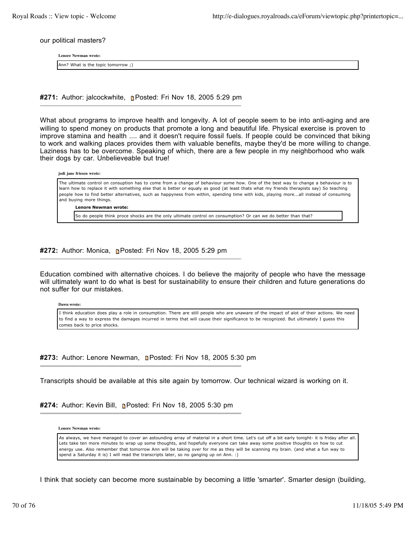our political masters?

**Lenore Newman wrote:**

Ann? What is the topic tomorrow ;)

#271: Author: jalcockwhite, **Posted: Fri Nov 18, 2005 5:29 pm** 

What about programs to improve health and longevity. A lot of people seem to be into anti-aging and are willing to spend money on products that promote a long and beautiful life. Physical exercise is proven to improve stamina and health .... and it doesn't require fossil fuels. If people could be convinced that biking to work and walking places provides them with valuable benefits, maybe they'd be more willing to change. Laziness has to be overcome. Speaking of which, there are a few people in my neighborhood who walk their dogs by car. Unbelieveable but true!

| jodi jane friesen wrote:                                                                                                                                                                                                                                                                                                                                                                                                                           |
|----------------------------------------------------------------------------------------------------------------------------------------------------------------------------------------------------------------------------------------------------------------------------------------------------------------------------------------------------------------------------------------------------------------------------------------------------|
| The ultimate control on consuption has to come from a change of behaviour some how. One of the best way to change a behaviour is to<br>learn how to replace it with something else that is better or equaly as good (at least thats what my friends therapists say) So teaching<br>people how to find better alternatives, such as happyness from within, spending time with kids, playing moreall instead of consuming<br>and buying more things. |
| <b>Lenore Newman wrote:</b>                                                                                                                                                                                                                                                                                                                                                                                                                        |
| [So do people think proce shocks are the only ultimate control on consumption? Or can we do better than that?                                                                                                                                                                                                                                                                                                                                      |

### **#272:** Author: Monica, **Posted: Fri Nov 18, 2005 5:29 pm**

Education combined with alternative choices. I do believe the majority of people who have the message will ultimately want to do what is best for sustainability to ensure their children and future generations do not suffer for our mistakes.

**Dawn wrote:**

I think education does play a role in consumption. There are still people who are unaware of the impact of alot of their actions. We need to find a way to express the damages incurred in terms that will cause their significance to be recognized. But ultimately I guess this comes back to price shocks.

### #273: Author: Lenore Newman, **Denated: Fri Nov 18, 2005 5:30 pm**

Transcripts should be available at this site again by tomorrow. Our technical wizard is working on it.

**#274:** Author: Kevin Bill, Posted: Fri Nov 18, 2005 5:30 pm

**Lenore Newman wrote:**

As always, we have managed to cover an astounding array of material in a short time. Let's cut off a bit early tonight- it is friday after all. Lets take ten more minutes to wrap up some thoughts, and hopefully everyone can take away some positive thoughts on how to cut energy use. Also remember that tomorrow Ann will be taking over for me as they will be scanning my brain. (and what a fun way to spend a Saturday it is) I will read the transcripts later, so no ganging up on Ann. :)

I think that society can become more sustainable by becoming a little 'smarter'. Smarter design (building,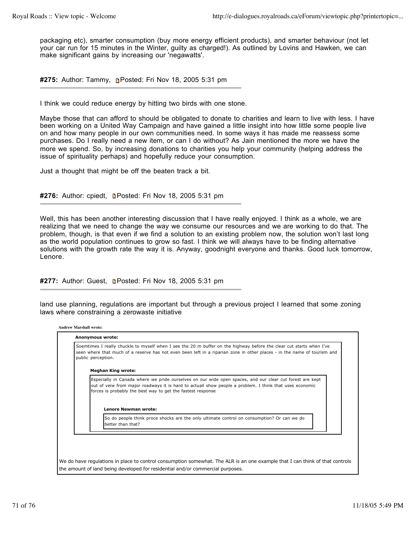packaging etc), smarter consumption (buy more energy efficient products), and smarter behaviour (not let your car run for 15 minutes in the Winter, guilty as charged!). As outlined by Lovins and Hawken, we can make significant gains by increasing our 'negawatts'.

**#275:** Author: Tammy, Posted: Fri Nov 18, 2005 5:31 pm

I think we could reduce energy by hitting two birds with one stone.

Maybe those that can afford to should be obligated to donate to charities and learn to live with less. I have been working on a United Way Campaign and have gained a little insight into how little some people live on and how many people in our own communities need. In some ways it has made me reassess some purchases. Do I really need a new item, or can I do without? As Jain mentioned the more we have the more we spend. So, by increasing donations to charities you help your community (helping address the issue of spirituality perhaps) and hopefully reduce your consumption.

Just a thought that might be off the beaten track a bit.

#276: Author: cpiedt, **n**Posted: Fri Nov 18, 2005 5:31 pm

Well, this has been another interesting discussion that I have really enjoyed. I think as a whole, we are realizing that we need to change the way we consume our resources and we are working to do that. The problem, though, is that even if we find a solution to an existing problem now, the solution won't last long as the world population continues to grow so fast. I think we will always have to be finding alternative solutions with the growth rate the way it is. Anyway, goodnight everyone and thanks. Good luck tomorrow, Lenore.

#277: Author: Guest, **Depart Fri Nov 18, 2005 5:31 pm** 

land use planning, regulations are important but through a previous project I learned that some zoning laws where constraining a zerowaste initiative

| seen where that much of a reserve has not even been left in a riparian zone in other places - in the name of tourism and<br>public perception.                                                                                                                                     |
|------------------------------------------------------------------------------------------------------------------------------------------------------------------------------------------------------------------------------------------------------------------------------------|
| <b>Meghan King wrote:</b>                                                                                                                                                                                                                                                          |
| Especially in Canada where we pride ourselves on our wide open spaces, and our clear cut forest are kept<br>out of veiw from major roadways it is hard to actuall show people a problem. I think that uses economic<br>forces is probably the best way to get the fastest response |
| <b>Lenore Newman wrote:</b>                                                                                                                                                                                                                                                        |
| So do people think proce shocks are the only ultimate control on consumption? Or can we do<br>better than that?                                                                                                                                                                    |
|                                                                                                                                                                                                                                                                                    |
|                                                                                                                                                                                                                                                                                    |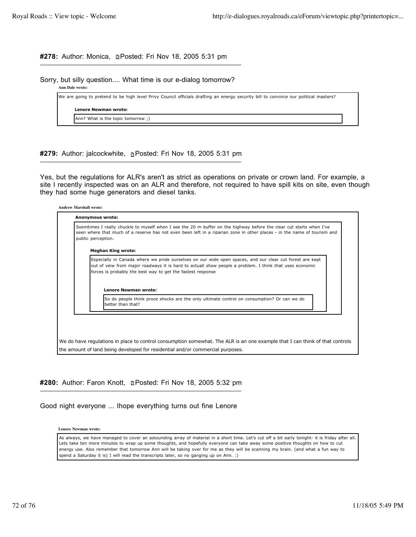# #278: Author: Monica, **n**Posted: Fri Nov 18, 2005 5:31 pm

Sorry, but silly question.... What time is our e-dialog tomorrow?

**Ann Dale wrote:**

We are going to pretend to be high level Privy Council officials drafting an energy security bill to convince our political masters?

**Lenore Newman wrote:**

Ann? What is the topic tomorrow ;)

# #279: Author: jalcockwhite, **Posted: Fri Nov 18, 2005 5:31 pm**

Yes, but the regulations for ALR's aren't as strict as operations on private or crown land. For example, a site I recently inspected was on an ALR and therefore, not required to have spill kits on site, even though they had some huge generators and diesel tanks.

| Soemtimes I really chuckle to myself when I see the 20 m buffer on the highway before the clear cut starts when I've<br>seen where that much of a reserve has not even been left in a riparian zone in other places - in the name of tourism and<br>public perception.             |
|------------------------------------------------------------------------------------------------------------------------------------------------------------------------------------------------------------------------------------------------------------------------------------|
| <b>Meghan King wrote:</b>                                                                                                                                                                                                                                                          |
| Especially in Canada where we pride ourselves on our wide open spaces, and our clear cut forest are kept<br>out of veiw from major roadways it is hard to actuall show people a problem. I think that uses economic<br>forces is probably the best way to get the fastest response |
| <b>Lenore Newman wrote:</b><br>So do people think proce shocks are the only ultimate control on consumption? Or can we do<br>better than that?                                                                                                                                     |
|                                                                                                                                                                                                                                                                                    |

# #280: Author: Faron Knott, **n**Posted: Fri Nov 18, 2005 5:32 pm

Good night everyone ... Ihope everything turns out fine Lenore

**Lenore Newman wrote:**

As always, we have managed to cover an astounding array of material in a short time. Let's cut off a bit early tonight- it is friday after all. Lets take ten more minutes to wrap up some thoughts, and hopefully everyone can take away some positive thoughts on how to cut energy use. Also remember that tomorrow Ann will be taking over for me as they will be scanning my brain. (and what a fun way to spend a Saturday it is) I will read the transcripts later, so no ganging up on Ann. :)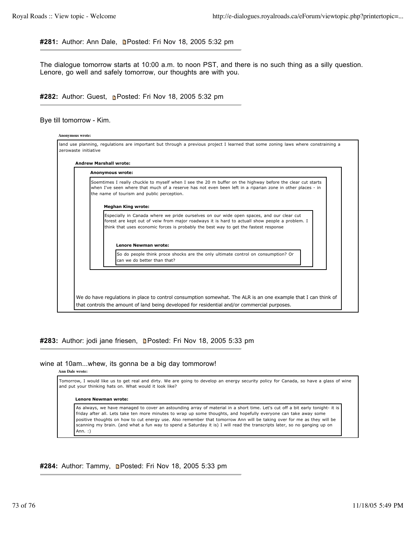#281: Author: Ann Dale, **n**Posted: Fri Nov 18, 2005 5:32 pm

The dialogue tomorrow starts at 10:00 a.m. to noon PST, and there is no such thing as a silly question. Lenore, go well and safely tomorrow, our thoughts are with you.

#282: Author: Guest, **p**Posted: Fri Nov 18, 2005 5:32 pm

Bye till tomorrow - Kim.

| Anonymous wrote:                                                                                                                                                                                                                                                                   |
|------------------------------------------------------------------------------------------------------------------------------------------------------------------------------------------------------------------------------------------------------------------------------------|
| Soemtimes I really chuckle to myself when I see the 20 m buffer on the highway before the clear cut starts<br>when I've seen where that much of a reserve has not even been left in a riparian zone in other places - in<br>the name of tourism and public perception.             |
| <b>Meghan King wrote:</b>                                                                                                                                                                                                                                                          |
| Especially in Canada where we pride ourselves on our wide open spaces, and our clear cut<br>forest are kept out of veiw from major roadways it is hard to actuall show people a problem. I<br>think that uses economic forces is probably the best way to get the fastest response |
| <b>Lenore Newman wrote:</b>                                                                                                                                                                                                                                                        |
| So do people think proce shocks are the only ultimate control on consumption? Or<br>can we do better than that?                                                                                                                                                                    |
|                                                                                                                                                                                                                                                                                    |

#283: Author: jodi jane friesen, **n**Posted: Fri Nov 18, 2005 5:33 pm

### wine at 10am...whew, its gonna be a big day tommorow!

**Ann Dale wrote:**

Tomorrow, I would like us to get real and dirty. We are going to develop an energy security policy for Canada, so have a glass of wine and put your thinking hats on. What would it look like?

#### **Lenore Newman wrote:**

As always, we have managed to cover an astounding array of material in a short time. Let's cut off a bit early tonight- it is friday after all. Lets take ten more minutes to wrap up some thoughts, and hopefully everyone can take away some positive thoughts on how to cut energy use. Also remember that tomorrow Ann will be taking over for me as they will be scanning my brain. (and what a fun way to spend a Saturday it is) I will read the transcripts later, so no ganging up on Ann. :)

## #284: Author: Tammy, **Dested: Fri Nov 18, 2005 5:33 pm**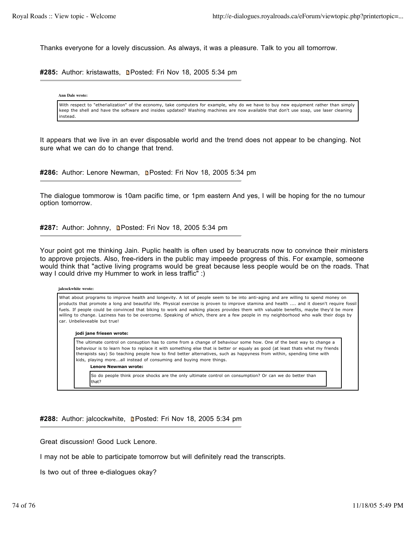Thanks everyone for a lovely discussion. As always, it was a pleasure. Talk to you all tomorrow.

#285: Author: kristawatts, **n**Posted: Fri Nov 18, 2005 5:34 pm

**Ann Dale wrote:**

With respect to "etherialization" of the economy, take computers for example, why do we have to buy new equipment rather than simply keep the shell and have the software and insides updated? Washing machines are now available that don't use soap, use laser cleaning instead.

It appears that we live in an ever disposable world and the trend does not appear to be changing. Not sure what we can do to change that trend.

#286: Author: Lenore Newman, **n**Posted: Fri Nov 18, 2005 5:34 pm

The dialogue tommorow is 10am pacific time, or 1pm eastern And yes, I will be hoping for the no tumour option tomorrow.

**#287:** Author: Johnny, Posted: Fri Nov 18, 2005 5:34 pm

Your point got me thinking Jain. Puplic health is often used by bearucrats now to convince their ministers to approve projects. Also, free-riders in the public may impeede progress of this. For example, someone would think that "active living programs would be great because less people would be on the roads. That way I could drive my Hummer to work in less traffic" :)

#### **jalcockwhite wrote:**

What about programs to improve health and longevity. A lot of people seem to be into anti-aging and are willing to spend money on products that promote a long and beautiful life. Physical exercise is proven to improve stamina and health .... and it doesn't require fossil fuels. If people could be convinced that biking to work and walking places provides them with valuable benefits, maybe they'd be more willing to change. Laziness has to be overcome. Speaking of which, there are a few people in my neighborhood who walk their dogs by car. Unbelieveable but true!

#### **jodi jane friesen wrote:**

The ultimate control on consuption has to come from a change of behaviour some how. One of the best way to change a behaviour is to learn how to replace it with something else that is better or equaly as good (at least thats what my friends therapists say) So teaching people how to find better alternatives, such as happyness from within, spending time with kids, playing more...all instead of consuming and buying more things.

## **Lenore Newman wrote:**

So do people think proce shocks are the only ultimate control on consumption? Or can we do better than that?

**#288:** Author: jalcockwhite, Posted: Fri Nov 18, 2005 5:34 pm

Great discussion! Good Luck Lenore.

I may not be able to participate tomorrow but will definitely read the transcripts.

Is two out of three e-dialogues okay?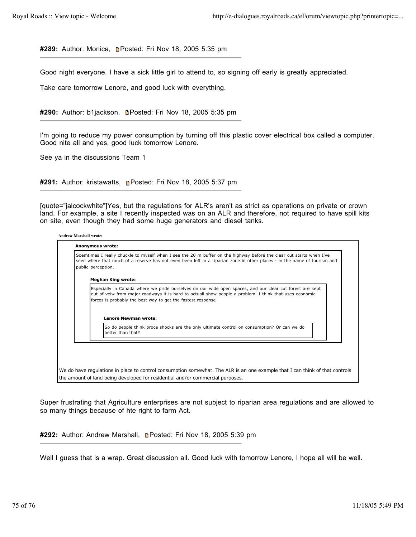#289: Author: Monica, **Denated: Fri Nov 18, 2005 5:35 pm** 

Good night everyone. I have a sick little girl to attend to, so signing off early is greatly appreciated.

Take care tomorrow Lenore, and good luck with everything.

#290: Author: b1jackson, **n**Posted: Fri Nov 18, 2005 5:35 pm

I'm going to reduce my power consumption by turning off this plastic cover electrical box called a computer. Good nite all and yes, good luck tomorrow Lenore.

See ya in the discussions Team 1

#291: Author: kristawatts, **n**Posted: Fri Nov 18, 2005 5:37 pm

[quote="jalcockwhite"]Yes, but the regulations for ALR's aren't as strict as operations on private or crown land. For example, a site I recently inspected was on an ALR and therefore, not required to have spill kits on site, even though they had some huge generators and diesel tanks.

# **Andrew Marshall wrote: Anonymous wrote:** Soemtimes I really chuckle to myself when I see the 20 m buffer on the highway before the clear cut starts when I've seen where that much of a reserve has not even been left in a riparian zone in other places - in the name of tourism and public perception. **Meghan King wrote:** Especially in Canada where we pride ourselves on our wide open spaces, and our clear cut forest are kept out of veiw from major roadways it is hard to actuall show people a problem. I think that uses economic forces is probably the best way to get the fastest response **Lenore Newman wrote:** So do people think proce shocks are the only ultimate control on consumption? Or can we do better than that? We do have regulations in place to control consumption somewhat. The ALR is an one example that I can think of that controls the amount of land being developed for residential and/or commercial purposes.

Super frustrating that Agriculture enterprises are not subject to riparian area regulations and are allowed to so many things because of hte right to farm Act.

#292: Author: Andrew Marshall, **Denated: Fri Nov 18, 2005 5:39 pm** 

Well I guess that is a wrap. Great discussion all. Good luck with tomorrow Lenore, I hope all will be well.